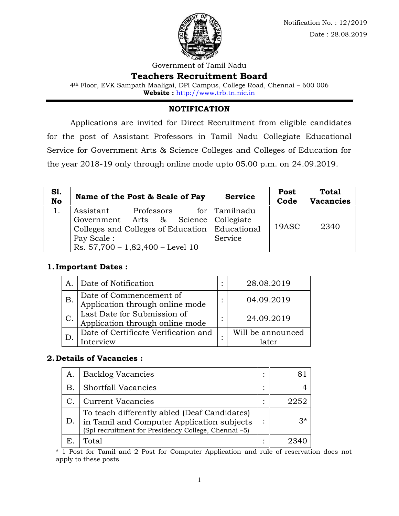

Government of Tamil Nadu

## **Teachers Recruitment Board**

4th Floor, EVK Sampath Maaligai, DPI Campus, College Road, Chennai – 600 006 **Website :** http://www.trb.tn.nic.in

## **NOTIFICATION**

Applications are invited for Direct Recruitment from eligible candidates for the post of Assistant Professors in Tamil Nadu Collegiate Educational Service for Government Arts & Science Colleges and Colleges of Education for the year 2018-19 only through online mode upto 05.00 p.m. on 24.09.2019.

| <b>S1.</b><br><b>No</b> | Name of the Post & Scale of Pay                  |            | <b>Service</b>       | <b>Post</b><br>Code | <b>Total</b><br><b>Vacancies</b> |  |  |  |
|-------------------------|--------------------------------------------------|------------|----------------------|---------------------|----------------------------------|--|--|--|
|                         | Assistant                                        | Professors | for Tamilnadu        |                     |                                  |  |  |  |
|                         | Government Arts &                                |            | Science   Collegiate |                     |                                  |  |  |  |
|                         | Colleges and Colleges of Education   Educational |            |                      | 19ASC               | 2340                             |  |  |  |
|                         | Pay Scale:                                       |            | Service              |                     |                                  |  |  |  |
|                         | Rs. $57,700 - 1,82,400 - Level 10$               |            |                      |                     |                                  |  |  |  |

## **1.Important Dates :**

| A               | Date of Notification                                           | 28.08.2019        |
|-----------------|----------------------------------------------------------------|-------------------|
| Β.              | Date of Commencement of<br>Application through online mode     | 04.09.2019        |
| $\mathcal{C}$ . | Last Date for Submission of<br>Application through online mode | 24.09.2019        |
|                 | Date of Certificate Verification and<br>rerview                | Will be announced |

## **2.Details of Vacancies :**

| А. | <b>Backlog Vacancies</b>                                                                                                                           | 81   |
|----|----------------------------------------------------------------------------------------------------------------------------------------------------|------|
| B. | <b>Shortfall Vacancies</b>                                                                                                                         |      |
|    | <b>Current Vacancies</b>                                                                                                                           | 2252 |
|    | To teach differently abled (Deaf Candidates)<br>in Tamil and Computer Application subjects<br>(Spl recruitment for Presidency College, Chennai -5) | $3*$ |
| Е. | Total                                                                                                                                              | 2340 |

\* 1 Post for Tamil and 2 Post for Computer Application and rule of reservation does not apply to these posts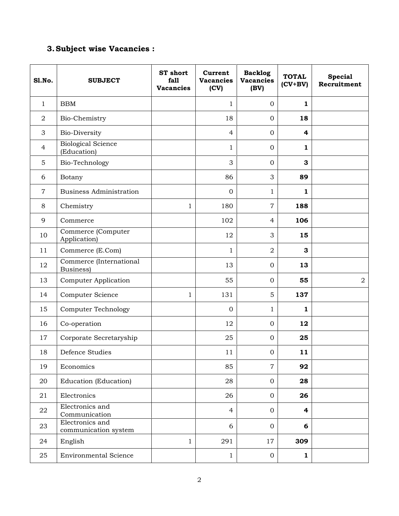# **3.Subject wise Vacancies :**

| <b>S1.No.</b>  | <b>SUBJECT</b>                           | <b>ST</b> short<br>fall<br><b>Vacancies</b> | Current<br><b>Vacancies</b><br>(CV) | <b>Backlog</b><br><b>Vacancies</b><br>(BV) | <b>TOTAL</b><br>$(CV+BV)$ | <b>Special</b><br>Recruitment |
|----------------|------------------------------------------|---------------------------------------------|-------------------------------------|--------------------------------------------|---------------------------|-------------------------------|
| $\mathbf{1}$   | <b>BBM</b>                               |                                             | $\mathbf{1}$                        | $\mathbf{0}$                               | 1                         |                               |
| $\overline{2}$ | Bio-Chemistry                            |                                             | 18                                  | $\mathbf{0}$                               | 18                        |                               |
| $\mathfrak{B}$ | <b>Bio-Diversity</b>                     |                                             | $\overline{4}$                      | $\mathbf{0}$                               | 4                         |                               |
| $\overline{4}$ | <b>Biological Science</b><br>(Education) |                                             | $\mathbf{1}$                        | $\mathbf{0}$                               | 1                         |                               |
| 5              | Bio-Technology                           |                                             | 3                                   | $\mathbf{0}$                               | 3                         |                               |
| 6              | Botany                                   |                                             | 86                                  | 3                                          | 89                        |                               |
| $\overline{7}$ | <b>Business Administration</b>           |                                             | $\mathbf{0}$                        | $\mathbf{1}$                               | 1                         |                               |
| 8              | Chemistry                                | 1                                           | 180                                 | $\overline{7}$                             | 188                       |                               |
| 9              | Commerce                                 |                                             | 102                                 | $\overline{4}$                             | 106                       |                               |
| 10             | Commerce (Computer<br>Application)       |                                             | 12                                  | 3                                          | 15                        |                               |
| 11             | Commerce (E.Com)                         |                                             | $\mathbf{1}$                        | $\overline{2}$                             | 3                         |                               |
| 12             | Commerce (International<br>Business)     |                                             | 13                                  | $\mathbf{0}$                               | 13                        |                               |
| 13             | <b>Computer Application</b>              |                                             | 55                                  | $\mathbf{0}$                               | 55                        | 2                             |
| 14             | Computer Science                         | $\mathbf{1}$                                | 131                                 | 5                                          | 137                       |                               |
| 15             | <b>Computer Technology</b>               |                                             | $\mathbf{0}$                        | $\mathbf{1}$                               | $\mathbf{1}$              |                               |
| 16             | Co-operation                             |                                             | 12                                  | $\mathbf{0}$                               | 12                        |                               |
| 17             | Corporate Secretaryship                  |                                             | 25                                  | $\mathbf{0}$                               | 25                        |                               |
| 18             | Defence Studies                          |                                             | 11                                  | $\boldsymbol{0}$                           | 11                        |                               |
| 19             | Economics                                |                                             | 85                                  | $\overline{7}$                             | 92                        |                               |
| 20             | Education (Education)                    |                                             | 28                                  | $\mathbf{0}$                               | 28                        |                               |
| 21             | Electronics                              |                                             | 26                                  | $\mathbf 0$                                | 26                        |                               |
| ${\bf 22}$     | Electronics and<br>Communication         |                                             | $\overline{4}$                      | $\mathbf{0}$                               | $\overline{\mathbf{4}}$   |                               |
| 23             | Electronics and<br>communication system  |                                             | 6                                   | $\mathbf{0}$                               | 6                         |                               |
| 24             | English                                  | $\mathbf 1$                                 | 291                                 | 17                                         | 309                       |                               |
| 25             | <b>Environmental Science</b>             |                                             | $\mathbf{1}$                        | $\mathbf{0}$                               | $\mathbf{1}$              |                               |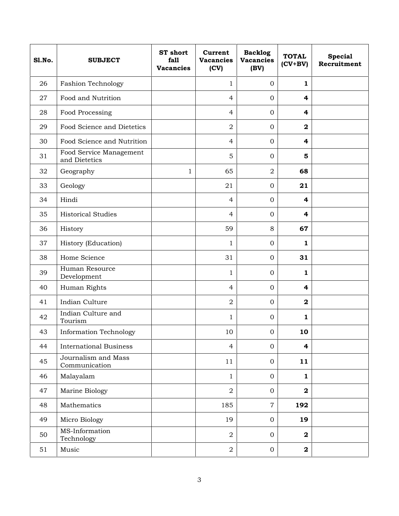| <b>S1.No.</b> | <b>SUBJECT</b>                           | <b>ST</b> short<br>fall<br><b>Vacancies</b> | Current<br><b>Vacancies</b><br>(CV) | <b>Backlog</b><br><b>Vacancies</b><br>(BV) | <b>TOTAL</b><br>$(CV+BV)$ | <b>Special</b><br>Recruitment |
|---------------|------------------------------------------|---------------------------------------------|-------------------------------------|--------------------------------------------|---------------------------|-------------------------------|
| 26            | <b>Fashion Technology</b>                |                                             | $\mathbf 1$                         | $\overline{0}$                             | $\mathbf{1}$              |                               |
| 27            | Food and Nutrition                       |                                             | $\overline{4}$                      | $\overline{0}$                             | 4                         |                               |
| 28            | Food Processing                          |                                             | $\overline{4}$                      | $\overline{0}$                             | 4                         |                               |
| 29            | Food Science and Dietetics               |                                             | $\overline{2}$                      | $\overline{0}$                             | $\overline{\mathbf{2}}$   |                               |
| 30            | Food Science and Nutrition               |                                             | $\overline{4}$                      | $\overline{0}$                             | 4                         |                               |
| 31            | Food Service Management<br>and Dietetics |                                             | 5                                   | $\overline{0}$                             | 5                         |                               |
| 32            | Geography                                | $\mathbf{1}$                                | 65                                  | $\overline{2}$                             | 68                        |                               |
| 33            | Geology                                  |                                             | 21                                  | $\overline{0}$                             | 21                        |                               |
| 34            | Hindi                                    |                                             | $\overline{4}$                      | $\overline{0}$                             | 4                         |                               |
| 35            | <b>Historical Studies</b>                |                                             | $\overline{4}$                      | $\overline{0}$                             | 4                         |                               |
| 36            | History                                  |                                             | 59                                  | 8                                          | 67                        |                               |
| 37            | History (Education)                      |                                             | 1                                   | $\overline{0}$                             | $\mathbf{1}$              |                               |
| 38            | Home Science                             |                                             | 31                                  | $\overline{0}$                             | 31                        |                               |
| 39            | Human Resource<br>Development            |                                             | $\mathbf 1$                         | $\overline{0}$                             | 1                         |                               |
| 40            | Human Rights                             |                                             | $\overline{4}$                      | $\overline{0}$                             | 4                         |                               |
| 41            | Indian Culture                           |                                             | $\overline{2}$                      | $\overline{0}$                             | $\mathbf 2$               |                               |
| 42            | Indian Culture and<br>Tourism            |                                             | $\mathbf{1}$                        | $\overline{0}$                             | $\mathbf{1}$              |                               |
| 43            | <b>Information Technology</b>            |                                             | 10                                  | $\mathbf{0}$                               | 10                        |                               |
| 44            | <b>International Business</b>            |                                             | $\overline{4}$                      | $\overline{0}$                             | 4                         |                               |
| 45            | Journalism and Mass<br>Communication     |                                             | 11                                  | $\overline{0}$                             | 11                        |                               |
| 46            | Malayalam                                |                                             | $\mathbf{1}$                        | $\overline{0}$                             | $\mathbf{1}$              |                               |
| 47            | Marine Biology                           |                                             | $\overline{a}$                      | $\overline{0}$                             | $\overline{\mathbf{2}}$   |                               |
| 48            | Mathematics                              |                                             | 185                                 | $\overline{7}$                             | 192                       |                               |
| 49            | Micro Biology                            |                                             | 19                                  | $\overline{0}$                             | 19                        |                               |
| 50            | MS-Information<br>Technology             |                                             | $\overline{2}$                      | $\overline{0}$                             | $\overline{\mathbf{2}}$   |                               |
| 51            | Music                                    |                                             | $\overline{a}$                      | $\overline{0}$                             | $\mathbf{2}$              |                               |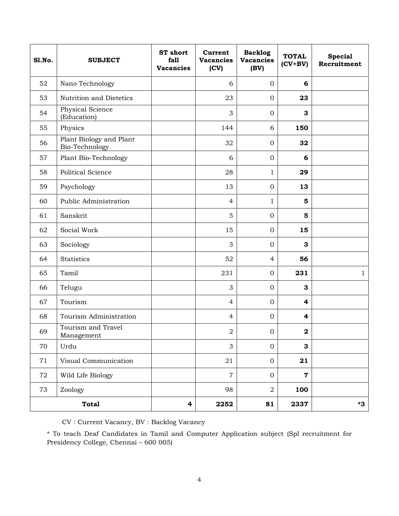| <b>S1.No.</b> | <b>SUBJECT</b>                            | <b>ST</b> short<br>fall<br><b>Vacancies</b> | Current<br><b>Vacancies</b><br>(CV) | <b>Backlog</b><br><b>Vacancies</b><br>(BV) | <b>TOTAL</b><br>$(CV+BV)$ | <b>Special</b><br>Recruitment |
|---------------|-------------------------------------------|---------------------------------------------|-------------------------------------|--------------------------------------------|---------------------------|-------------------------------|
| 52            | Nano Technology                           |                                             | 6                                   | $\overline{0}$                             | 6                         |                               |
| 53            | Nutrition and Dietetics                   |                                             | 23                                  | $\mathbf{O}$                               | 23                        |                               |
| 54            | Physical Science<br>(Education)           |                                             | 3                                   | $\mathbf{O}$                               | 3                         |                               |
| 55            | Physics                                   |                                             | 144                                 | 6                                          | 150                       |                               |
| 56            | Plant Biology and Plant<br>Bio-Technology |                                             | 32                                  | $\mathbf{O}$                               | 32                        |                               |
| 57            | Plant Bio-Technology                      |                                             | 6                                   | $\mathbf{O}$                               | 6                         |                               |
| 58            | Political Science                         |                                             | 28                                  | $\mathbf{1}$                               | 29                        |                               |
| 59            | Psychology                                |                                             | 13                                  | $\mathbf{O}$                               | 13                        |                               |
| 60            | Public Administration                     |                                             | 4                                   | $\mathbf{1}$                               | 5                         |                               |
| 61            | Sanskrit                                  |                                             | 5                                   | $\mathbf{O}$                               | 5                         |                               |
| 62            | Social Work                               |                                             | 15                                  | $\mathbf{O}$                               | 15                        |                               |
| 63            | Sociology                                 |                                             | 3                                   | $\mathbf{O}$                               | 3                         |                               |
| 64            | <b>Statistics</b>                         |                                             | 52                                  | $\overline{4}$                             | 56                        |                               |
| 65            | Tamil                                     |                                             | 231                                 | $\mathbf{O}$                               | 231                       | 1                             |
| 66            | Telugu                                    |                                             | 3                                   | $\mathbf{O}$                               | 3                         |                               |
| 67            | Tourism                                   |                                             | $\overline{4}$                      | $\mathbf{O}$                               | $\overline{\mathbf{4}}$   |                               |
| 68            | Tourism Administration                    |                                             | $\overline{4}$                      | $\mathbf{0}$                               | $\overline{\mathbf{r}}$   |                               |
| 69            | Tourism and Travel<br>Management          |                                             | $\boldsymbol{2}$                    | $\boldsymbol{0}$                           | $\mathbf 2$               |                               |
| 70            | Urdu                                      |                                             | 3                                   | $\mathbf{0}$                               | $\mathbf{3}$              |                               |
| 71            | Visual Communication                      |                                             | 21                                  | $\overline{0}$                             | 21                        |                               |
| 72            | Wild Life Biology                         |                                             | $\overline{7}$                      | $\mathbf{0}$                               | $\mathbf 7$               |                               |
| 73            | Zoology                                   |                                             | 98                                  | $\overline{a}$                             | 100                       |                               |
|               | <b>Total</b>                              | $\overline{\mathbf{4}}$                     | 2252                                | 81                                         | 2337                      | $*3$                          |

CV : Current Vacancy, BV : Backlog Vacancy

\* To teach Deaf Candidates in Tamil and Computer Application subject (Spl recruitment for Presidency College, Chennai – 600 005)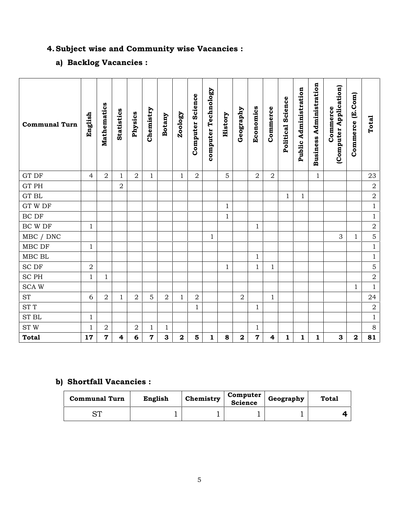# **4.Subject wise and Community wise Vacancies :**

# **a) Backlog Vacancies :**

| <b>Communal Turn</b>                      | English      | Mathematics    | Statistics     | Physics        | Chemistry | <b>Botany</b> | Zoology      | Science<br>Computer | computer Technology | History      | Geography      | Economics               | Commerce                | Political Science | Public Administration | Administration<br><b>Business</b> | (Computer Application)<br>Commerce | Commerce (E.Com) | Total          |
|-------------------------------------------|--------------|----------------|----------------|----------------|-----------|---------------|--------------|---------------------|---------------------|--------------|----------------|-------------------------|-------------------------|-------------------|-----------------------|-----------------------------------|------------------------------------|------------------|----------------|
| GT DF                                     | 4            | $\overline{2}$ | 1              | $\overline{2}$ | 1         |               | $\mathbf{1}$ | $\sqrt{2}$          |                     | 5            |                | $\overline{2}$          | $\overline{2}$          |                   |                       | $\mathbf{1}$                      |                                    |                  | 23             |
| GT PH                                     |              |                | $\overline{2}$ |                |           |               |              |                     |                     |              |                |                         |                         |                   |                       |                                   |                                    |                  | $\sqrt{2}$     |
| <b>GT BL</b>                              |              |                |                |                |           |               |              |                     |                     |              |                |                         |                         | $\mathbf{1}$      | $\mathbf{1}$          |                                   |                                    |                  | $\sqrt{2}$     |
| $\operatorname{GT}$ W $\operatorname{DF}$ |              |                |                |                |           |               |              |                     |                     | $\mathbf{1}$ |                |                         |                         |                   |                       |                                   |                                    |                  | $\,1$          |
| BC DF                                     |              |                |                |                |           |               |              |                     |                     | $\mathbf{1}$ |                |                         |                         |                   |                       |                                   |                                    |                  | $\,1$          |
| $\operatorname{BC}$ W $\operatorname{DF}$ | $\mathbf{1}$ |                |                |                |           |               |              |                     |                     |              |                | 1                       |                         |                   |                       |                                   |                                    |                  | $\sqrt{2}$     |
| MBC / DNC                                 |              |                |                |                |           |               |              |                     | $\mathbf{1}$        |              |                |                         |                         |                   |                       |                                   | 3                                  | $\mathbf{1}$     | 5              |
| MBC DF                                    | $\mathbf{1}$ |                |                |                |           |               |              |                     |                     |              |                |                         |                         |                   |                       |                                   |                                    |                  | $\mathbf 1$    |
| MBC BL                                    |              |                |                |                |           |               |              |                     |                     |              |                | $\mathbf{1}$            |                         |                   |                       |                                   |                                    |                  | $1\,$          |
| <b>SCDF</b>                               | $\sqrt{2}$   |                |                |                |           |               |              |                     |                     | $\mathbf{1}$ |                | $\mathbf{1}$            | $\mathbf 1$             |                   |                       |                                   |                                    |                  | $\mathbf 5$    |
| $\rm SC~PH$                               | 1            | $\mathbf{1}$   |                |                |           |               |              |                     |                     |              |                |                         |                         |                   |                       |                                   |                                    |                  | $\overline{2}$ |
| <b>SCAW</b>                               |              |                |                |                |           |               |              |                     |                     |              |                |                         |                         |                   |                       |                                   |                                    | $\mathbf{1}$     | $\mathbf{1}$   |
| <b>ST</b>                                 | 6            | 2              | $\mathbf{1}$   | $\overline{2}$ | 5         | 2             | $\mathbf{1}$ | $\boldsymbol{2}$    |                     |              | $\overline{2}$ |                         | 1                       |                   |                       |                                   |                                    |                  | 24             |
| $\operatorname{ST}$ $\mathcal T$          |              |                |                |                |           |               |              | $\mathbf{1}$        |                     |              |                | $\mathbf{1}$            |                         |                   |                       |                                   |                                    |                  | $\sqrt{2}$     |
| ${\rm ST}$ ${\rm BL}$                     | $\mathbf{1}$ |                |                |                |           |               |              |                     |                     |              |                |                         |                         |                   |                       |                                   |                                    |                  | $\,1$          |
| ST W                                      | $\mathbf{1}$ | 2              |                | $\overline{2}$ | 1         | $\mathbf{1}$  |              |                     |                     |              |                | $\mathbf{1}$            |                         |                   |                       |                                   |                                    |                  | $\,8\,$        |
| <b>Total</b>                              | 17           | $\mathbf 7$    | 4              | 6              | 7         | 3             | $\mathbf 2$  | 5                   | $\mathbf{1}$        | 8            | $\mathbf 2$    | $\overline{\mathbf{7}}$ | $\overline{\mathbf{4}}$ | $\mathbf{1}$      | 1                     | 1                                 | 3                                  | $\mathbf 2$      | 81             |

# **b) Shortfall Vacancies :**

| <b>Communal Turn</b>         | English | Chemistry | <b>Computer</b><br>Science | Geography | <b>Total</b> |
|------------------------------|---------|-----------|----------------------------|-----------|--------------|
| $\mathsf{\sim}\mathsf{\tau}$ |         |           |                            |           |              |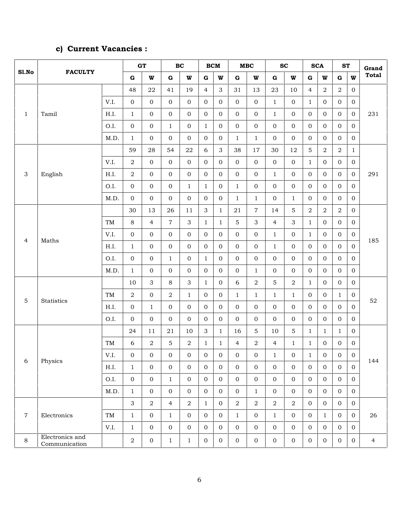# **c) Current Vacancies :**

|                           |                                  |      |                  | GT             |                | $\mathbf{B}\mathbf{C}$ |                | <b>BCM</b>     |                  | $\mathbf{M}\mathbf{B}\mathbf{C}$ |                | SC               |                | <b>SCA</b>     | <b>ST</b>        |                  | Grand          |
|---------------------------|----------------------------------|------|------------------|----------------|----------------|------------------------|----------------|----------------|------------------|----------------------------------|----------------|------------------|----------------|----------------|------------------|------------------|----------------|
| Sl.No                     | <b>FACULTY</b>                   |      | $\mathbf G$      | $\mathbf{W}$   | ${\bf G}$      | W                      | ${\bf G}$      | W              | ${\bf G}$        | W                                | $\bf G$        | $\mathbf{W}$     | $\bf G$        | W              | ${\bf G}$        | W                | <b>Total</b>   |
|                           |                                  |      | 48               | ${\bf 22}$     | 41             | 19                     | $\overline{4}$ | 3              | 31               | 13                               | 23             | 10               | 4              | $\overline{a}$ | 2                | $\mathbf 0$      |                |
|                           |                                  | V.I. | $\boldsymbol{0}$ | $\mathbf{0}$   | $\overline{0}$ | 0                      | $\overline{0}$ | 0              | $\mathbf 0$      | $\mathbf{0}$                     | $\mathbf{1}$   | $\mathbf 0$      | $\mathbf{1}$   | $\mathbf{0}$   | $\mathbf{0}$     | 0                |                |
| $\mathbf{1}$              | Tamil                            | H.I. | $1\,$            | $\overline{0}$ | $\overline{0}$ | $\overline{0}$         | $\mathbf{0}$   | $\overline{0}$ | $\boldsymbol{0}$ | $\mathbf{0}$                     | $\mathbf{1}$   | $\mathbf 0$      | $\overline{0}$ | $\mathbf{0}$   | $\mathbf{0}$     | $\boldsymbol{0}$ | 231            |
|                           |                                  | O.I. | $\boldsymbol{0}$ | $\overline{0}$ | $\mathbf{1}$   | 0                      | $\mathbf{1}$   | $\overline{0}$ | $\boldsymbol{0}$ | $\mathbf 0$                      | $\overline{0}$ | $\mathbf 0$      | $\overline{0}$ | $\mathbf{0}$   | $\mathbf{0}$     | $\boldsymbol{0}$ |                |
|                           |                                  | M.D. | $\mathbf{1}$     | $\mathbf{0}$   | $\mathbf{0}$   | $\overline{0}$         | $\overline{0}$ | $\overline{0}$ | $\mathbf{1}$     | $\mathbf{1}$                     | $\mathbf{0}$   | $\mathbf{0}$     | $\overline{0}$ | $\Omega$       | $\mathbf{0}$     | $\mathbf 0$      |                |
|                           |                                  |      | 59               | 28             | 54             | 22                     | 6              | 3              | 38               | 17                               | 30             | 12               | 5              | $\overline{2}$ | $\overline{2}$   | $\mathbf{1}$     |                |
|                           |                                  | V.I. | $\boldsymbol{2}$ | $\mathbf{0}$   | $\overline{0}$ | 0                      | $\overline{0}$ | $\overline{0}$ | $\mathbf 0$      | $\overline{0}$                   | $\overline{0}$ | $\mathbf 0$      | $\mathbf{1}$   | $\overline{0}$ | $\mathbf{0}$     | $\boldsymbol{0}$ |                |
| $\ensuremath{\mathsf{3}}$ | English                          | H.I. | $\boldsymbol{2}$ | $\mathbf{0}$   | $\overline{0}$ | 0                      | $\mathbf{0}$   | $\overline{0}$ | $\mathbf 0$      | $\mathbf{0}$                     | $\mathbf{1}$   | $\mathbf 0$      | $\overline{0}$ | $\mathbf 0$    | $\mathbf{0}$     | $\mathbf 0$      | 291            |
|                           |                                  | O.I. | $\boldsymbol{0}$ | $\mathbf{0}$   | $\mathbf 0$    | $\mathbf{1}$           | $\mathbf{1}$   | 0              | $\mathbf{1}$     | $\mathbf{0}$                     | $\mathbf{0}$   | $\mathbf 0$      | $\mathbf 0$    | $\mathbf 0$    | $\overline{0}$   | $\boldsymbol{0}$ |                |
|                           |                                  | M.D. | $\boldsymbol{0}$ | $\mathbf{0}$   | $\overline{0}$ | $\overline{0}$         | $\overline{0}$ | $\overline{0}$ | $\mathbf{1}$     | $\mathbf{1}$                     | $\overline{0}$ | $\mathbf{1}$     | $\mathbf{0}$   | $\mathbf{0}$   | $\overline{0}$   | $\boldsymbol{0}$ |                |
|                           |                                  |      | 30               | 13             | 26             | 11                     | 3              | $\mathbf{1}$   | 21               | $\overline{7}$                   | 14             | 5                | 2              | $\overline{a}$ | $\boldsymbol{2}$ | $\mathbf 0$      |                |
|                           |                                  | TM   | $\,8\,$          | $\overline{4}$ | $\overline{7}$ | 3                      | $\mathbf{1}$   | $\mathbf{1}$   | 5                | 3                                | $\overline{4}$ | 3                | $\mathbf{1}$   | $\mathbf 0$    | $\mathbf{0}$     | $\mathbf 0$      |                |
| $\overline{4}$            | Maths                            | V.I. | $\boldsymbol{0}$ | $\mathbf{0}$   | $\overline{0}$ | 0                      | $\overline{0}$ | 0              | $\mathbf 0$      | $\mathbf{0}$                     | $\mathbf{1}$   | $\mathbf 0$      | $\mathbf{1}$   | $\mathbf 0$    | $\mathbf 0$      | 0                | 185            |
|                           |                                  | H.I. | $1\,$            | $\mathbf{0}$   | $\overline{0}$ | $\overline{0}$         | $\overline{0}$ | $\overline{0}$ | $\boldsymbol{0}$ | $\mathbf 0$                      | $\mathbf{1}$   | $\mathbf 0$      | $\overline{0}$ | $\overline{0}$ | $\mathbf{0}$     | $\boldsymbol{0}$ |                |
|                           |                                  | O.I. | $\boldsymbol{0}$ | $\mathbf{0}$   | $\mathbf{1}$   | 0                      | $\mathbf{1}$   | 0              | $\boldsymbol{0}$ | $\mathbf{0}$                     | $\overline{0}$ | $\mathbf 0$      | $\mathbf{0}$   | $\mathbf{0}$   | $\mathbf{0}$     | $\boldsymbol{0}$ |                |
|                           |                                  | M.D. | $1\,$            | $\overline{0}$ | $\Omega$       | $\overline{0}$         | $\overline{0}$ | $\overline{0}$ | $\boldsymbol{0}$ | $\mathbf{1}$                     | $\overline{0}$ | $\mathbf{0}$     | $\overline{0}$ | $\overline{0}$ | $\overline{0}$   | $\boldsymbol{0}$ |                |
|                           |                                  |      | 10               | 3              | 8              | 3                      | $\mathbf{1}$   | $\overline{0}$ | 6                | $\overline{2}$                   | 5              | $\overline{a}$   | $\mathbf{1}$   | $\mathbf{0}$   | $\mathbf 0$      | $\mathbf 0$      |                |
| $\mathbf 5$               | Statistics                       | TM   | $\,2\,$          | $\mathbf 0$    | $\overline{2}$ | $\mathbf{1}$           | $\mathbf{0}$   | $\overline{0}$ | $\mathbf{1}$     | $\mathbf{1}$                     | $\mathbf{1}$   | $\mathbf{1}$     | $\mathbf{0}$   | $\mathbf{0}$   | 1                | 0                | $52\,$         |
|                           |                                  | H.I. | $\boldsymbol{0}$ | $\mathbf{1}$   | $\overline{0}$ | 0                      | $\overline{0}$ | $\overline{0}$ | $\mathbf 0$      | $\mathbf{0}$                     | $\overline{0}$ | $\overline{0}$   | $\overline{0}$ | $\overline{0}$ | $\overline{0}$   | $\overline{0}$   |                |
|                           |                                  | O.I. | 0                | $\mathbf{0}$   | $\mathbf{0}$   | 0                      | $\mathbf{0}$   | 0              | $\mathbf 0$      | $\mathbf 0$                      | $\mathbf{0}$   | $\mathbf{0}$     | $\mathbf 0$    | 0              | $\mathbf 0$      | $\boldsymbol{0}$ |                |
|                           |                                  |      | 24               | 11             | 21             | 10                     | 3              | $\mathbf{1}$   | 16               | 5                                | 10             | 5                | $\mathbf{1}$   | $\mathbf{1}$   | 1                | $\boldsymbol{0}$ |                |
|                           |                                  | TM   | 6                | 2              | 5              | 2                      | $\mathbf{1}$   | $\mathbf{1}$   | $\overline{4}$   | $\overline{2}$                   | 4              | 1                | $\mathbf{1}$   | $\mathbf 0$    | $\mathbf{0}$     | 0                |                |
| 6                         | Physics                          | V.I. | $\boldsymbol{0}$ | $\mathbf{0}$   | $\overline{0}$ | 0                      | $\mathbf{0}$   | $\mathbf{0}$   | $\mathbf 0$      | $\mathbf 0$                      | $\mathbf{1}$   | $\mathbf{0}$     | $\mathbf{1}$   | $\mathbf 0$    | $\mathbf{0}$     | $\mathbf 0$      | 144            |
|                           |                                  | H.I. | $\mathbf{1}$     | $\overline{0}$ | $\overline{0}$ | $\mathbf{0}$           | $\overline{0}$ | $\overline{0}$ | $\overline{0}$   | $\overline{0}$                   | $\overline{0}$ | $\mathbf{0}$     | $\overline{0}$ | $\overline{0}$ | $\mathbf{0}$     | $\mathbf{0}$     |                |
|                           |                                  | O.I. | $\boldsymbol{0}$ | $\overline{0}$ | $\mathbf{1}$   | $\mathbf{0}$           | $\overline{0}$ | $\overline{0}$ | $\overline{0}$   | $\overline{0}$                   | $\overline{0}$ | $\mathbf{0}$     | $\overline{0}$ | $\overline{0}$ | $\mathbf{0}$     | $\overline{0}$   |                |
|                           |                                  | M.D. | $\mathbf{1}$     | $\overline{0}$ | $\mathbf{0}$   | $\mathbf 0$            | $\overline{0}$ | $\overline{0}$ | $\mathbf{0}$     | $\mathbf{1}$                     | $\overline{0}$ | $\mathbf{O}$     | $\overline{0}$ | $\overline{0}$ | $\mathbf{0}$     | $\overline{0}$   |                |
|                           |                                  |      | 3                | $\overline{a}$ | $\overline{4}$ | $\overline{a}$         | $\mathbf{1}$   | $\overline{0}$ | $\sqrt{2}$       | $\overline{2}$                   | $\overline{a}$ | $\overline{2}$   | $\overline{0}$ | $\overline{0}$ | $\mathbf{0}$     | $\overline{0}$   |                |
| $\overline{7}$            | Electronics                      | TM   | $1\,$            | $\overline{0}$ | $\mathbf{1}$   | $\overline{0}$         | $\overline{0}$ | $\overline{0}$ | $\mathbf{1}$     | $\overline{0}$                   | $\mathbf{1}$   | $\mathbf{0}$     | $\overline{0}$ | $\mathbf{1}$   | $\Omega$         | $\overline{0}$   | 26             |
|                           |                                  | V.I. | $\mathbf{1}$     | $\overline{0}$ | $\overline{0}$ | $\overline{0}$         | $\overline{0}$ | $\overline{0}$ | $\mathbf{0}$     | $\overline{0}$                   | $\overline{0}$ | $\mathbf{0}$     | $\overline{0}$ | $\overline{0}$ | $\Omega$         | $\overline{0}$   |                |
| $8\,$                     | Electronics and<br>Communication |      | $\,2\,$          | $\mathbf 0$    | $\mathbf{1}$   | $\mathbf{1}$           | $\overline{0}$ | $\overline{0}$ | $\mathbf 0$      | $\mathbf{0}$                     | $\mathbf 0$    | $\boldsymbol{0}$ | $\overline{0}$ | $\overline{0}$ | $\overline{0}$   | $\boldsymbol{0}$ | $\overline{4}$ |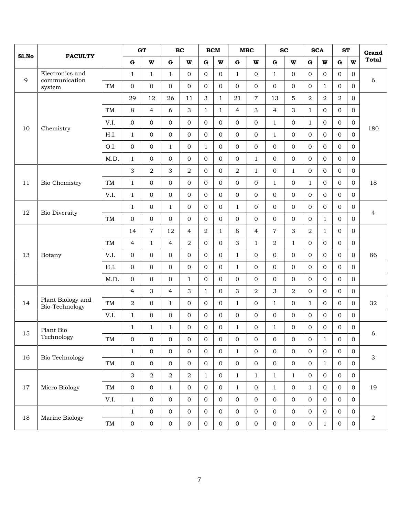|       |                                     |           |                  | GT               |                  | BC               |                | <b>BCM</b>       |                  | MBC              |                | <b>SC</b>        |                  | <b>SCA</b>       | <b>ST</b>        |                  | Grand          |
|-------|-------------------------------------|-----------|------------------|------------------|------------------|------------------|----------------|------------------|------------------|------------------|----------------|------------------|------------------|------------------|------------------|------------------|----------------|
| Sl.No | <b>FACULTY</b>                      |           | $\mathbf G$      | W                | $\mathbf G$      | W                | $\mathbf G$    | W                | $\mathbf G$      | W                | $\mathbf G$    | $\mathbf{W}$     | $\mathbf G$      | $\mathbf{W}$     | $\mathbf G$      | W                | <b>Total</b>   |
|       | Electronics and                     |           | $\mathbf{1}$     | $\mathbf{1}$     | $\mathbf{1}$     | $\overline{0}$   | $\overline{0}$ | $\Omega$         | $\mathbf{1}$     | $\overline{0}$   | $\mathbf{1}$   | $\mathbf{0}$     | $\overline{0}$   | $\Omega$         | $\Omega$         | $\overline{0}$   |                |
| 9     | communication<br>system             | TM        | $\mathbf 0$      | $\overline{0}$   | $\Omega$         | $\overline{0}$   | $\overline{0}$ | $\Omega$         | $\mathbf 0$      | $\overline{0}$   | $\Omega$       | $\overline{0}$   | $\overline{0}$   | $\mathbf{1}$     | $\Omega$         | $\overline{0}$   | 6              |
|       |                                     |           | 29               | 12               | 26               | 11               | 3              | $\mathbf{1}$     | 21               | $\overline{7}$   | 13             | 5                | $\sqrt{2}$       | $\overline{2}$   | $\boldsymbol{2}$ | $\boldsymbol{0}$ |                |
|       |                                     | <b>TM</b> | 8                | $\overline{4}$   | 6                | 3                | $\mathbf{1}$   | $\mathbf{1}$     | $\overline{4}$   | 3                | $\overline{4}$ | 3                | $\mathbf{1}$     | $\Omega$         | $\Omega$         | $\boldsymbol{0}$ |                |
|       |                                     | V.I.      | $\mathbf 0$      | $\overline{0}$   | $\overline{0}$   | 0                | $\overline{0}$ | $\overline{0}$   | $\mathbf 0$      | $\mathbf{0}$     | $\mathbf{1}$   | $\overline{0}$   | $\mathbf{1}$     | $\overline{0}$   | $\mathbf 0$      | $\boldsymbol{0}$ |                |
| 10    | Chemistry                           | H.I.      | $\mathbf{1}$     | $\overline{0}$   | $\overline{0}$   | $\overline{0}$   | $\overline{0}$ | $\overline{0}$   | $\boldsymbol{0}$ | $\overline{0}$   | $\mathbf{1}$   | $\overline{0}$   | $\mathbf{0}$     | $\mathbf{0}$     | $\overline{0}$   | $\overline{0}$   | 180            |
|       |                                     | O.I.      | $\boldsymbol{0}$ | $\overline{0}$   | $\mathbf{1}$     | $\overline{0}$   | $\mathbf{1}$   | $\overline{0}$   | $\boldsymbol{0}$ | $\overline{0}$   | $\overline{0}$ | $\overline{0}$   | $\overline{0}$   | $\overline{0}$   | $\overline{0}$   | $\boldsymbol{0}$ |                |
|       |                                     | M.D.      | $\mathbf{1}$     | $\overline{0}$   | $\Omega$         | $\overline{0}$   | $\overline{0}$ | $\Omega$         | $\boldsymbol{0}$ | $\mathbf{1}$     | $\overline{0}$ | $\mathbf{0}$     | $\overline{0}$   | $\Omega$         | $\Omega$         | $\overline{0}$   |                |
|       |                                     |           | 3                | $\overline{2}$   | 3                | 2                | $\overline{0}$ | $\overline{0}$   | $\sqrt{2}$       | $\mathbf{1}$     | $\mathbf{0}$   | $\mathbf{1}$     | $\mathbf 0$      | $\overline{0}$   | $\mathbf{0}$     | $\boldsymbol{0}$ |                |
| 11    | Bio Chemistry                       | <b>TM</b> | $\mathbf{1}$     | $\overline{0}$   | $\Omega$         | $\mathbf 0$      | $\overline{0}$ | $\Omega$         | $\mathbf{0}$     | $\mathbf{0}$     | $\mathbf{1}$   | $\mathbf{0}$     | $\mathbf{1}$     | $\mathbf{0}$     | $\Omega$         | $\overline{0}$   | 18             |
|       |                                     | V.I.      | $\mathbf{1}$     | $\overline{0}$   | $\overline{0}$   | $\overline{0}$   | $\overline{0}$ | $\overline{0}$   | $\boldsymbol{0}$ | $\overline{O}$   | $\mathbf{0}$   | $\mathbf{0}$     | $\mathbf{0}$     | $\overline{0}$   | $\mathbf{0}$     | $\mathbf 0$      |                |
| 12    |                                     |           | $\mathbf{1}$     | $\overline{0}$   | $\mathbf{1}$     | $\overline{0}$   | $\overline{0}$ | $\overline{0}$   | $\mathbf{1}$     | $\overline{0}$   | $\mathbf{0}$   | $\mathbf{0}$     | $\mathbf{0}$     | $\mathbf{0}$     | $\overline{0}$   | $\boldsymbol{0}$ |                |
|       | <b>Bio Diversity</b>                | <b>TM</b> | $\mathbf{O}$     | $\overline{0}$   | $\Omega$         | $\overline{0}$   | $\overline{0}$ | $\overline{0}$   | $\mathbf{0}$     | $\overline{0}$   | $\Omega$       | $\mathbf{0}$     | $\overline{0}$   | $\mathbf{1}$     | $\Omega$         | $\overline{0}$   | $\overline{4}$ |
|       |                                     |           | 14               | $\overline{7}$   | 12               | $\overline{4}$   | $\overline{2}$ | $\mathbf{1}$     | $\,8\,$          | $\overline{4}$   | $\overline{7}$ | 3                | $\overline{2}$   | $\mathbf{1}$     | $\mathbf{0}$     | $\mathbf 0$      |                |
|       |                                     | TM        | 4                | $\mathbf{1}$     | $\overline{4}$   | 2                | $\overline{0}$ | $\overline{0}$   | 3                | 1                | $\overline{a}$ | $\mathbf{1}$     | $\overline{0}$   | $\Omega$         | $\Omega$         | $\mathbf 0$      |                |
| 13    | Botany                              | V.I.      | $\mathbf 0$      | $\overline{0}$   | $\overline{0}$   | $\overline{O}$   | $\overline{0}$ | $\Omega$         | $\mathbf{1}$     | $\mathbf{0}$     | $\overline{0}$ | $\overline{0}$   | $\overline{0}$   | $\Omega$         | $\Omega$         | $\boldsymbol{0}$ | 86             |
|       |                                     | H.I.      | 0                | $\overline{0}$   | $\overline{0}$   | $\overline{0}$   | $\overline{0}$ | $\Omega$         | $\mathbf{1}$     | $\mathbf{0}$     | $\mathbf{0}$   | $\overline{0}$   | $\overline{0}$   | $\overline{0}$   | $\mathbf{0}$     | 0                |                |
|       |                                     | M.D.      | 0                | $\overline{0}$   | $\overline{0}$   | $\mathbf{1}$     | $\mathbf{0}$   | $\overline{0}$   | $\mathbf 0$      | $\mathbf{0}$     | $\overline{0}$ | $\overline{0}$   | $\mathbf{0}$     | $\mathbf{0}$     | $\overline{0}$   | $\boldsymbol{0}$ |                |
|       |                                     |           | $\overline{4}$   | 3                | $\overline{4}$   | 3                | $\mathbf{1}$   | $\Omega$         | 3                | $\overline{2}$   | 3              | $\overline{2}$   | $\mathbf{0}$     | $\overline{0}$   | $\Omega$         | $\overline{0}$   |                |
| 14    | Plant Biology and<br>Bio-Technology | TM        | $\overline{2}$   | $\overline{0}$   | $\mathbf{1}$     | $\overline{0}$   | $\overline{0}$ | $\overline{0}$   | $\mathbf{1}$     | $\mathbf{0}$     | $\mathbf{1}$   | $\overline{0}$   | $\mathbf{1}$     | $\Omega$         | $\overline{0}$   | $\boldsymbol{0}$ | 32             |
|       |                                     | V.I.      | $\mathbf{1}$     | $\mathbf{0}$     | $\overline{0}$   | $\overline{0}$   | $\overline{0}$ | $\overline{0}$   | $\mathbf 0$      | $\mathbf{0}$     | $\overline{0}$ | $\overline{0}$   | $\mathbf 0$      | $\overline{0}$   | $\mathbf{0}$     | $\overline{0}$   |                |
| 15    | Plant Bio                           |           | $\mathbf{1}$     | $\mathbf{1}$     | $\mathbf{1}$     | $\overline{O}$   | $\overline{0}$ | $\overline{0}$   | $\mathbf{1}$     | $\overline{0}$   | $\mathbf{1}$   | $\overline{0}$   | $\overline{0}$   | $\Omega$         | $\Omega$         | $\boldsymbol{0}$ | 6              |
|       | Technology                          | $\rm TM$  | $\boldsymbol{0}$ | $\boldsymbol{0}$ | $\boldsymbol{0}$ | $\boldsymbol{0}$ | $\mathbf{0}$   | $\boldsymbol{0}$ | $\boldsymbol{0}$ | $\boldsymbol{0}$ | $\mathbf{0}$   | $\boldsymbol{0}$ | $\boldsymbol{0}$ | $\mathbf{1}$     | $\boldsymbol{0}$ | $\boldsymbol{0}$ |                |
| 16    | Bio Technology                      |           | $1\,$            | $\overline{0}$   | $\mathbf{0}$     | $\overline{0}$   | $\mathbf{O}$   | $\mathbf{0}$     | $\mathbf{1}$     | $\overline{0}$   | $\overline{0}$ | $\mathbf{O}$     | $\overline{0}$   | $\overline{0}$   | $\mathbf{0}$     | $\overline{0}$   | 3              |
|       |                                     | $\rm TM$  | $\boldsymbol{0}$ | $\overline{0}$   | $\overline{0}$   | $\overline{0}$   | $\overline{0}$ | $\overline{0}$   | $\mathbf{O}$     | $\overline{0}$   | $\overline{O}$ | $\mathbf{O}$     | $\overline{0}$   | $\mathbf{1}$     | $\mathbf{0}$     | $\overline{0}$   |                |
|       |                                     |           | 3                | $\overline{a}$   | $\overline{a}$   | $\overline{2}$   | $\mathbf{1}$   | $\overline{0}$   | $\mathbf{1}$     | $\mathbf{1}$     | $\mathbf{1}$   | $\mathbf{1}$     | $\overline{0}$   | $\overline{0}$   | $\overline{0}$   | $\mathbf 0$      |                |
| 17    | Micro Biology                       | TM        | $\boldsymbol{0}$ | $\overline{0}$   | $\mathbf{1}$     | $\mathbf{0}$     | $\overline{0}$ | $\mathbf{0}$     | $\mathbf{1}$     | $\mathbf{0}$     | $\mathbf{1}$   | $\mathbf 0$      | $\mathbf{1}$     | $\boldsymbol{0}$ | $\mathbf{0}$     | $\boldsymbol{0}$ | 19             |
|       |                                     | V.I.      | $1\,$            | $\overline{0}$   | $\overline{0}$   | $\mathbf 0$      | $\overline{0}$ | $\overline{0}$   | $\mathbf{0}$     | $\overline{0}$   | $\mathbf{0}$   | $\mathbf 0$      | $\overline{0}$   | $\overline{0}$   | $\overline{0}$   | $\boldsymbol{0}$ |                |
| 18    | Marine Biology                      |           | $\mathbf{1}$     | $\overline{0}$   | $\mathbf 0$      | $\mathbf 0$      | $\mathbf 0$    | $\overline{0}$   | $\boldsymbol{0}$ | $\mathbf{0}$     | $\mathbf{O}$   | $\mathbf{0}$     | $\overline{0}$   | $\overline{0}$   | $\mathbf 0$      | $\boldsymbol{0}$ | $\overline{2}$ |
|       |                                     | TM        | $\boldsymbol{0}$ | $\mathbf 0$      | $\boldsymbol{0}$ | $\boldsymbol{0}$ | $\overline{0}$ | $\boldsymbol{0}$ | $\boldsymbol{0}$ | $\boldsymbol{0}$ | $\mathbf 0$    | $\boldsymbol{0}$ | $\mathbf 0$      | $\mathbf{1}$     | $\mathbf 0$      | $\boldsymbol{0}$ |                |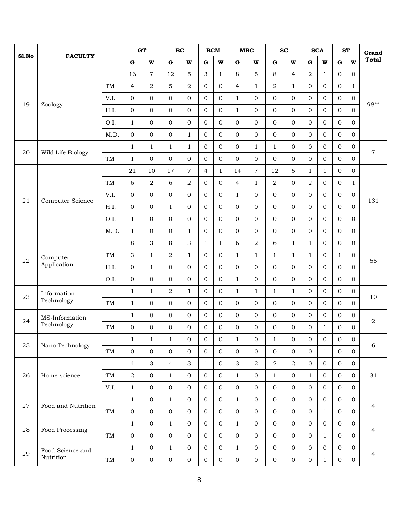|       |                    |           |                  | <b>GT</b>      |                | BC               |                  | <b>BCM</b>       | MBC              |                  |                | <b>SC</b>        |                  | <b>SCA</b>       | <b>ST</b>      |                  | Grand            |
|-------|--------------------|-----------|------------------|----------------|----------------|------------------|------------------|------------------|------------------|------------------|----------------|------------------|------------------|------------------|----------------|------------------|------------------|
| S1.No | <b>FACULTY</b>     |           | ${\bf G}$        | W              | $\mathbf G$    | W                | $\mathbf G$      | W                | $\mathbf G$      | W                | $\mathbf G$    | W                | ${\bf G}$        | W                | $\mathbf G$    | W                | <b>Total</b>     |
|       |                    |           | 16               | $\overline{7}$ | 12             | 5                | 3                | $\mathbf{1}$     | 8                | 5                | 8              | $\overline{4}$   | $\overline{2}$   | $\mathbf{1}$     | $\mathbf{0}$   | $\overline{0}$   |                  |
|       |                    | TM        | $\overline{4}$   | $\overline{a}$ | 5              | $\overline{2}$   | $\overline{0}$   | $\overline{0}$   | $\overline{4}$   | $\mathbf{1}$     | $\overline{2}$ | 1                | $\overline{0}$   | $\overline{0}$   | $\overline{0}$ | $\mathbf{1}$     |                  |
|       |                    | V.I.      | $\mathbf{0}$     | $\overline{0}$ | $\Omega$       | $\Omega$         | $\overline{0}$   | $\Omega$         | $\mathbf{1}$     | $\Omega$         | $\overline{0}$ | $\Omega$         | $\overline{0}$   | $\Omega$         | $\Omega$       | $\overline{0}$   | 98**             |
| 19    | Zoology            | H.I.      | $\boldsymbol{0}$ | $\overline{0}$ | $\overline{0}$ | $\overline{0}$   | $\overline{0}$   | $\overline{0}$   | $\mathbf{1}$     | $\mathbf{0}$     | $\overline{0}$ | $\Omega$         | $\overline{0}$   | $\Omega$         | $\Omega$       | $\overline{0}$   |                  |
|       |                    | O.I.      | $\mathbf{1}$     | $\overline{0}$ | $\overline{0}$ | $\overline{0}$   | $\overline{0}$   | $\Omega$         | $\boldsymbol{0}$ | $\mathbf{0}$     | $\overline{0}$ | $\overline{0}$   | $\overline{0}$   | $\Omega$         | $\overline{0}$ | $\boldsymbol{0}$ |                  |
|       |                    | M.D.      | 0                | $\overline{0}$ | $\Omega$       | $\mathbf{1}$     | $\overline{0}$   | $\Omega$         | $\boldsymbol{0}$ | $\mathbf{0}$     | $\overline{0}$ | $\Omega$         | $\overline{0}$   | $\Omega$         | $\Omega$       | $\overline{0}$   |                  |
|       |                    |           | $\mathbf{1}$     | $\mathbf{1}$   | $\mathbf{1}$   | $\mathbf{1}$     | $\overline{0}$   | $\overline{0}$   | $\boldsymbol{0}$ | $\mathbf{1}$     | $\mathbf{1}$   | $\overline{0}$   | 0                | $\overline{O}$   | $\mathbf 0$    | $\boldsymbol{0}$ |                  |
| 20    | Wild Life Biology  | TM        | $\mathbf{1}$     | $\overline{0}$ | $\Omega$       | $\Omega$         | $\overline{0}$   | $\Omega$         | $\boldsymbol{0}$ | $\overline{0}$   | $\mathbf{0}$   | $\overline{0}$   | $\overline{0}$   | $\overline{0}$   | $\overline{0}$ | $\overline{0}$   | $\overline{7}$   |
|       |                    |           | 21               | 10             | 17             | 7                | $\overline{4}$   | $\mathbf{1}$     | 14               | $\overline{7}$   | 12             | 5                | $\mathbf{1}$     | $\mathbf{1}$     | $\overline{0}$ | $\boldsymbol{0}$ |                  |
|       |                    | $\rm TM$  | 6                | $\overline{a}$ | 6              | $\overline{2}$   | $\overline{0}$   | $\Omega$         | $\overline{4}$   | $\mathbf{1}$     | $\overline{2}$ | $\mathbf{0}$     | $\overline{2}$   | $\Omega$         | $\Omega$       | $\mathbf{1}$     |                  |
|       |                    | V.I.      | $\boldsymbol{0}$ | $\overline{0}$ | $\Omega$       | $\mathbf 0$      | $\overline{0}$   | $\Omega$         | $\mathbf{1}$     | $\Omega$         | $\overline{0}$ | $\mathbf{0}$     | $\overline{0}$   | $\Omega$         | $\overline{0}$ | $\overline{0}$   |                  |
| 21    | Computer Science   | H.I.      | $\mathbf 0$      | $\overline{0}$ | $\mathbf{1}$   | $\mathbf 0$      | $\overline{0}$   | $\overline{0}$   | $\boldsymbol{0}$ | $\mathbf{0}$     | $\overline{0}$ | $\mathbf{0}$     | $\overline{0}$   | $\overline{0}$   | $\Omega$       | $\overline{0}$   | 131              |
|       |                    | O.I.      | $\mathbf{1}$     | $\overline{0}$ | $\overline{0}$ | $\overline{0}$   | $\overline{0}$   | $\overline{0}$   | $\boldsymbol{0}$ | $\mathbf{0}$     | $\mathbf{0}$   | $\mathbf{0}$     | 0                | $\overline{0}$   | $\mathbf{0}$   | $\boldsymbol{0}$ |                  |
|       |                    | M.D.      | $\mathbf{1}$     | $\overline{0}$ | $\mathbf{0}$   | $\mathbf{1}$     | $\overline{0}$   | $\mathbf{0}$     | $\boldsymbol{0}$ | $\mathbf{O}$     | $\mathbf{0}$   | $\mathbf{0}$     | $\overline{0}$   | $\overline{0}$   | $\overline{0}$ | $\overline{0}$   |                  |
|       |                    |           | 8                | 3              | 8              | 3                | $\mathbf{1}$     | $\mathbf{1}$     | 6                | $\overline{2}$   | 6              | 1                | $\mathbf{1}$     | $\Omega$         | $\Omega$       | $\overline{0}$   |                  |
|       | Computer           | $\rm TM$  | 3                | $\mathbf{1}$   | 2              | $\mathbf{1}$     | $\overline{0}$   | $\overline{0}$   | $\mathbf{1}$     | $\mathbf{1}$     | $\mathbf{1}$   | 1                | $\mathbf{1}$     | $\overline{0}$   | $\mathbf{1}$   | $\mathbf 0$      |                  |
| 22    | Application        | H.I.      | 0                | $\mathbf{1}$   | $\overline{0}$ | $\Omega$         | $\overline{0}$   | $\Omega$         | $\boldsymbol{0}$ | $\Omega$         | $\Omega$       | $\Omega$         | $\overline{0}$   | $\Omega$         | $\Omega$       | $\Omega$         | 55               |
|       |                    | O.I.      | $\mathbf{0}$     | $\overline{0}$ | $\overline{0}$ | $\overline{0}$   | $\overline{0}$   | $\overline{0}$   | $\mathbf{1}$     | $\mathbf{0}$     | $\overline{0}$ | $\overline{0}$   | $\overline{0}$   | $\Omega$         | $\mathbf{0}$   | $\boldsymbol{0}$ |                  |
|       | Information        |           | $\mathbf{1}$     | $\mathbf{1}$   | $\overline{2}$ | $\mathbf{1}$     | $\overline{0}$   | $\overline{0}$   | $\mathbf{1}$     | $\mathbf{1}$     | $\mathbf{1}$   | $\mathbf{1}$     | $\overline{0}$   | $\overline{O}$   | $\overline{0}$ | $\overline{0}$   |                  |
| 23    | Technology         | <b>TM</b> | $\mathbf{1}$     | $\overline{0}$ | $\mathbf{0}$   | $\overline{0}$   | $\overline{0}$   | $\Omega$         | $\boldsymbol{0}$ | $\mathbf{0}$     | $\mathbf{0}$   | $\mathbf{0}$     | $\overline{0}$   | $\overline{0}$   | $\overline{0}$ | $\overline{0}$   | 10               |
|       | MS-Information     |           | $\mathbf{1}$     | $\overline{0}$ | $\Omega$       | $\Omega$         | $\overline{0}$   | $\Omega$         | $\boldsymbol{0}$ | $\Omega$         | $\Omega$       | $\Omega$         | $\overline{0}$   | $\Omega$         | $\Omega$       | $\overline{0}$   |                  |
| 24    | Technology         | TM        | 0                | $\overline{0}$ | $\Omega$       | $\Omega$         | $\Omega$         | $\Omega$         | $\mathbf{0}$     | $\Omega$         | $\overline{0}$ | $\Omega$         | $\mathbf{0}$     | $\mathbf{1}$     | $\Omega$       | $\overline{0}$   | $\boldsymbol{2}$ |
|       |                    |           | $\,1$            | $\mathbf{1}$   | $1\,$          | $\boldsymbol{0}$ | $\boldsymbol{0}$ | $\boldsymbol{0}$ | $1\,$            | $\boldsymbol{0}$ | $1\,$          | $\boldsymbol{0}$ | $\boldsymbol{0}$ | $\boldsymbol{0}$ | $\mathbf 0$    | $\boldsymbol{0}$ |                  |
| 25    | Nano Technology    | $\rm TM$  | $\boldsymbol{0}$ | $\overline{0}$ | $\overline{0}$ | $\overline{0}$   | $\overline{0}$   | $\overline{0}$   | $\overline{0}$   | $\mathbf{0}$     | $\overline{0}$ | $\mathbf{0}$     | $\mathbf{0}$     | $\mathbf{1}$     | $\mathbf{0}$   | $\overline{0}$   | 6                |
|       |                    |           | $\overline{4}$   | 3              | $\overline{4}$ | 3                | $\mathbf{1}$     | $\mathbf{0}$     | 3                | $\sqrt{2}$       | $\sqrt{2}$     | $\sqrt{2}$       | $\mathbf{0}$     | $\mathbf{0}$     | $\mathbf{0}$   | $\boldsymbol{0}$ |                  |
| 26    | Home science       | TM        | $\overline{a}$   | $\overline{0}$ | $\mathbf{1}$   | $\overline{0}$   | $\overline{0}$   | $\overline{0}$   | $1\,$            | $\overline{0}$   | $\mathbf{1}$   | $\mathbf 0$      | $\mathbf{1}$     | $\mathbf{O}$     | $\overline{0}$ | $\overline{0}$   | 31               |
|       |                    | V.I.      | $\mathbf{1}$     | $\overline{0}$ | $\mathbf{0}$   | $\overline{0}$   | $\overline{0}$   | $\overline{0}$   | $\boldsymbol{0}$ | $\overline{0}$   | $\mathbf{0}$   | $\mathbf{0}$     | $\overline{0}$   | $\overline{0}$   | $\overline{0}$ | $\overline{0}$   |                  |
|       |                    |           | $\mathbf{1}$     | $\mathbf{O}$   | $\mathbf{1}$   | $\mathbf 0$      | $\overline{0}$   | $\overline{0}$   | $\mathbf{1}$     | $\overline{0}$   | $\mathbf{0}$   | $\mathbf{0}$     | $\overline{0}$   | $\mathbf{0}$     | $\mathbf{0}$   | $\overline{0}$   |                  |
| 27    | Food and Nutrition | TM        | $\mathbf{0}$     | $\mathbf{0}$   | $\mathbf 0$    | $\mathbf 0$      | $\mathbf{0}$     | $\overline{0}$   | $\boldsymbol{0}$ | $\overline{0}$   | $\overline{0}$ | $\overline{0}$   | $\overline{0}$   | $\mathbf{1}$     | $\overline{0}$ | $\mathbf 0$      | $\overline{4}$   |
|       |                    |           | $\mathbf{1}$     | $\overline{0}$ | $\mathbf{1}$   | $\mathbf 0$      | $\mathbf{0}$     | $\mathbf{0}$     | $\mathbf{1}$     | $\overline{0}$   | $\overline{0}$ | $\overline{0}$   | $\overline{0}$   | $\mathbf{0}$     | $\mathbf{0}$   | $\boldsymbol{0}$ |                  |
| 28    | Food Processing    | TM        | $\overline{0}$   | $\overline{0}$ | $\mathbf 0$    | $\mathbf 0$      | $\overline{0}$   | $\mathbf{0}$     | $\boldsymbol{0}$ | $\mathbf{0}$     | $\mathbf{0}$   | $\mathbf{0}$     | $\mathbf{0}$     | $\mathbf{1}$     | $\mathbf 0$    | $\boldsymbol{0}$ | 4                |
|       | Food Science and   |           | $\mathbf{1}$     | $\mathbf{0}$   | $\mathbf{1}$   | $\mathbf 0$      | $\overline{0}$   | $\mathbf{0}$     | $\mathbf{1}$     | $\mathbf{0}$     | $\overline{0}$ | $\mathbf{0}$     | $\mathbf{0}$     | $\overline{0}$   | $\mathbf 0$    | $\boldsymbol{0}$ |                  |
| 29    | Nutrition          | $\rm{TM}$ | $\boldsymbol{0}$ | $\overline{0}$ | $\overline{0}$ | $\mathbf 0$      | $\overline{0}$   | $\mathbf{0}$     | $\boldsymbol{0}$ | $\mathbf{0}$     | $\overline{0}$ | $\mathbf{0}$     | $\overline{0}$   | $\mathbf{1}$     | $\overline{0}$ | $\overline{0}$   | $\overline{4}$   |
|       |                    |           |                  |                |                |                  |                  |                  |                  |                  |                |                  |                  |                  |                |                  |                  |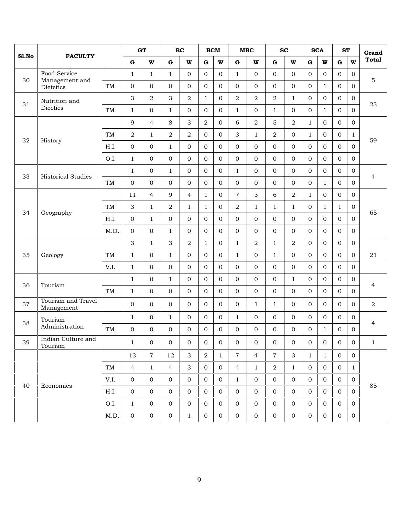|       |                                  |           | G T                       |                |                | BC             |                | <b>BCM</b>     |                  | MBC            |                  | <b>SC</b>      |                | <b>SCA</b>     | <b>ST</b>      |                  | Grand          |
|-------|----------------------------------|-----------|---------------------------|----------------|----------------|----------------|----------------|----------------|------------------|----------------|------------------|----------------|----------------|----------------|----------------|------------------|----------------|
| Sl.No | <b>FACULTY</b>                   |           | ${\bf G}$                 | W              | $\mathbf G$    | W              | $\mathbf G$    | W              | $\bf G$          | W              | $\mathbf G$      | $\mathbf{W}$   | ${\bf G}$      | W              | $\mathbf G$    | $\mathbf{w}$     | <b>Total</b>   |
|       | Food Service                     |           | $\mathbf{1}$              | $\mathbf{1}$   | $\mathbf{1}$   | $\overline{0}$ | $\overline{0}$ | $\Omega$       | $\mathbf{1}$     | $\mathbf{0}$   | $\overline{0}$   | $\overline{0}$ | $\overline{0}$ | $\overline{0}$ | $\Omega$       | $\mathbf{0}$     |                |
| 30    | Management and<br>Dietetics      | TM        | $\boldsymbol{0}$          | $\overline{O}$ | $\Omega$       | $\overline{0}$ | $\Omega$       | $\Omega$       | $\mathbf 0$      | $\mathbf{0}$   | $\overline{0}$   | $\overline{0}$ | $\overline{0}$ | $\mathbf{1}$   | $\Omega$       | $\overline{0}$   | 5              |
| 31    | Nutrition and                    |           | 3                         | $\overline{2}$ | 3              | $\overline{a}$ | $\mathbf{1}$   | $\overline{0}$ | $\,2$            | $\overline{2}$ | $\overline{2}$   | $\mathbf{1}$   | $\overline{0}$ | $\Omega$       | $\mathbf{0}$   | $\mathbf{0}$     | 23             |
|       | Diectics                         | <b>TM</b> | $\mathbf{1}$              | 0              | $\mathbf{1}$   | $\Omega$       | $\overline{0}$ | $\Omega$       | $\mathbf{1}$     | $\mathbf{0}$   | $\mathbf{1}$     | $\overline{0}$ | $\overline{0}$ | $\mathbf{1}$   | $\Omega$       | $\overline{O}$   |                |
|       |                                  |           | 9                         | $\overline{4}$ | 8              | 3              | $\overline{2}$ | $\overline{0}$ | 6                | $\overline{a}$ | $\mathbf 5$      | 2              | $\mathbf{1}$   | $\mathbf{0}$   | $\mathbf 0$    | $\boldsymbol{0}$ |                |
| 32    |                                  | TM        | $\,2$                     | $\mathbf{1}$   | $\overline{2}$ | 2              | $\overline{0}$ | $\overline{0}$ | 3                | $\mathbf{1}$   | $\overline{2}$   | $\overline{0}$ | $\mathbf{1}$   | $\mathbf{0}$   | $\overline{0}$ | $\mathbf{1}$     | 59             |
|       | History                          | H.I.      | $\boldsymbol{0}$          | $\overline{O}$ | $\mathbf{1}$   | $\overline{0}$ | $\overline{0}$ | $\overline{0}$ | $\boldsymbol{0}$ | $\mathbf{0}$   | $\overline{0}$   | $\overline{0}$ | 0              | $\overline{0}$ | $\mathbf{0}$   | $\overline{0}$   |                |
|       |                                  | O.I.      | $\mathbf{1}$              | $\overline{O}$ | $\Omega$       | $\overline{0}$ | $\Omega$       | $\Omega$       | $\boldsymbol{0}$ | $\mathbf{0}$   | $\overline{0}$   | $\overline{0}$ | $\overline{0}$ | $\Omega$       | $\mathbf{0}$   | $\overline{0}$   |                |
| 33    | <b>Historical Studies</b>        |           | $\mathbf{1}$              | $\overline{0}$ | $\mathbf{1}$   | $\overline{0}$ | $\overline{0}$ | $\overline{0}$ | $\mathbf{1}$     | $\mathbf{0}$   | $\overline{0}$   | $\overline{0}$ | $\overline{0}$ | $\mathbf{0}$   | $\mathbf{0}$   | $\mathbf{0}$     | $\overline{4}$ |
|       |                                  | TM        | $\mathbf{O}$              | $\overline{O}$ | $\Omega$       | $\Omega$       | $\Omega$       | $\Omega$       | $\boldsymbol{0}$ | $\Omega$       | $\Omega$         | $\mathbf{O}$   | $\overline{0}$ | $\mathbf{1}$   | $\mathbf{0}$   | $\overline{0}$   |                |
|       |                                  |           | 11                        | $\overline{4}$ | 9              | $\overline{4}$ | $\mathbf{1}$   | $\overline{0}$ | $\overline{7}$   | 3              | 6                | $\overline{2}$ | $\mathbf{1}$   | $\overline{0}$ | $\mathbf{0}$   | $\overline{0}$   |                |
| 34    | Geography                        | TM        | $\ensuremath{\mathsf{3}}$ | $\mathbf{1}$   | 2              | $\mathbf{1}$   | $\mathbf{1}$   | $\overline{0}$ | $\overline{2}$   | $\mathbf{1}$   | $1\,$            | $\mathbf{1}$   | 0              | $\mathbf{1}$   | 1              | $\boldsymbol{0}$ | 65             |
|       |                                  | H.I.      | $\mathbf 0$               | $\mathbf{1}$   | $\Omega$       | $\overline{0}$ | $\overline{0}$ | $\Omega$       | $\boldsymbol{0}$ | $\mathbf{0}$   | $\overline{0}$   | $\overline{0}$ | $\overline{0}$ | $\Omega$       | $\Omega$       | $\overline{0}$   |                |
|       |                                  | M.D.      | $\boldsymbol{0}$          | $\overline{0}$ | $\mathbf{1}$   | $\overline{0}$ | $\overline{0}$ | $\overline{0}$ | $\mathbf 0$      | $\mathbf{0}$   | $\overline{0}$   | $\overline{0}$ | $\overline{0}$ | $\Omega$       | $\mathbf{0}$   | $\mathbf{0}$     |                |
|       |                                  |           | 3                         | $\mathbf{1}$   | 3              | 2              | $\mathbf{1}$   | $\overline{0}$ | $\mathbf{1}$     | $\overline{a}$ | $\mathbf{1}$     | 2              | $\overline{0}$ | $\mathbf{0}$   | $\overline{0}$ | $\mathbf{0}$     |                |
| 35    | Geology                          | <b>TM</b> | $\mathbf{1}$              | 0              | $\mathbf{1}$   | $\overline{0}$ | $\mathbf{0}$   | $\overline{0}$ | $\mathbf{1}$     | $\mathbf{0}$   | $\mathbf{1}$     | $\overline{0}$ | $\overline{0}$ | $\Omega$       | $\mathbf{0}$   | $\overline{0}$   | 21             |
|       |                                  | V.I.      | $\mathbf{1}$              | $\overline{O}$ | $\overline{0}$ | $\overline{0}$ | $\overline{0}$ | $\overline{0}$ | $\mathbf 0$      | $\mathbf{0}$   | $\overline{0}$   | $\overline{0}$ | $\overline{0}$ | $\overline{0}$ | $\mathbf{0}$   | $\overline{0}$   |                |
| 36    | Tourism                          |           | $\mathbf{1}$              | $\overline{O}$ | $\mathbf{1}$   | $\overline{0}$ | $\overline{0}$ | $\overline{0}$ | $\boldsymbol{0}$ | $\mathbf{0}$   | $\overline{0}$   | $\mathbf{1}$   | $\overline{0}$ | $\mathbf{0}$   | $\mathbf{0}$   | $\boldsymbol{0}$ | 4              |
|       |                                  | TM        | $\mathbf{1}$              | $\overline{O}$ | $\Omega$       | $\overline{0}$ | $\mathbf{0}$   | $\Omega$       | $\boldsymbol{0}$ | $\mathbf{0}$   | $\overline{0}$   | $\overline{0}$ | $\overline{0}$ | $\overline{0}$ | $\Omega$       | $\overline{0}$   |                |
| 37    | Tourism and Travel<br>Management |           | $\mathbf 0$               | $\overline{O}$ | $\Omega$       | $\overline{0}$ | $\overline{0}$ | $\overline{0}$ | $\mathbf 0$      | $\mathbf{1}$   | $\mathbf{1}$     | $\overline{0}$ | $\overline{0}$ | $\overline{0}$ | $\Omega$       | $\overline{0}$   | 2              |
| 38    | Tourism                          |           | $\mathbf{1}$              | 0              | $\mathbf{1}$   | $\overline{0}$ | $\overline{0}$ | $\overline{0}$ | $\mathbf{1}$     | $\mathbf{0}$   | $\overline{0}$   | $\overline{0}$ | $\overline{0}$ | $\mathbf{0}$   | $\mathbf{0}$   | $\mathbf 0$      | 4              |
|       | Administration                   | TM        | 0                         | 0              | $\mathbf{0}$   | $\overline{0}$ | $\mathbf 0$    | $\overline{0}$ | $\boldsymbol{0}$ | $\mathbf 0$    | $\boldsymbol{0}$ | $\mathbf 0$    | 0              | $\mathbf{1}$   | $\mathbf 0$    | $\boldsymbol{0}$ |                |
| 39    | Indian Culture and<br>Tourism    |           | $\mathbf{1}$              | $\mathbf 0$    | $\overline{0}$ | $\mathbf{0}$   | $\overline{0}$ | $\overline{0}$ | $\mathbf 0$      | $\mathbf{0}$   | $\overline{0}$   | $\mathbf 0$    | $\mathbf{0}$   | $\overline{0}$ | $\overline{0}$ | $\overline{0}$   | $\mathbf{1}$   |
|       |                                  |           | 13                        | $\overline{7}$ | 12             | 3              | $\overline{a}$ | $\mathbf{1}$   | $\overline{7}$   | $\overline{4}$ | $\overline{7}$   | 3              | $\mathbf{1}$   | $\mathbf{1}$   | $\overline{0}$ | $\mathbf{0}$     |                |
|       |                                  | TM        | $\overline{4}$            | $\mathbf{1}$   | $\overline{4}$ | 3              | $\overline{0}$ | $\overline{0}$ | $\overline{4}$   | $\mathbf{1}$   | $\overline{a}$   | $\mathbf{1}$   | $\overline{0}$ | $\mathbf{0}$   | $\Omega$       | $\mathbf{1}$     |                |
|       |                                  | V.I.      | $\boldsymbol{0}$          | $\overline{0}$ | $\overline{0}$ | $\mathbf{0}$   | $\overline{0}$ | $\overline{0}$ | $\mathbf{1}$     | $\overline{0}$ | $\overline{0}$   | $\mathbf 0$    | $\mathbf{O}$   | $\overline{0}$ | $\overline{0}$ | $\overline{0}$   |                |
| 40    | Economics                        | H.I.      | $\boldsymbol{0}$          | $\overline{0}$ | $\overline{0}$ | $\overline{0}$ | $\overline{0}$ | $\overline{0}$ | $\overline{0}$   | $\overline{0}$ | $\overline{0}$   | $\overline{0}$ | $\overline{0}$ | $\mathbf{0}$   | $\overline{0}$ | $\overline{0}$   | 85             |
|       |                                  | O.I.      | $\mathbf{1}$              | $\overline{0}$ | $\overline{0}$ | $\mathbf{0}$   | $\overline{0}$ | $\overline{0}$ | $\boldsymbol{0}$ | $\overline{0}$ | $\overline{0}$   | $\overline{0}$ | $\mathbf{O}$   | $\mathbf{0}$   | $\overline{0}$ | $\boldsymbol{0}$ |                |
|       |                                  | M.D.      | $\mathbf{O}$              | $\overline{0}$ | $\overline{0}$ | $\mathbf{1}$   | $\overline{0}$ | $\overline{0}$ | $\overline{0}$   | $\overline{0}$ | $\overline{0}$   | $\overline{0}$ | $\overline{0}$ | $\overline{0}$ | $\overline{0}$ | $\overline{0}$   |                |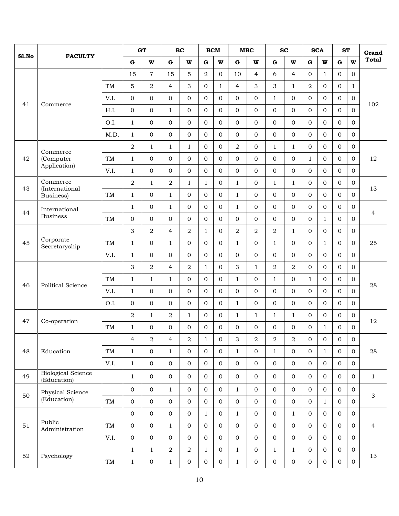| <b>Total</b><br>$\mathbf G$<br>$\mathbf G$<br>$\mathbf G$<br>W<br>W<br>$\mathbf G$<br>W<br>$\mathbf G$<br>W<br>W<br>W<br>${\bf G}$<br>W<br>$\mathbf G$<br>5<br>$\overline{2}$<br>6<br>15<br>$\overline{7}$<br>15<br>$\overline{0}$<br>10<br>$\overline{4}$<br>$\overline{4}$<br>$\overline{0}$<br>$\mathbf{1}$<br>$\mathbf{0}$<br>$\overline{0}$<br>5<br>$\overline{a}$<br>$\overline{0}$<br>$\overline{4}$<br>3<br>$\overline{2}$<br>TM<br>$\overline{4}$<br>3<br>3<br>$\Omega$<br>$\Omega$<br>$\mathbf{1}$<br>$\mathbf{1}$<br>1<br>$\mathbf{0}$<br>$\Omega$<br>$\Omega$<br>$\Omega$<br>$\Omega$<br>$\Omega$<br>$\boldsymbol{0}$<br>$\Omega$<br>$\Omega$<br>$\overline{0}$<br>$\Omega$<br>$\overline{0}$<br>V.I.<br>$\mathbf{1}$<br>$\Omega$<br>41<br>102<br>Commerce<br>$\mathbf{0}$<br>$\overline{0}$<br>$\boldsymbol{0}$<br>$\Omega$<br>$\Omega$<br>$\Omega$<br>$\overline{0}$<br>H.I.<br>$\overline{0}$<br>$\mathbf{1}$<br>$\overline{0}$<br>$\overline{0}$<br>$\Omega$<br>$\overline{0}$<br>$\Omega$<br>$\boldsymbol{0}$<br>$\mathbf{1}$<br>$\overline{0}$<br>$\overline{0}$<br>$\boldsymbol{0}$<br>$\overline{0}$<br>$\overline{0}$<br>$\Omega$<br>O.I.<br>$\overline{0}$<br>$\overline{0}$<br>$\Omega$<br>$\Omega$<br>$\mathbf{0}$<br>$\mathbf{0}$<br>$\overline{0}$<br>$\overline{0}$<br>$\overline{0}$<br>$\Omega$<br>$\boldsymbol{0}$<br>$\Omega$<br>$\Omega$<br>$\overline{0}$<br>$\Omega$<br>M.D.<br>$\mathbf{1}$<br>$\overline{0}$<br>$\Omega$<br>$\mathbf{0}$<br>$\Omega$<br>$\boldsymbol{0}$<br>$\sqrt{2}$<br>$\overline{0}$<br>$\overline{0}$<br>$\sqrt{2}$<br>$\mathbf{0}$<br>$\mathbf{1}$<br>$\mathbf{0}$<br>$\overline{O}$<br>$\mathbf{0}$<br>$\mathbf{1}$<br>$\mathbf{1}$<br>$\mathbf{1}$<br>$\mathbf{1}$<br>Commerce<br>$\boldsymbol{0}$<br>$\mathbf{0}$<br>$\overline{0}$<br>42<br>(Computer<br>$\mathbf{1}$<br>$\overline{0}$<br>$\Omega$<br>$\Omega$<br>$\overline{0}$<br>$\Omega$<br>$\Omega$<br>$\overline{0}$<br>$\overline{0}$<br>12<br>TM<br>$\mathbf{1}$<br>$\overline{0}$<br>Application)<br>$\boldsymbol{0}$<br>V.I.<br>$\Omega$<br>$\overline{0}$<br>$\overline{0}$<br>$\Omega$<br>$\Omega$<br>$\overline{0}$<br>$\overline{0}$<br>$\mathbf{0}$<br>$\Omega$<br>$\Omega$<br>$\overline{0}$<br>$\mathbf{1}$<br>$\overline{0}$<br>Commerce<br>$\overline{2}$<br>$\overline{2}$<br>$\Omega$<br>$\mathbf{1}$<br>$\Omega$<br>$\mathbf{1}$<br>$\mathbf{0}$<br>$\Omega$<br>$\Omega$<br>$\overline{0}$<br>$\mathbf{1}$<br>$\mathbf{1}$<br>$\mathbf{1}$<br>$\mathbf{1}$<br>43<br>(International<br>13<br>$\overline{0}$<br>$\mathbf{1}$<br>$\overline{0}$<br>$\mathbf{0}$<br>$\Omega$<br>$\Omega$<br>TM<br>$\mathbf{1}$<br>$\overline{0}$<br>$\mathbf{1}$<br>$\Omega$<br>$\Omega$<br>$\Omega$<br>$\overline{0}$<br>$\Omega$<br>Business)<br>$\overline{0}$<br>$1\,$<br>$\overline{0}$<br>$\mathbf{0}$<br>$\overline{0}$<br>$\overline{0}$<br>$\overline{0}$<br>$\mathbf{1}$<br>$\overline{0}$<br>$\overline{0}$<br>$\Omega$<br>$\Omega$<br>$\Omega$<br>$\mathbf{1}$<br>International<br>44<br>4<br><b>Business</b><br>$\overline{0}$<br>$\rm TM$<br>0<br>$\overline{0}$<br>$\overline{0}$<br>$\overline{0}$<br>$\overline{0}$<br>$\overline{0}$<br>$\boldsymbol{0}$<br>$\mathbf{0}$<br>$\overline{0}$<br>$\overline{0}$<br>$\overline{0}$<br>$\mathbf{0}$<br>$\mathbf{1}$<br>$\overline{2}$<br>$\overline{2}$<br>3<br>$\overline{2}$<br>$\overline{2}$<br>$\overline{2}$<br>$\overline{0}$<br>$\Omega$<br>$\overline{0}$<br>$\overline{4}$<br>$\mathbf{1}$<br>$\overline{0}$<br>$\mathbf{0}$<br>1<br>Corporate<br>45<br>$\overline{0}$<br>$\Omega$<br>$\Omega$<br>$\mathbf{1}$<br>$\Omega$<br>$\overline{0}$<br>25<br>TM<br>$\mathbf{1}$<br>1<br>$\Omega$<br>$\Omega$<br>$\mathbf{1}$<br>$\overline{0}$<br>$\Omega$<br>1<br>Secretaryship<br>V.I.<br>$\overline{0}$<br>$\overline{0}$<br>$\boldsymbol{0}$<br>$\mathbf{0}$<br>$\overline{0}$<br>$\overline{0}$<br>$\Omega$<br>$\overline{0}$<br>$\mathbf{1}$<br>$\overline{0}$<br>$\overline{0}$<br>$\overline{0}$<br>$\overline{0}$<br>$\mathbf{0}$<br>3<br>$\overline{2}$<br>3<br>$\overline{2}$<br>$\overline{2}$<br>$\overline{0}$<br>2<br>$\Omega$<br>$\overline{4}$<br>$\mathbf{1}$<br>$\Omega$<br>$\overline{0}$<br>$\Omega$<br>1<br>$\overline{0}$<br>$\overline{0}$<br>$\mathbf{1}$<br>$\mathbf{1}$<br>$\overline{0}$<br>$\Omega$<br>$\mathbf 0$<br>TM<br>$\mathbf{1}$<br>$\mathbf{1}$<br>$\mathbf{1}$<br>$\overline{0}$<br>$\mathbf{0}$<br>$\mathbf{1}$<br>$\mathbf{0}$<br>46<br><b>Political Science</b><br>28<br>$\overline{0}$<br>V.I.<br>$\mathbf{1}$<br>$\overline{0}$<br>$\Omega$<br>$\overline{0}$<br>$\overline{0}$<br>$\Omega$<br>$\boldsymbol{0}$<br>$\mathbf{0}$<br>$\overline{0}$<br>$\Omega$<br>$\overline{0}$<br>$\overline{O}$<br>$\mathbf{0}$<br>$\boldsymbol{0}$<br>$\overline{0}$<br>$\mathbf{0}$<br>$\boldsymbol{0}$<br>$\overline{0}$<br>$\mathbf{0}$<br>$\overline{0}$<br>$\Omega$<br>$\mathbf{1}$<br>$\mathbf{0}$<br>$\overline{0}$<br>$\mathbf{0}$<br>$\Omega$<br>$\overline{0}$<br>O.I.<br>$\overline{2}$<br>$\overline{2}$<br>$\overline{0}$<br>$\Omega$<br>$\mathbf{0}$<br>$\Omega$<br>$\Omega$<br>$\overline{0}$<br>$\mathbf{1}$<br>$\mathbf{1}$<br>$\mathbf{1}$<br>$\mathbf{1}$<br>1<br>1<br>47<br>12<br>Co-operation<br>$\overline{0}$<br>$\Omega$<br>$\Omega$<br>$\Omega$<br>$\Omega$<br>$\mathbf{0}$<br>$\Omega$<br>$\overline{0}$<br>$\Omega$<br>$\Omega$<br>$\overline{0}$<br>TM<br>$\mathbf{1}$<br>$\mathbf{0}$<br>$\mathbf{1}$<br>$\ensuremath{\mathsf{3}}$<br>$\,2$<br>$\sqrt{2}$<br>$\,2$<br>$\overline{4}$<br>$\overline{2}$<br>$\overline{4}$<br>$\sqrt{2}$<br>$\,1\,$<br>$\boldsymbol{0}$<br>$\boldsymbol{0}$<br>$\boldsymbol{0}$<br>$\boldsymbol{0}$<br>$\boldsymbol{0}$<br>$\overline{0}$<br>$\overline{0}$<br>$\mathbf{1}$<br>$\mathbf{1}$<br>$\overline{0}$<br>$\overline{0}$<br>$\mathbf{0}$<br>28<br>48<br>Education<br>$\rm TM$<br>$1\,$<br>$\overline{0}$<br>$\mathbf{1}$<br>$\overline{0}$<br>$\overline{0}$<br>$\mathbf{1}$<br>$\overline{0}$<br>$\overline{0}$<br>$\mathbf{O}$<br>$1\,$<br>$\overline{0}$<br>$\boldsymbol{0}$<br>$\mathbf 0$<br>$\overline{0}$<br>$\mathbf{0}$<br>$\boldsymbol{0}$<br>$\mathbf{0}$<br>$\overline{0}$<br>$\overline{0}$<br>$\overline{0}$<br>$\mathbf{0}$<br>V.I.<br><b>Biological Science</b><br>49<br>$\overline{0}$<br>$\mathbf{0}$<br>$\mathbf 0$<br>$\overline{0}$<br>$\boldsymbol{0}$<br>$\overline{0}$<br>$\overline{0}$<br>$\mathbf{0}$<br>$\overline{0}$<br>$\overline{0}$<br>$\mathbf{1}$<br>$\overline{0}$<br>$\overline{0}$<br>$\overline{0}$<br>$\mathbf{1}$<br>(Education)<br>$\overline{0}$<br>$\mathbf 0$<br>$\overline{0}$<br>$\mathbf{0}$<br>$\overline{0}$<br>$\overline{0}$<br>$\mathbf{1}$<br>$\overline{0}$<br>$\overline{0}$<br>$\mathbf{0}$<br>$\overline{0}$<br>$\overline{0}$<br>$\mathbf{1}$<br>$\overline{0}$<br>Physical Science<br>50<br>3<br>(Education)<br>$\mathbf 0$<br>$\overline{0}$<br>$\boldsymbol{0}$<br>$\overline{0}$<br>$\rm TM$<br>$\mathbf 0$<br>$\mathbf{0}$<br>$\overline{0}$<br>$\mathbf 0$<br>$\overline{0}$<br>$\overline{0}$<br>$\mathbf{0}$<br>$\mathbf{0}$<br>$\overline{0}$<br>$\mathbf{1}$<br>$\boldsymbol{0}$<br>$\overline{0}$<br>$\overline{0}$<br>$\overline{0}$<br>$\mathbf{0}$<br>$\mathbf{1}$<br>$\overline{0}$<br>$\mathbf{1}$<br>$\overline{0}$<br>$\mathbf{1}$<br>$\mathbf{0}$<br>$\overline{0}$<br>$\overline{0}$<br>$\overline{0}$<br>Public<br>$\boldsymbol{0}$<br>$\mathbf 0$<br>$\overline{0}$<br>$\mathbf{O}$<br>$\boldsymbol{0}$<br>$51\,$<br>$\rm TM$<br>$\overline{0}$<br>$\mathbf{1}$<br>$\mathbf 0$<br>$\overline{0}$<br>$\overline{0}$<br>$\mathbf{0}$<br>$\overline{0}$<br>$\overline{0}$<br>$\overline{0}$<br>$\overline{4}$<br>Administration<br>$\overline{0}$<br>$\mathbf 0$<br>$\overline{0}$<br>$\mathbf{O}$<br>$\overline{0}$<br>$\overline{O}$<br>$\mathbf 0$<br>$\overline{0}$<br>$\overline{0}$<br>$\mathbf 0$<br>$\overline{0}$<br>$\overline{0}$<br>$\overline{0}$<br>$\boldsymbol{0}$<br>V.I.<br>$\overline{0}$<br>$\sqrt{2}$<br>$1\,$<br>$\overline{a}$<br>$\mathbf{1}$<br>$1\,$<br>$\overline{0}$<br>$\overline{0}$<br>$\overline{0}$<br>$\mathbf{1}$<br>$\overline{0}$<br>$\mathbf{1}$<br>$\overline{0}$<br>$\mathbf{1}$<br>52<br>Psychology<br>13<br>$\overline{0}$<br>$\overline{0}$<br>$\overline{0}$<br>$\overline{0}$<br>$\overline{0}$<br>$\overline{0}$<br>$\overline{0}$<br>$1\,$<br>$\mathbf{0}$<br>$\mathbf{0}$<br>$\overline{0}$<br>$\rm TM$<br>$\mathbf{1}$<br>$\mathbf{1}$<br>$\overline{0}$ |       |                |  |  |  | GT<br>BC |  | BCM<br>MBC |  | <b>SC</b> |  | <b>SCA</b> |  | <b>ST</b> |  | Grand |
|---------------------------------------------------------------------------------------------------------------------------------------------------------------------------------------------------------------------------------------------------------------------------------------------------------------------------------------------------------------------------------------------------------------------------------------------------------------------------------------------------------------------------------------------------------------------------------------------------------------------------------------------------------------------------------------------------------------------------------------------------------------------------------------------------------------------------------------------------------------------------------------------------------------------------------------------------------------------------------------------------------------------------------------------------------------------------------------------------------------------------------------------------------------------------------------------------------------------------------------------------------------------------------------------------------------------------------------------------------------------------------------------------------------------------------------------------------------------------------------------------------------------------------------------------------------------------------------------------------------------------------------------------------------------------------------------------------------------------------------------------------------------------------------------------------------------------------------------------------------------------------------------------------------------------------------------------------------------------------------------------------------------------------------------------------------------------------------------------------------------------------------------------------------------------------------------------------------------------------------------------------------------------------------------------------------------------------------------------------------------------------------------------------------------------------------------------------------------------------------------------------------------------------------------------------------------------------------------------------------------------------------------------------------------------------------------------------------------------------------------------------------------------------------------------------------------------------------------------------------------------------------------------------------------------------------------------------------------------------------------------------------------------------------------------------------------------------------------------------------------------------------------------------------------------------------------------------------------------------------------------------------------------------------------------------------------------------------------------------------------------------------------------------------------------------------------------------------------------------------------------------------------------------------------------------------------------------------------------------------------------------------------------------------------------------------------------------------------------------------------------------------------------------------------------------------------------------------------------------------------------------------------------------------------------------------------------------------------------------------------------------------------------------------------------------------------------------------------------------------------------------------------------------------------------------------------------------------------------------------------------------------------------------------------------------------------------------------------------------------------------------------------------------------------------------------------------------------------------------------------------------------------------------------------------------------------------------------------------------------------------------------------------------------------------------------------------------------------------------------------------------------------------------------------------------------------------------------------------------------------------------------------------------------------------------------------------------------------------------------------------------------------------------------------------------------------------------------------------------------------------------------------------------------------------------------------------------------------------------------------------------------------------------------------------------------------------------------------------------------------------------------------------------------------------------------------------------------------------------------------------------------------------------------------------------------------------------------------------------------------------------------------------------------------------------------------------------------------------------------------------------------------------------------------------------------------------------------------------------------------------------------------------------------------------------------------------------------------------------------------------------------------------------------------------------------------------------------------------------------------------------------------------------------------------------------------------------------------------------------------------------------------------------------------------------------------------------------------------------------------------------------------------------------------------------------------------------------------------------------------------------------------------------------------------------------------------------------------------------------------------------------------------------------------------------------------------------------------------------------------------------------------------------------------------------------------------------------------------------------------------------------------------------------------------------------------------------------------------------------------------------------------------------------------------------------------------------------------------------------------------------------------------------------------------------------------------------------------------------------------------------------------------------------------------------------------------------------------------------------------------------------------------------------------------------------------------------------------------------------------------------------------------------------------------------------------------------------------------------------------------------------------------------------------------------------------------------------------------------------------------------------------------------------------------------------------------------------------------------------------------------------------------------------------------------------------------------------------------------------------------------------------------------------------------------------------------------------------------------------------------------------------------------------------------------------------------------------------------------------------------------------------------------------------------------------------------------------------------------------------------------------------------------------------------------------------------------------------------|-------|----------------|--|--|--|----------|--|------------|--|-----------|--|------------|--|-----------|--|-------|
|                                                                                                                                                                                                                                                                                                                                                                                                                                                                                                                                                                                                                                                                                                                                                                                                                                                                                                                                                                                                                                                                                                                                                                                                                                                                                                                                                                                                                                                                                                                                                                                                                                                                                                                                                                                                                                                                                                                                                                                                                                                                                                                                                                                                                                                                                                                                                                                                                                                                                                                                                                                                                                                                                                                                                                                                                                                                                                                                                                                                                                                                                                                                                                                                                                                                                                                                                                                                                                                                                                                                                                                                                                                                                                                                                                                                                                                                                                                                                                                                                                                                                                                                                                                                                                                                                                                                                                                                                                                                                                                                                                                                                                                                                                                                                                                                                                                                                                                                                                                                                                                                                                                                                                                                                                                                                                                                                                                                                                                                                                                                                                                                                                                                                                                                                                                                                                                                                                                                                                                                                                                                                                                                                                                                                                                                                                                                                                                                                                                                                                                                                                                                                                                                                                                                                                                                                                                                                                                                                                                                                                                                                                                                                                                                                                                                                                                                                                                                                                                                                                                                                                                                                                                                                                                                                                                                                                                                                                                                                                                                                                                                                                                                                                                                                                                                                                                                                                                                                                                                           | Sl.No | <b>FACULTY</b> |  |  |  |          |  |            |  |           |  |            |  |           |  |       |
|                                                                                                                                                                                                                                                                                                                                                                                                                                                                                                                                                                                                                                                                                                                                                                                                                                                                                                                                                                                                                                                                                                                                                                                                                                                                                                                                                                                                                                                                                                                                                                                                                                                                                                                                                                                                                                                                                                                                                                                                                                                                                                                                                                                                                                                                                                                                                                                                                                                                                                                                                                                                                                                                                                                                                                                                                                                                                                                                                                                                                                                                                                                                                                                                                                                                                                                                                                                                                                                                                                                                                                                                                                                                                                                                                                                                                                                                                                                                                                                                                                                                                                                                                                                                                                                                                                                                                                                                                                                                                                                                                                                                                                                                                                                                                                                                                                                                                                                                                                                                                                                                                                                                                                                                                                                                                                                                                                                                                                                                                                                                                                                                                                                                                                                                                                                                                                                                                                                                                                                                                                                                                                                                                                                                                                                                                                                                                                                                                                                                                                                                                                                                                                                                                                                                                                                                                                                                                                                                                                                                                                                                                                                                                                                                                                                                                                                                                                                                                                                                                                                                                                                                                                                                                                                                                                                                                                                                                                                                                                                                                                                                                                                                                                                                                                                                                                                                                                                                                                                                           |       |                |  |  |  |          |  |            |  |           |  |            |  |           |  |       |
|                                                                                                                                                                                                                                                                                                                                                                                                                                                                                                                                                                                                                                                                                                                                                                                                                                                                                                                                                                                                                                                                                                                                                                                                                                                                                                                                                                                                                                                                                                                                                                                                                                                                                                                                                                                                                                                                                                                                                                                                                                                                                                                                                                                                                                                                                                                                                                                                                                                                                                                                                                                                                                                                                                                                                                                                                                                                                                                                                                                                                                                                                                                                                                                                                                                                                                                                                                                                                                                                                                                                                                                                                                                                                                                                                                                                                                                                                                                                                                                                                                                                                                                                                                                                                                                                                                                                                                                                                                                                                                                                                                                                                                                                                                                                                                                                                                                                                                                                                                                                                                                                                                                                                                                                                                                                                                                                                                                                                                                                                                                                                                                                                                                                                                                                                                                                                                                                                                                                                                                                                                                                                                                                                                                                                                                                                                                                                                                                                                                                                                                                                                                                                                                                                                                                                                                                                                                                                                                                                                                                                                                                                                                                                                                                                                                                                                                                                                                                                                                                                                                                                                                                                                                                                                                                                                                                                                                                                                                                                                                                                                                                                                                                                                                                                                                                                                                                                                                                                                                                           |       |                |  |  |  |          |  |            |  |           |  |            |  |           |  |       |
|                                                                                                                                                                                                                                                                                                                                                                                                                                                                                                                                                                                                                                                                                                                                                                                                                                                                                                                                                                                                                                                                                                                                                                                                                                                                                                                                                                                                                                                                                                                                                                                                                                                                                                                                                                                                                                                                                                                                                                                                                                                                                                                                                                                                                                                                                                                                                                                                                                                                                                                                                                                                                                                                                                                                                                                                                                                                                                                                                                                                                                                                                                                                                                                                                                                                                                                                                                                                                                                                                                                                                                                                                                                                                                                                                                                                                                                                                                                                                                                                                                                                                                                                                                                                                                                                                                                                                                                                                                                                                                                                                                                                                                                                                                                                                                                                                                                                                                                                                                                                                                                                                                                                                                                                                                                                                                                                                                                                                                                                                                                                                                                                                                                                                                                                                                                                                                                                                                                                                                                                                                                                                                                                                                                                                                                                                                                                                                                                                                                                                                                                                                                                                                                                                                                                                                                                                                                                                                                                                                                                                                                                                                                                                                                                                                                                                                                                                                                                                                                                                                                                                                                                                                                                                                                                                                                                                                                                                                                                                                                                                                                                                                                                                                                                                                                                                                                                                                                                                                                                           |       |                |  |  |  |          |  |            |  |           |  |            |  |           |  |       |
|                                                                                                                                                                                                                                                                                                                                                                                                                                                                                                                                                                                                                                                                                                                                                                                                                                                                                                                                                                                                                                                                                                                                                                                                                                                                                                                                                                                                                                                                                                                                                                                                                                                                                                                                                                                                                                                                                                                                                                                                                                                                                                                                                                                                                                                                                                                                                                                                                                                                                                                                                                                                                                                                                                                                                                                                                                                                                                                                                                                                                                                                                                                                                                                                                                                                                                                                                                                                                                                                                                                                                                                                                                                                                                                                                                                                                                                                                                                                                                                                                                                                                                                                                                                                                                                                                                                                                                                                                                                                                                                                                                                                                                                                                                                                                                                                                                                                                                                                                                                                                                                                                                                                                                                                                                                                                                                                                                                                                                                                                                                                                                                                                                                                                                                                                                                                                                                                                                                                                                                                                                                                                                                                                                                                                                                                                                                                                                                                                                                                                                                                                                                                                                                                                                                                                                                                                                                                                                                                                                                                                                                                                                                                                                                                                                                                                                                                                                                                                                                                                                                                                                                                                                                                                                                                                                                                                                                                                                                                                                                                                                                                                                                                                                                                                                                                                                                                                                                                                                                                           |       |                |  |  |  |          |  |            |  |           |  |            |  |           |  |       |
|                                                                                                                                                                                                                                                                                                                                                                                                                                                                                                                                                                                                                                                                                                                                                                                                                                                                                                                                                                                                                                                                                                                                                                                                                                                                                                                                                                                                                                                                                                                                                                                                                                                                                                                                                                                                                                                                                                                                                                                                                                                                                                                                                                                                                                                                                                                                                                                                                                                                                                                                                                                                                                                                                                                                                                                                                                                                                                                                                                                                                                                                                                                                                                                                                                                                                                                                                                                                                                                                                                                                                                                                                                                                                                                                                                                                                                                                                                                                                                                                                                                                                                                                                                                                                                                                                                                                                                                                                                                                                                                                                                                                                                                                                                                                                                                                                                                                                                                                                                                                                                                                                                                                                                                                                                                                                                                                                                                                                                                                                                                                                                                                                                                                                                                                                                                                                                                                                                                                                                                                                                                                                                                                                                                                                                                                                                                                                                                                                                                                                                                                                                                                                                                                                                                                                                                                                                                                                                                                                                                                                                                                                                                                                                                                                                                                                                                                                                                                                                                                                                                                                                                                                                                                                                                                                                                                                                                                                                                                                                                                                                                                                                                                                                                                                                                                                                                                                                                                                                                                           |       |                |  |  |  |          |  |            |  |           |  |            |  |           |  |       |
|                                                                                                                                                                                                                                                                                                                                                                                                                                                                                                                                                                                                                                                                                                                                                                                                                                                                                                                                                                                                                                                                                                                                                                                                                                                                                                                                                                                                                                                                                                                                                                                                                                                                                                                                                                                                                                                                                                                                                                                                                                                                                                                                                                                                                                                                                                                                                                                                                                                                                                                                                                                                                                                                                                                                                                                                                                                                                                                                                                                                                                                                                                                                                                                                                                                                                                                                                                                                                                                                                                                                                                                                                                                                                                                                                                                                                                                                                                                                                                                                                                                                                                                                                                                                                                                                                                                                                                                                                                                                                                                                                                                                                                                                                                                                                                                                                                                                                                                                                                                                                                                                                                                                                                                                                                                                                                                                                                                                                                                                                                                                                                                                                                                                                                                                                                                                                                                                                                                                                                                                                                                                                                                                                                                                                                                                                                                                                                                                                                                                                                                                                                                                                                                                                                                                                                                                                                                                                                                                                                                                                                                                                                                                                                                                                                                                                                                                                                                                                                                                                                                                                                                                                                                                                                                                                                                                                                                                                                                                                                                                                                                                                                                                                                                                                                                                                                                                                                                                                                                                           |       |                |  |  |  |          |  |            |  |           |  |            |  |           |  |       |
|                                                                                                                                                                                                                                                                                                                                                                                                                                                                                                                                                                                                                                                                                                                                                                                                                                                                                                                                                                                                                                                                                                                                                                                                                                                                                                                                                                                                                                                                                                                                                                                                                                                                                                                                                                                                                                                                                                                                                                                                                                                                                                                                                                                                                                                                                                                                                                                                                                                                                                                                                                                                                                                                                                                                                                                                                                                                                                                                                                                                                                                                                                                                                                                                                                                                                                                                                                                                                                                                                                                                                                                                                                                                                                                                                                                                                                                                                                                                                                                                                                                                                                                                                                                                                                                                                                                                                                                                                                                                                                                                                                                                                                                                                                                                                                                                                                                                                                                                                                                                                                                                                                                                                                                                                                                                                                                                                                                                                                                                                                                                                                                                                                                                                                                                                                                                                                                                                                                                                                                                                                                                                                                                                                                                                                                                                                                                                                                                                                                                                                                                                                                                                                                                                                                                                                                                                                                                                                                                                                                                                                                                                                                                                                                                                                                                                                                                                                                                                                                                                                                                                                                                                                                                                                                                                                                                                                                                                                                                                                                                                                                                                                                                                                                                                                                                                                                                                                                                                                                                           |       |                |  |  |  |          |  |            |  |           |  |            |  |           |  |       |
|                                                                                                                                                                                                                                                                                                                                                                                                                                                                                                                                                                                                                                                                                                                                                                                                                                                                                                                                                                                                                                                                                                                                                                                                                                                                                                                                                                                                                                                                                                                                                                                                                                                                                                                                                                                                                                                                                                                                                                                                                                                                                                                                                                                                                                                                                                                                                                                                                                                                                                                                                                                                                                                                                                                                                                                                                                                                                                                                                                                                                                                                                                                                                                                                                                                                                                                                                                                                                                                                                                                                                                                                                                                                                                                                                                                                                                                                                                                                                                                                                                                                                                                                                                                                                                                                                                                                                                                                                                                                                                                                                                                                                                                                                                                                                                                                                                                                                                                                                                                                                                                                                                                                                                                                                                                                                                                                                                                                                                                                                                                                                                                                                                                                                                                                                                                                                                                                                                                                                                                                                                                                                                                                                                                                                                                                                                                                                                                                                                                                                                                                                                                                                                                                                                                                                                                                                                                                                                                                                                                                                                                                                                                                                                                                                                                                                                                                                                                                                                                                                                                                                                                                                                                                                                                                                                                                                                                                                                                                                                                                                                                                                                                                                                                                                                                                                                                                                                                                                                                                           |       |                |  |  |  |          |  |            |  |           |  |            |  |           |  |       |
|                                                                                                                                                                                                                                                                                                                                                                                                                                                                                                                                                                                                                                                                                                                                                                                                                                                                                                                                                                                                                                                                                                                                                                                                                                                                                                                                                                                                                                                                                                                                                                                                                                                                                                                                                                                                                                                                                                                                                                                                                                                                                                                                                                                                                                                                                                                                                                                                                                                                                                                                                                                                                                                                                                                                                                                                                                                                                                                                                                                                                                                                                                                                                                                                                                                                                                                                                                                                                                                                                                                                                                                                                                                                                                                                                                                                                                                                                                                                                                                                                                                                                                                                                                                                                                                                                                                                                                                                                                                                                                                                                                                                                                                                                                                                                                                                                                                                                                                                                                                                                                                                                                                                                                                                                                                                                                                                                                                                                                                                                                                                                                                                                                                                                                                                                                                                                                                                                                                                                                                                                                                                                                                                                                                                                                                                                                                                                                                                                                                                                                                                                                                                                                                                                                                                                                                                                                                                                                                                                                                                                                                                                                                                                                                                                                                                                                                                                                                                                                                                                                                                                                                                                                                                                                                                                                                                                                                                                                                                                                                                                                                                                                                                                                                                                                                                                                                                                                                                                                                                           |       |                |  |  |  |          |  |            |  |           |  |            |  |           |  |       |
|                                                                                                                                                                                                                                                                                                                                                                                                                                                                                                                                                                                                                                                                                                                                                                                                                                                                                                                                                                                                                                                                                                                                                                                                                                                                                                                                                                                                                                                                                                                                                                                                                                                                                                                                                                                                                                                                                                                                                                                                                                                                                                                                                                                                                                                                                                                                                                                                                                                                                                                                                                                                                                                                                                                                                                                                                                                                                                                                                                                                                                                                                                                                                                                                                                                                                                                                                                                                                                                                                                                                                                                                                                                                                                                                                                                                                                                                                                                                                                                                                                                                                                                                                                                                                                                                                                                                                                                                                                                                                                                                                                                                                                                                                                                                                                                                                                                                                                                                                                                                                                                                                                                                                                                                                                                                                                                                                                                                                                                                                                                                                                                                                                                                                                                                                                                                                                                                                                                                                                                                                                                                                                                                                                                                                                                                                                                                                                                                                                                                                                                                                                                                                                                                                                                                                                                                                                                                                                                                                                                                                                                                                                                                                                                                                                                                                                                                                                                                                                                                                                                                                                                                                                                                                                                                                                                                                                                                                                                                                                                                                                                                                                                                                                                                                                                                                                                                                                                                                                                                           |       |                |  |  |  |          |  |            |  |           |  |            |  |           |  |       |
|                                                                                                                                                                                                                                                                                                                                                                                                                                                                                                                                                                                                                                                                                                                                                                                                                                                                                                                                                                                                                                                                                                                                                                                                                                                                                                                                                                                                                                                                                                                                                                                                                                                                                                                                                                                                                                                                                                                                                                                                                                                                                                                                                                                                                                                                                                                                                                                                                                                                                                                                                                                                                                                                                                                                                                                                                                                                                                                                                                                                                                                                                                                                                                                                                                                                                                                                                                                                                                                                                                                                                                                                                                                                                                                                                                                                                                                                                                                                                                                                                                                                                                                                                                                                                                                                                                                                                                                                                                                                                                                                                                                                                                                                                                                                                                                                                                                                                                                                                                                                                                                                                                                                                                                                                                                                                                                                                                                                                                                                                                                                                                                                                                                                                                                                                                                                                                                                                                                                                                                                                                                                                                                                                                                                                                                                                                                                                                                                                                                                                                                                                                                                                                                                                                                                                                                                                                                                                                                                                                                                                                                                                                                                                                                                                                                                                                                                                                                                                                                                                                                                                                                                                                                                                                                                                                                                                                                                                                                                                                                                                                                                                                                                                                                                                                                                                                                                                                                                                                                                           |       |                |  |  |  |          |  |            |  |           |  |            |  |           |  |       |
|                                                                                                                                                                                                                                                                                                                                                                                                                                                                                                                                                                                                                                                                                                                                                                                                                                                                                                                                                                                                                                                                                                                                                                                                                                                                                                                                                                                                                                                                                                                                                                                                                                                                                                                                                                                                                                                                                                                                                                                                                                                                                                                                                                                                                                                                                                                                                                                                                                                                                                                                                                                                                                                                                                                                                                                                                                                                                                                                                                                                                                                                                                                                                                                                                                                                                                                                                                                                                                                                                                                                                                                                                                                                                                                                                                                                                                                                                                                                                                                                                                                                                                                                                                                                                                                                                                                                                                                                                                                                                                                                                                                                                                                                                                                                                                                                                                                                                                                                                                                                                                                                                                                                                                                                                                                                                                                                                                                                                                                                                                                                                                                                                                                                                                                                                                                                                                                                                                                                                                                                                                                                                                                                                                                                                                                                                                                                                                                                                                                                                                                                                                                                                                                                                                                                                                                                                                                                                                                                                                                                                                                                                                                                                                                                                                                                                                                                                                                                                                                                                                                                                                                                                                                                                                                                                                                                                                                                                                                                                                                                                                                                                                                                                                                                                                                                                                                                                                                                                                                                           |       |                |  |  |  |          |  |            |  |           |  |            |  |           |  |       |
|                                                                                                                                                                                                                                                                                                                                                                                                                                                                                                                                                                                                                                                                                                                                                                                                                                                                                                                                                                                                                                                                                                                                                                                                                                                                                                                                                                                                                                                                                                                                                                                                                                                                                                                                                                                                                                                                                                                                                                                                                                                                                                                                                                                                                                                                                                                                                                                                                                                                                                                                                                                                                                                                                                                                                                                                                                                                                                                                                                                                                                                                                                                                                                                                                                                                                                                                                                                                                                                                                                                                                                                                                                                                                                                                                                                                                                                                                                                                                                                                                                                                                                                                                                                                                                                                                                                                                                                                                                                                                                                                                                                                                                                                                                                                                                                                                                                                                                                                                                                                                                                                                                                                                                                                                                                                                                                                                                                                                                                                                                                                                                                                                                                                                                                                                                                                                                                                                                                                                                                                                                                                                                                                                                                                                                                                                                                                                                                                                                                                                                                                                                                                                                                                                                                                                                                                                                                                                                                                                                                                                                                                                                                                                                                                                                                                                                                                                                                                                                                                                                                                                                                                                                                                                                                                                                                                                                                                                                                                                                                                                                                                                                                                                                                                                                                                                                                                                                                                                                                                           |       |                |  |  |  |          |  |            |  |           |  |            |  |           |  |       |
|                                                                                                                                                                                                                                                                                                                                                                                                                                                                                                                                                                                                                                                                                                                                                                                                                                                                                                                                                                                                                                                                                                                                                                                                                                                                                                                                                                                                                                                                                                                                                                                                                                                                                                                                                                                                                                                                                                                                                                                                                                                                                                                                                                                                                                                                                                                                                                                                                                                                                                                                                                                                                                                                                                                                                                                                                                                                                                                                                                                                                                                                                                                                                                                                                                                                                                                                                                                                                                                                                                                                                                                                                                                                                                                                                                                                                                                                                                                                                                                                                                                                                                                                                                                                                                                                                                                                                                                                                                                                                                                                                                                                                                                                                                                                                                                                                                                                                                                                                                                                                                                                                                                                                                                                                                                                                                                                                                                                                                                                                                                                                                                                                                                                                                                                                                                                                                                                                                                                                                                                                                                                                                                                                                                                                                                                                                                                                                                                                                                                                                                                                                                                                                                                                                                                                                                                                                                                                                                                                                                                                                                                                                                                                                                                                                                                                                                                                                                                                                                                                                                                                                                                                                                                                                                                                                                                                                                                                                                                                                                                                                                                                                                                                                                                                                                                                                                                                                                                                                                                           |       |                |  |  |  |          |  |            |  |           |  |            |  |           |  |       |
|                                                                                                                                                                                                                                                                                                                                                                                                                                                                                                                                                                                                                                                                                                                                                                                                                                                                                                                                                                                                                                                                                                                                                                                                                                                                                                                                                                                                                                                                                                                                                                                                                                                                                                                                                                                                                                                                                                                                                                                                                                                                                                                                                                                                                                                                                                                                                                                                                                                                                                                                                                                                                                                                                                                                                                                                                                                                                                                                                                                                                                                                                                                                                                                                                                                                                                                                                                                                                                                                                                                                                                                                                                                                                                                                                                                                                                                                                                                                                                                                                                                                                                                                                                                                                                                                                                                                                                                                                                                                                                                                                                                                                                                                                                                                                                                                                                                                                                                                                                                                                                                                                                                                                                                                                                                                                                                                                                                                                                                                                                                                                                                                                                                                                                                                                                                                                                                                                                                                                                                                                                                                                                                                                                                                                                                                                                                                                                                                                                                                                                                                                                                                                                                                                                                                                                                                                                                                                                                                                                                                                                                                                                                                                                                                                                                                                                                                                                                                                                                                                                                                                                                                                                                                                                                                                                                                                                                                                                                                                                                                                                                                                                                                                                                                                                                                                                                                                                                                                                                                           |       |                |  |  |  |          |  |            |  |           |  |            |  |           |  |       |
|                                                                                                                                                                                                                                                                                                                                                                                                                                                                                                                                                                                                                                                                                                                                                                                                                                                                                                                                                                                                                                                                                                                                                                                                                                                                                                                                                                                                                                                                                                                                                                                                                                                                                                                                                                                                                                                                                                                                                                                                                                                                                                                                                                                                                                                                                                                                                                                                                                                                                                                                                                                                                                                                                                                                                                                                                                                                                                                                                                                                                                                                                                                                                                                                                                                                                                                                                                                                                                                                                                                                                                                                                                                                                                                                                                                                                                                                                                                                                                                                                                                                                                                                                                                                                                                                                                                                                                                                                                                                                                                                                                                                                                                                                                                                                                                                                                                                                                                                                                                                                                                                                                                                                                                                                                                                                                                                                                                                                                                                                                                                                                                                                                                                                                                                                                                                                                                                                                                                                                                                                                                                                                                                                                                                                                                                                                                                                                                                                                                                                                                                                                                                                                                                                                                                                                                                                                                                                                                                                                                                                                                                                                                                                                                                                                                                                                                                                                                                                                                                                                                                                                                                                                                                                                                                                                                                                                                                                                                                                                                                                                                                                                                                                                                                                                                                                                                                                                                                                                                                           |       |                |  |  |  |          |  |            |  |           |  |            |  |           |  |       |
|                                                                                                                                                                                                                                                                                                                                                                                                                                                                                                                                                                                                                                                                                                                                                                                                                                                                                                                                                                                                                                                                                                                                                                                                                                                                                                                                                                                                                                                                                                                                                                                                                                                                                                                                                                                                                                                                                                                                                                                                                                                                                                                                                                                                                                                                                                                                                                                                                                                                                                                                                                                                                                                                                                                                                                                                                                                                                                                                                                                                                                                                                                                                                                                                                                                                                                                                                                                                                                                                                                                                                                                                                                                                                                                                                                                                                                                                                                                                                                                                                                                                                                                                                                                                                                                                                                                                                                                                                                                                                                                                                                                                                                                                                                                                                                                                                                                                                                                                                                                                                                                                                                                                                                                                                                                                                                                                                                                                                                                                                                                                                                                                                                                                                                                                                                                                                                                                                                                                                                                                                                                                                                                                                                                                                                                                                                                                                                                                                                                                                                                                                                                                                                                                                                                                                                                                                                                                                                                                                                                                                                                                                                                                                                                                                                                                                                                                                                                                                                                                                                                                                                                                                                                                                                                                                                                                                                                                                                                                                                                                                                                                                                                                                                                                                                                                                                                                                                                                                                                                           |       |                |  |  |  |          |  |            |  |           |  |            |  |           |  |       |
|                                                                                                                                                                                                                                                                                                                                                                                                                                                                                                                                                                                                                                                                                                                                                                                                                                                                                                                                                                                                                                                                                                                                                                                                                                                                                                                                                                                                                                                                                                                                                                                                                                                                                                                                                                                                                                                                                                                                                                                                                                                                                                                                                                                                                                                                                                                                                                                                                                                                                                                                                                                                                                                                                                                                                                                                                                                                                                                                                                                                                                                                                                                                                                                                                                                                                                                                                                                                                                                                                                                                                                                                                                                                                                                                                                                                                                                                                                                                                                                                                                                                                                                                                                                                                                                                                                                                                                                                                                                                                                                                                                                                                                                                                                                                                                                                                                                                                                                                                                                                                                                                                                                                                                                                                                                                                                                                                                                                                                                                                                                                                                                                                                                                                                                                                                                                                                                                                                                                                                                                                                                                                                                                                                                                                                                                                                                                                                                                                                                                                                                                                                                                                                                                                                                                                                                                                                                                                                                                                                                                                                                                                                                                                                                                                                                                                                                                                                                                                                                                                                                                                                                                                                                                                                                                                                                                                                                                                                                                                                                                                                                                                                                                                                                                                                                                                                                                                                                                                                                                           |       |                |  |  |  |          |  |            |  |           |  |            |  |           |  |       |
|                                                                                                                                                                                                                                                                                                                                                                                                                                                                                                                                                                                                                                                                                                                                                                                                                                                                                                                                                                                                                                                                                                                                                                                                                                                                                                                                                                                                                                                                                                                                                                                                                                                                                                                                                                                                                                                                                                                                                                                                                                                                                                                                                                                                                                                                                                                                                                                                                                                                                                                                                                                                                                                                                                                                                                                                                                                                                                                                                                                                                                                                                                                                                                                                                                                                                                                                                                                                                                                                                                                                                                                                                                                                                                                                                                                                                                                                                                                                                                                                                                                                                                                                                                                                                                                                                                                                                                                                                                                                                                                                                                                                                                                                                                                                                                                                                                                                                                                                                                                                                                                                                                                                                                                                                                                                                                                                                                                                                                                                                                                                                                                                                                                                                                                                                                                                                                                                                                                                                                                                                                                                                                                                                                                                                                                                                                                                                                                                                                                                                                                                                                                                                                                                                                                                                                                                                                                                                                                                                                                                                                                                                                                                                                                                                                                                                                                                                                                                                                                                                                                                                                                                                                                                                                                                                                                                                                                                                                                                                                                                                                                                                                                                                                                                                                                                                                                                                                                                                                                                           |       |                |  |  |  |          |  |            |  |           |  |            |  |           |  |       |
|                                                                                                                                                                                                                                                                                                                                                                                                                                                                                                                                                                                                                                                                                                                                                                                                                                                                                                                                                                                                                                                                                                                                                                                                                                                                                                                                                                                                                                                                                                                                                                                                                                                                                                                                                                                                                                                                                                                                                                                                                                                                                                                                                                                                                                                                                                                                                                                                                                                                                                                                                                                                                                                                                                                                                                                                                                                                                                                                                                                                                                                                                                                                                                                                                                                                                                                                                                                                                                                                                                                                                                                                                                                                                                                                                                                                                                                                                                                                                                                                                                                                                                                                                                                                                                                                                                                                                                                                                                                                                                                                                                                                                                                                                                                                                                                                                                                                                                                                                                                                                                                                                                                                                                                                                                                                                                                                                                                                                                                                                                                                                                                                                                                                                                                                                                                                                                                                                                                                                                                                                                                                                                                                                                                                                                                                                                                                                                                                                                                                                                                                                                                                                                                                                                                                                                                                                                                                                                                                                                                                                                                                                                                                                                                                                                                                                                                                                                                                                                                                                                                                                                                                                                                                                                                                                                                                                                                                                                                                                                                                                                                                                                                                                                                                                                                                                                                                                                                                                                                                           |       |                |  |  |  |          |  |            |  |           |  |            |  |           |  |       |
|                                                                                                                                                                                                                                                                                                                                                                                                                                                                                                                                                                                                                                                                                                                                                                                                                                                                                                                                                                                                                                                                                                                                                                                                                                                                                                                                                                                                                                                                                                                                                                                                                                                                                                                                                                                                                                                                                                                                                                                                                                                                                                                                                                                                                                                                                                                                                                                                                                                                                                                                                                                                                                                                                                                                                                                                                                                                                                                                                                                                                                                                                                                                                                                                                                                                                                                                                                                                                                                                                                                                                                                                                                                                                                                                                                                                                                                                                                                                                                                                                                                                                                                                                                                                                                                                                                                                                                                                                                                                                                                                                                                                                                                                                                                                                                                                                                                                                                                                                                                                                                                                                                                                                                                                                                                                                                                                                                                                                                                                                                                                                                                                                                                                                                                                                                                                                                                                                                                                                                                                                                                                                                                                                                                                                                                                                                                                                                                                                                                                                                                                                                                                                                                                                                                                                                                                                                                                                                                                                                                                                                                                                                                                                                                                                                                                                                                                                                                                                                                                                                                                                                                                                                                                                                                                                                                                                                                                                                                                                                                                                                                                                                                                                                                                                                                                                                                                                                                                                                                                           |       |                |  |  |  |          |  |            |  |           |  |            |  |           |  |       |
|                                                                                                                                                                                                                                                                                                                                                                                                                                                                                                                                                                                                                                                                                                                                                                                                                                                                                                                                                                                                                                                                                                                                                                                                                                                                                                                                                                                                                                                                                                                                                                                                                                                                                                                                                                                                                                                                                                                                                                                                                                                                                                                                                                                                                                                                                                                                                                                                                                                                                                                                                                                                                                                                                                                                                                                                                                                                                                                                                                                                                                                                                                                                                                                                                                                                                                                                                                                                                                                                                                                                                                                                                                                                                                                                                                                                                                                                                                                                                                                                                                                                                                                                                                                                                                                                                                                                                                                                                                                                                                                                                                                                                                                                                                                                                                                                                                                                                                                                                                                                                                                                                                                                                                                                                                                                                                                                                                                                                                                                                                                                                                                                                                                                                                                                                                                                                                                                                                                                                                                                                                                                                                                                                                                                                                                                                                                                                                                                                                                                                                                                                                                                                                                                                                                                                                                                                                                                                                                                                                                                                                                                                                                                                                                                                                                                                                                                                                                                                                                                                                                                                                                                                                                                                                                                                                                                                                                                                                                                                                                                                                                                                                                                                                                                                                                                                                                                                                                                                                                                           |       |                |  |  |  |          |  |            |  |           |  |            |  |           |  |       |
|                                                                                                                                                                                                                                                                                                                                                                                                                                                                                                                                                                                                                                                                                                                                                                                                                                                                                                                                                                                                                                                                                                                                                                                                                                                                                                                                                                                                                                                                                                                                                                                                                                                                                                                                                                                                                                                                                                                                                                                                                                                                                                                                                                                                                                                                                                                                                                                                                                                                                                                                                                                                                                                                                                                                                                                                                                                                                                                                                                                                                                                                                                                                                                                                                                                                                                                                                                                                                                                                                                                                                                                                                                                                                                                                                                                                                                                                                                                                                                                                                                                                                                                                                                                                                                                                                                                                                                                                                                                                                                                                                                                                                                                                                                                                                                                                                                                                                                                                                                                                                                                                                                                                                                                                                                                                                                                                                                                                                                                                                                                                                                                                                                                                                                                                                                                                                                                                                                                                                                                                                                                                                                                                                                                                                                                                                                                                                                                                                                                                                                                                                                                                                                                                                                                                                                                                                                                                                                                                                                                                                                                                                                                                                                                                                                                                                                                                                                                                                                                                                                                                                                                                                                                                                                                                                                                                                                                                                                                                                                                                                                                                                                                                                                                                                                                                                                                                                                                                                                                                           |       |                |  |  |  |          |  |            |  |           |  |            |  |           |  |       |
|                                                                                                                                                                                                                                                                                                                                                                                                                                                                                                                                                                                                                                                                                                                                                                                                                                                                                                                                                                                                                                                                                                                                                                                                                                                                                                                                                                                                                                                                                                                                                                                                                                                                                                                                                                                                                                                                                                                                                                                                                                                                                                                                                                                                                                                                                                                                                                                                                                                                                                                                                                                                                                                                                                                                                                                                                                                                                                                                                                                                                                                                                                                                                                                                                                                                                                                                                                                                                                                                                                                                                                                                                                                                                                                                                                                                                                                                                                                                                                                                                                                                                                                                                                                                                                                                                                                                                                                                                                                                                                                                                                                                                                                                                                                                                                                                                                                                                                                                                                                                                                                                                                                                                                                                                                                                                                                                                                                                                                                                                                                                                                                                                                                                                                                                                                                                                                                                                                                                                                                                                                                                                                                                                                                                                                                                                                                                                                                                                                                                                                                                                                                                                                                                                                                                                                                                                                                                                                                                                                                                                                                                                                                                                                                                                                                                                                                                                                                                                                                                                                                                                                                                                                                                                                                                                                                                                                                                                                                                                                                                                                                                                                                                                                                                                                                                                                                                                                                                                                                                           |       |                |  |  |  |          |  |            |  |           |  |            |  |           |  |       |
|                                                                                                                                                                                                                                                                                                                                                                                                                                                                                                                                                                                                                                                                                                                                                                                                                                                                                                                                                                                                                                                                                                                                                                                                                                                                                                                                                                                                                                                                                                                                                                                                                                                                                                                                                                                                                                                                                                                                                                                                                                                                                                                                                                                                                                                                                                                                                                                                                                                                                                                                                                                                                                                                                                                                                                                                                                                                                                                                                                                                                                                                                                                                                                                                                                                                                                                                                                                                                                                                                                                                                                                                                                                                                                                                                                                                                                                                                                                                                                                                                                                                                                                                                                                                                                                                                                                                                                                                                                                                                                                                                                                                                                                                                                                                                                                                                                                                                                                                                                                                                                                                                                                                                                                                                                                                                                                                                                                                                                                                                                                                                                                                                                                                                                                                                                                                                                                                                                                                                                                                                                                                                                                                                                                                                                                                                                                                                                                                                                                                                                                                                                                                                                                                                                                                                                                                                                                                                                                                                                                                                                                                                                                                                                                                                                                                                                                                                                                                                                                                                                                                                                                                                                                                                                                                                                                                                                                                                                                                                                                                                                                                                                                                                                                                                                                                                                                                                                                                                                                                           |       |                |  |  |  |          |  |            |  |           |  |            |  |           |  |       |
|                                                                                                                                                                                                                                                                                                                                                                                                                                                                                                                                                                                                                                                                                                                                                                                                                                                                                                                                                                                                                                                                                                                                                                                                                                                                                                                                                                                                                                                                                                                                                                                                                                                                                                                                                                                                                                                                                                                                                                                                                                                                                                                                                                                                                                                                                                                                                                                                                                                                                                                                                                                                                                                                                                                                                                                                                                                                                                                                                                                                                                                                                                                                                                                                                                                                                                                                                                                                                                                                                                                                                                                                                                                                                                                                                                                                                                                                                                                                                                                                                                                                                                                                                                                                                                                                                                                                                                                                                                                                                                                                                                                                                                                                                                                                                                                                                                                                                                                                                                                                                                                                                                                                                                                                                                                                                                                                                                                                                                                                                                                                                                                                                                                                                                                                                                                                                                                                                                                                                                                                                                                                                                                                                                                                                                                                                                                                                                                                                                                                                                                                                                                                                                                                                                                                                                                                                                                                                                                                                                                                                                                                                                                                                                                                                                                                                                                                                                                                                                                                                                                                                                                                                                                                                                                                                                                                                                                                                                                                                                                                                                                                                                                                                                                                                                                                                                                                                                                                                                                                           |       |                |  |  |  |          |  |            |  |           |  |            |  |           |  |       |
|                                                                                                                                                                                                                                                                                                                                                                                                                                                                                                                                                                                                                                                                                                                                                                                                                                                                                                                                                                                                                                                                                                                                                                                                                                                                                                                                                                                                                                                                                                                                                                                                                                                                                                                                                                                                                                                                                                                                                                                                                                                                                                                                                                                                                                                                                                                                                                                                                                                                                                                                                                                                                                                                                                                                                                                                                                                                                                                                                                                                                                                                                                                                                                                                                                                                                                                                                                                                                                                                                                                                                                                                                                                                                                                                                                                                                                                                                                                                                                                                                                                                                                                                                                                                                                                                                                                                                                                                                                                                                                                                                                                                                                                                                                                                                                                                                                                                                                                                                                                                                                                                                                                                                                                                                                                                                                                                                                                                                                                                                                                                                                                                                                                                                                                                                                                                                                                                                                                                                                                                                                                                                                                                                                                                                                                                                                                                                                                                                                                                                                                                                                                                                                                                                                                                                                                                                                                                                                                                                                                                                                                                                                                                                                                                                                                                                                                                                                                                                                                                                                                                                                                                                                                                                                                                                                                                                                                                                                                                                                                                                                                                                                                                                                                                                                                                                                                                                                                                                                                                           |       |                |  |  |  |          |  |            |  |           |  |            |  |           |  |       |
|                                                                                                                                                                                                                                                                                                                                                                                                                                                                                                                                                                                                                                                                                                                                                                                                                                                                                                                                                                                                                                                                                                                                                                                                                                                                                                                                                                                                                                                                                                                                                                                                                                                                                                                                                                                                                                                                                                                                                                                                                                                                                                                                                                                                                                                                                                                                                                                                                                                                                                                                                                                                                                                                                                                                                                                                                                                                                                                                                                                                                                                                                                                                                                                                                                                                                                                                                                                                                                                                                                                                                                                                                                                                                                                                                                                                                                                                                                                                                                                                                                                                                                                                                                                                                                                                                                                                                                                                                                                                                                                                                                                                                                                                                                                                                                                                                                                                                                                                                                                                                                                                                                                                                                                                                                                                                                                                                                                                                                                                                                                                                                                                                                                                                                                                                                                                                                                                                                                                                                                                                                                                                                                                                                                                                                                                                                                                                                                                                                                                                                                                                                                                                                                                                                                                                                                                                                                                                                                                                                                                                                                                                                                                                                                                                                                                                                                                                                                                                                                                                                                                                                                                                                                                                                                                                                                                                                                                                                                                                                                                                                                                                                                                                                                                                                                                                                                                                                                                                                                                           |       |                |  |  |  |          |  |            |  |           |  |            |  |           |  |       |
|                                                                                                                                                                                                                                                                                                                                                                                                                                                                                                                                                                                                                                                                                                                                                                                                                                                                                                                                                                                                                                                                                                                                                                                                                                                                                                                                                                                                                                                                                                                                                                                                                                                                                                                                                                                                                                                                                                                                                                                                                                                                                                                                                                                                                                                                                                                                                                                                                                                                                                                                                                                                                                                                                                                                                                                                                                                                                                                                                                                                                                                                                                                                                                                                                                                                                                                                                                                                                                                                                                                                                                                                                                                                                                                                                                                                                                                                                                                                                                                                                                                                                                                                                                                                                                                                                                                                                                                                                                                                                                                                                                                                                                                                                                                                                                                                                                                                                                                                                                                                                                                                                                                                                                                                                                                                                                                                                                                                                                                                                                                                                                                                                                                                                                                                                                                                                                                                                                                                                                                                                                                                                                                                                                                                                                                                                                                                                                                                                                                                                                                                                                                                                                                                                                                                                                                                                                                                                                                                                                                                                                                                                                                                                                                                                                                                                                                                                                                                                                                                                                                                                                                                                                                                                                                                                                                                                                                                                                                                                                                                                                                                                                                                                                                                                                                                                                                                                                                                                                                                           |       |                |  |  |  |          |  |            |  |           |  |            |  |           |  |       |
|                                                                                                                                                                                                                                                                                                                                                                                                                                                                                                                                                                                                                                                                                                                                                                                                                                                                                                                                                                                                                                                                                                                                                                                                                                                                                                                                                                                                                                                                                                                                                                                                                                                                                                                                                                                                                                                                                                                                                                                                                                                                                                                                                                                                                                                                                                                                                                                                                                                                                                                                                                                                                                                                                                                                                                                                                                                                                                                                                                                                                                                                                                                                                                                                                                                                                                                                                                                                                                                                                                                                                                                                                                                                                                                                                                                                                                                                                                                                                                                                                                                                                                                                                                                                                                                                                                                                                                                                                                                                                                                                                                                                                                                                                                                                                                                                                                                                                                                                                                                                                                                                                                                                                                                                                                                                                                                                                                                                                                                                                                                                                                                                                                                                                                                                                                                                                                                                                                                                                                                                                                                                                                                                                                                                                                                                                                                                                                                                                                                                                                                                                                                                                                                                                                                                                                                                                                                                                                                                                                                                                                                                                                                                                                                                                                                                                                                                                                                                                                                                                                                                                                                                                                                                                                                                                                                                                                                                                                                                                                                                                                                                                                                                                                                                                                                                                                                                                                                                                                                                           |       |                |  |  |  |          |  |            |  |           |  |            |  |           |  |       |
|                                                                                                                                                                                                                                                                                                                                                                                                                                                                                                                                                                                                                                                                                                                                                                                                                                                                                                                                                                                                                                                                                                                                                                                                                                                                                                                                                                                                                                                                                                                                                                                                                                                                                                                                                                                                                                                                                                                                                                                                                                                                                                                                                                                                                                                                                                                                                                                                                                                                                                                                                                                                                                                                                                                                                                                                                                                                                                                                                                                                                                                                                                                                                                                                                                                                                                                                                                                                                                                                                                                                                                                                                                                                                                                                                                                                                                                                                                                                                                                                                                                                                                                                                                                                                                                                                                                                                                                                                                                                                                                                                                                                                                                                                                                                                                                                                                                                                                                                                                                                                                                                                                                                                                                                                                                                                                                                                                                                                                                                                                                                                                                                                                                                                                                                                                                                                                                                                                                                                                                                                                                                                                                                                                                                                                                                                                                                                                                                                                                                                                                                                                                                                                                                                                                                                                                                                                                                                                                                                                                                                                                                                                                                                                                                                                                                                                                                                                                                                                                                                                                                                                                                                                                                                                                                                                                                                                                                                                                                                                                                                                                                                                                                                                                                                                                                                                                                                                                                                                                                           |       |                |  |  |  |          |  |            |  |           |  |            |  |           |  |       |
|                                                                                                                                                                                                                                                                                                                                                                                                                                                                                                                                                                                                                                                                                                                                                                                                                                                                                                                                                                                                                                                                                                                                                                                                                                                                                                                                                                                                                                                                                                                                                                                                                                                                                                                                                                                                                                                                                                                                                                                                                                                                                                                                                                                                                                                                                                                                                                                                                                                                                                                                                                                                                                                                                                                                                                                                                                                                                                                                                                                                                                                                                                                                                                                                                                                                                                                                                                                                                                                                                                                                                                                                                                                                                                                                                                                                                                                                                                                                                                                                                                                                                                                                                                                                                                                                                                                                                                                                                                                                                                                                                                                                                                                                                                                                                                                                                                                                                                                                                                                                                                                                                                                                                                                                                                                                                                                                                                                                                                                                                                                                                                                                                                                                                                                                                                                                                                                                                                                                                                                                                                                                                                                                                                                                                                                                                                                                                                                                                                                                                                                                                                                                                                                                                                                                                                                                                                                                                                                                                                                                                                                                                                                                                                                                                                                                                                                                                                                                                                                                                                                                                                                                                                                                                                                                                                                                                                                                                                                                                                                                                                                                                                                                                                                                                                                                                                                                                                                                                                                                           |       |                |  |  |  |          |  |            |  |           |  |            |  |           |  |       |
|                                                                                                                                                                                                                                                                                                                                                                                                                                                                                                                                                                                                                                                                                                                                                                                                                                                                                                                                                                                                                                                                                                                                                                                                                                                                                                                                                                                                                                                                                                                                                                                                                                                                                                                                                                                                                                                                                                                                                                                                                                                                                                                                                                                                                                                                                                                                                                                                                                                                                                                                                                                                                                                                                                                                                                                                                                                                                                                                                                                                                                                                                                                                                                                                                                                                                                                                                                                                                                                                                                                                                                                                                                                                                                                                                                                                                                                                                                                                                                                                                                                                                                                                                                                                                                                                                                                                                                                                                                                                                                                                                                                                                                                                                                                                                                                                                                                                                                                                                                                                                                                                                                                                                                                                                                                                                                                                                                                                                                                                                                                                                                                                                                                                                                                                                                                                                                                                                                                                                                                                                                                                                                                                                                                                                                                                                                                                                                                                                                                                                                                                                                                                                                                                                                                                                                                                                                                                                                                                                                                                                                                                                                                                                                                                                                                                                                                                                                                                                                                                                                                                                                                                                                                                                                                                                                                                                                                                                                                                                                                                                                                                                                                                                                                                                                                                                                                                                                                                                                                                           |       |                |  |  |  |          |  |            |  |           |  |            |  |           |  |       |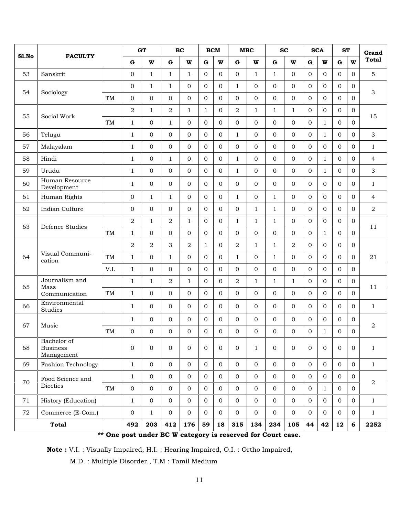| Sl.No<br>53<br>54<br>55 | <b>FACULTY</b><br>Sanskrit<br>Sociology      |           | $\mathbf G$<br>$\mathbf 0$ | W              | $\mathbf G$    | W              | $\mathbf G$    |                |                  |                |                |                |                |                |                                        |                  |                  |
|-------------------------|----------------------------------------------|-----------|----------------------------|----------------|----------------|----------------|----------------|----------------|------------------|----------------|----------------|----------------|----------------|----------------|----------------------------------------|------------------|------------------|
|                         |                                              |           |                            |                |                |                |                | W              | ${\bf G}$        | W              | $\mathbf G$    | W              | $\mathbf G$    | $\mathbf{W}$   | <b>Total</b><br>W<br>$\mathbf G$       |                  |                  |
|                         |                                              |           |                            | $\mathbf{1}$   | $\mathbf{1}$   | $\mathbf{1}$   | $\overline{0}$ | $\Omega$       | $\boldsymbol{0}$ | $\mathbf{1}$   | $\mathbf{1}$   | $\mathbf{0}$   | $\overline{0}$ | $\Omega$       | $\Omega$                               | $\overline{0}$   | 5                |
|                         |                                              |           | $\mathbf 0$                | $\mathbf{1}$   | $\mathbf{1}$   | $\overline{0}$ | $\overline{0}$ | $\Omega$       | $\mathbf{1}$     | $\overline{0}$ | $\overline{0}$ | $\mathbf{0}$   | $\overline{0}$ | $\Omega$       | $\Omega$                               | $\overline{0}$   |                  |
|                         |                                              | TM        | $\boldsymbol{0}$           | $\overline{0}$ | $\Omega$       | $\Omega$       | $\Omega$       | $\Omega$       | $\overline{O}$   | $\overline{O}$ | $\overline{0}$ | $\Omega$       | $\overline{0}$ | $\Omega$       | $\Omega$                               | $\overline{0}$   | 3                |
|                         |                                              |           | $\mathbf 2$                | $\mathbf{1}$   | $\overline{2}$ | $\mathbf{1}$   | $\mathbf{1}$   | $\overline{0}$ | $\,2$            | 1              | $\mathbf{1}$   | $\mathbf{1}$   | $\overline{0}$ | $\Omega$       | $\Omega$                               | $\overline{0}$   |                  |
|                         | Social Work                                  | TM        | $\mathbf{1}$               | $\overline{0}$ | $\mathbf{1}$   | $\overline{0}$ | $\overline{0}$ | $\Omega$       | $\boldsymbol{0}$ | $\overline{0}$ | $\overline{0}$ | $\Omega$       | $\Omega$       | $\mathbf{1}$   | $\Omega$                               | $\mathbf 0$      | 15               |
| 56                      | Telugu                                       |           | $\mathbf{1}$               | $\overline{0}$ | $\overline{0}$ | $\overline{0}$ | $\overline{0}$ | $\Omega$       | $\mathbf{1}$     | $\mathbf{0}$   | $\overline{0}$ | $\Omega$       | 0              | $\mathbf{1}$   | $\Omega$                               | $\overline{0}$   | 3                |
| 57                      | Malayalam                                    |           | $\mathbf{1}$               | $\overline{0}$ | $\overline{0}$ | 0              | $\overline{0}$ | $\overline{0}$ | 0                | $\overline{O}$ | $\overline{0}$ | $\overline{0}$ | $\overline{0}$ | $\mathbf{0}$   | $\mathbf{0}$                           | $\boldsymbol{0}$ | $\mathbf{1}$     |
| 58                      | Hindi                                        |           | $\mathbf{1}$               | $\overline{0}$ | $\mathbf{1}$   | $\overline{0}$ | $\overline{0}$ | $\Omega$       | $\mathbf{1}$     | $\overline{0}$ | $\overline{0}$ | $\overline{0}$ | $\mathbf{0}$   | $\mathbf{1}$   | $\Omega$                               | $\overline{0}$   | $\overline{4}$   |
| 59                      | Urudu                                        |           | $\mathbf{1}$               | $\overline{0}$ | $\Omega$       | $\overline{0}$ | $\overline{0}$ | $\Omega$       | $\mathbf{1}$     | $\overline{0}$ | $\overline{0}$ | $\overline{0}$ | $\overline{0}$ | 1              | $\Omega$                               | $\overline{0}$   | 3                |
| 60                      | Human Resource<br>Development                |           | $\mathbf{1}$               | $\overline{0}$ | $\overline{0}$ | $\overline{0}$ | $\overline{0}$ | $\overline{0}$ | $\mathbf 0$      | $\overline{0}$ | $\mathbf{0}$   | $\overline{0}$ | $\overline{0}$ | $\Omega$       | $\Omega$                               | $\overline{0}$   | $\mathbf{1}$     |
| 61                      | Human Rights                                 |           | 0                          | $\mathbf{1}$   | $\mathbf{1}$   | $\overline{0}$ | $\overline{0}$ | $\Omega$       | $\mathbf{1}$     | $\mathbf{0}$   | $\mathbf{1}$   | $\Omega$       | $\Omega$       | $\Omega$       | $\Omega$                               | $\overline{0}$   | 4                |
| 62                      | Indian Culture                               |           | $\boldsymbol{0}$           | $\overline{0}$ | $\overline{0}$ | $\overline{0}$ | $\overline{0}$ | $\Omega$       | $\mathbf 0$      | $\mathbf{1}$   | $\mathbf{1}$   | $\overline{0}$ | $\overline{0}$ | $\Omega$       | $\overline{0}$                         | $\overline{0}$   | $\overline{2}$   |
| 63                      | Defence Studies                              |           | $\overline{2}$             | $\mathbf{1}$   | $\overline{2}$ | $\mathbf{1}$   | $\overline{0}$ | $\overline{0}$ | $\mathbf{1}$     | $\mathbf{1}$   | $\mathbf{1}$   | $\overline{0}$ | $\overline{0}$ | $\overline{0}$ | $\overline{0}$<br>$\overline{0}$<br>11 |                  |                  |
|                         |                                              | <b>TM</b> | $\mathbf{1}$               | $\overline{0}$ | $\Omega$       | $\overline{0}$ | $\overline{0}$ | $\Omega$       | $\boldsymbol{0}$ | $\overline{O}$ | $\overline{0}$ | $\overline{0}$ | $\overline{0}$ | 1              | $\Omega$                               | $\overline{0}$   |                  |
|                         |                                              |           | $\overline{2}$             | 2              | 3              | $\overline{2}$ | $\mathbf{1}$   | $\Omega$       | $\overline{2}$   | $\mathbf{1}$   | $\mathbf{1}$   | $\overline{2}$ | $\overline{0}$ | $\Omega$       | $\Omega$                               | $\overline{0}$   |                  |
| 64                      | Visual Communi-<br>cation                    | TM        | $\mathbf{1}$               | $\overline{0}$ | $\mathbf{1}$   | $\overline{0}$ | $\overline{0}$ | $\Omega$       | $\mathbf{1}$     | $\mathbf{0}$   | $\mathbf{1}$   | $\Omega$       | $\overline{0}$ | $\Omega$       | $\Omega$                               | $\overline{0}$   | 21               |
|                         |                                              | V.I.      | $\mathbf{1}$               | $\overline{0}$ | $\Omega$       | $\mathbf 0$    | $\Omega$       | $\Omega$       | $\mathbf{0}$     | $\mathbf{0}$   | $\overline{0}$ | $\overline{0}$ | $\overline{0}$ | $\Omega$       | $\Omega$                               | $\Omega$         |                  |
| 65                      | Journalism and<br>Mass                       |           | $\mathbf{1}$               | $\mathbf{1}$   | 2              | $\mathbf{1}$   | $\Omega$       | $\Omega$       | $\overline{2}$   | $\mathbf{1}$   | $\mathbf{1}$   | $\mathbf{1}$   | $\overline{0}$ | $\Omega$       | $\Omega$                               | $\overline{0}$   | 11               |
|                         | Communication                                | TM        | $\mathbf{1}$               | $\overline{0}$ | $\Omega$       | $\overline{0}$ | $\overline{0}$ | $\overline{0}$ | $\mathbf 0$      | $\overline{0}$ | $\overline{0}$ | $\overline{0}$ | $\overline{0}$ | $\Omega$       | $\overline{0}$                         | $\overline{0}$   |                  |
| 66                      | Environmental<br>Studies                     |           | $\mathbf{1}$               | $\overline{0}$ | $\Omega$       | $\overline{0}$ | $\overline{0}$ | $\Omega$       | $\overline{0}$   | $\Omega$       | $\overline{0}$ | $\Omega$       | $\Omega$       | $\Omega$       | $\Omega$                               | $\overline{0}$   | $\mathbf{1}$     |
|                         |                                              |           | $\mathbf{1}$               | $\overline{0}$ | $\Omega$       | $\overline{0}$ | $\overline{0}$ | $\Omega$       | $\overline{0}$   | $\mathbf{0}$   | $\overline{0}$ | $\overline{0}$ | $\mathbf{0}$   | $\Omega$       | $\overline{0}$                         | $\overline{0}$   |                  |
| 67                      | Music                                        | TM        | 0                          | $\mathbf{0}$   | $\mathbf{0}$   | 0              | $\mathbf{0}$   | $\overline{0}$ | 0                | $\overline{0}$ | $\overline{0}$ | $\mathbf{0}$   | $\mathbf 0$    | $\mathbf{1}$   | $\overline{0}$                         | $\mathbf{0}$     | $\boldsymbol{2}$ |
| 68                      | Bachelor of<br><b>Business</b><br>Management |           | $\boldsymbol{0}$           | $\mathbf{0}$   | $\mathbf{0}$   | $\overline{0}$ | $\overline{0}$ | $\overline{0}$ | $\mathbf 0$      | $\mathbf{1}$   | $\mathbf{0}$   | $\mathbf{0}$   | $\mathbf{0}$   | $\mathbf{0}$   | $\mathbf{0}$                           | $\boldsymbol{0}$ | $\mathbf{1}$     |
| 69                      | <b>Fashion Technology</b>                    |           | $\mathbf{1}$               | $\overline{0}$ | $\overline{0}$ | 0              | $\overline{0}$ | $\overline{0}$ | $\mathbf{0}$     | $\overline{0}$ | $\overline{0}$ | $\mathbf{0}$   | $\overline{0}$ | $\mathbf{0}$   | $\overline{0}$                         | $\overline{0}$   | $\mathbf{1}$     |
|                         | Food Science and                             |           | $\mathbf{1}$               | $\overline{0}$ | $\mathbf{0}$   | $\overline{0}$ | $\overline{0}$ | $\overline{0}$ | $\mathbf{0}$     | $\mathbf{0}$   | $\mathbf{O}$   | $\mathbf{0}$   | $\overline{0}$ | $\mathbf{0}$   | $\mathbf{0}$                           | $\overline{0}$   |                  |
| 70                      | Diectics                                     | TM        | $\boldsymbol{0}$           | $\overline{0}$ | $\overline{0}$ | 0              | $\overline{0}$ | $\overline{0}$ | $\mathbf{0}$     | $\overline{0}$ | $\overline{0}$ | $\overline{0}$ | $\overline{0}$ | $\mathbf{1}$   | $\overline{0}$                         | $\boldsymbol{0}$ | $\,2$            |
| 71                      | History (Education)                          |           | $\mathbf{1}$               | $\overline{0}$ | $\overline{0}$ | 0              | $\overline{0}$ | $\overline{0}$ | $\boldsymbol{0}$ | $\mathbf{0}$   | $\mathbf{0}$   | $\mathbf 0$    | $\mathbf{0}$   | $\mathbf 0$    | $\mathbf 0$                            | $\boldsymbol{0}$ | $\mathbf{1}$     |
| 72                      | Commerce (E-Com.)                            |           | $\boldsymbol{0}$           | $\mathbf{1}$   | $\mathbf{0}$   | $\overline{0}$ | $\overline{0}$ | $\Omega$       | $\mathbf{0}$     | $\overline{0}$ | $\mathbf{0}$   | $\overline{0}$ | $\overline{0}$ | $\overline{0}$ | $\mathbf{0}$                           | $\boldsymbol{0}$ | $\mathbf{1}$     |
|                         | <b>Total</b>                                 |           | 492                        | 203            | 412            | 176            | 59             | 18             | 315              | 134            | 234            | 105            | 44             | 42             | 12                                     | 6                | 2252             |

One post under BC W category is reserved for Court case.

**Note :** V.I. : Visually Impaired, H.I. : Hearing Impaired, O.I. : Ortho Impaired,

M.D. : Multiple Disorder., T.M : Tamil Medium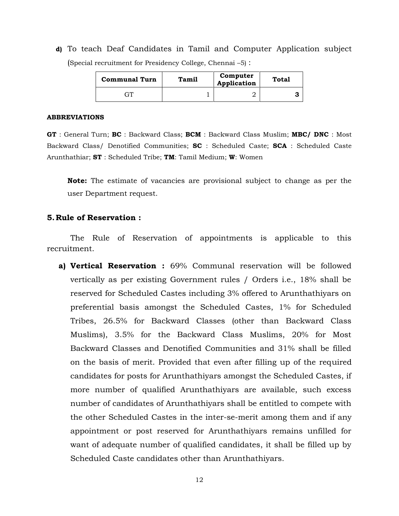**d)** To teach Deaf Candidates in Tamil and Computer Application subject (Special recruitment for Presidency College, Chennai –5) :

| <b>Communal Turn</b> | Tamil | Computer<br>Application | Total |
|----------------------|-------|-------------------------|-------|
| ጉፐ                   |       |                         |       |

#### **ABBREVIATIONS**

**GT** : General Turn; **BC** : Backward Class; **BCM** : Backward Class Muslim; **MBC/ DNC** : Most Backward Class/ Denotified Communities; **SC** : Scheduled Caste; **SCA** : Scheduled Caste Arunthathiar; **ST** : Scheduled Tribe; **TM**: Tamil Medium; **W**: Women

**Note:** The estimate of vacancies are provisional subject to change as per the user Department request.

#### **5.Rule of Reservation :**

The Rule of Reservation of appointments is applicable to this recruitment.

**a) Vertical Reservation :** 69% Communal reservation will be followed vertically as per existing Government rules / Orders i.e., 18% shall be reserved for Scheduled Castes including 3% offered to Arunthathiyars on preferential basis amongst the Scheduled Castes, 1% for Scheduled Tribes, 26.5% for Backward Classes (other than Backward Class Muslims), 3.5% for the Backward Class Muslims, 20% for Most Backward Classes and Denotified Communities and 31% shall be filled on the basis of merit. Provided that even after filling up of the required candidates for posts for Arunthathiyars amongst the Scheduled Castes, if more number of qualified Arunthathiyars are available, such excess number of candidates of Arunthathiyars shall be entitled to compete with the other Scheduled Castes in the inter-se-merit among them and if any appointment or post reserved for Arunthathiyars remains unfilled for want of adequate number of qualified candidates, it shall be filled up by Scheduled Caste candidates other than Arunthathiyars.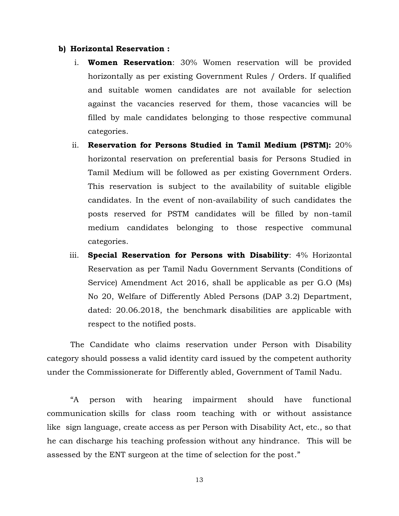#### **b) Horizontal Reservation :**

- i. **Women Reservation**: 30% Women reservation will be provided horizontally as per existing Government Rules / Orders. If qualified and suitable women candidates are not available for selection against the vacancies reserved for them, those vacancies will be filled by male candidates belonging to those respective communal categories.
- ii. **Reservation for Persons Studied in Tamil Medium (PSTM):** 20% horizontal reservation on preferential basis for Persons Studied in Tamil Medium will be followed as per existing Government Orders. This reservation is subject to the availability of suitable eligible candidates. In the event of non-availability of such candidates the posts reserved for PSTM candidates will be filled by non-tamil medium candidates belonging to those respective communal categories.
- iii. **Special Reservation for Persons with Disability**: 4% Horizontal Reservation as per Tamil Nadu Government Servants (Conditions of Service) Amendment Act 2016, shall be applicable as per G.O (Ms) No 20, Welfare of Differently Abled Persons (DAP 3.2) Department, dated: 20.06.2018, the benchmark disabilities are applicable with respect to the notified posts.

The Candidate who claims reservation under Person with Disability category should possess a valid identity card issued by the competent authority under the Commissionerate for Differently abled, Government of Tamil Nadu.

"A person with hearing impairment should have functional communication skills for class room teaching with or without assistance like sign language, create access as per Person with Disability Act, etc., so that he can discharge his teaching profession without any hindrance. This will be assessed by the ENT surgeon at the time of selection for the post."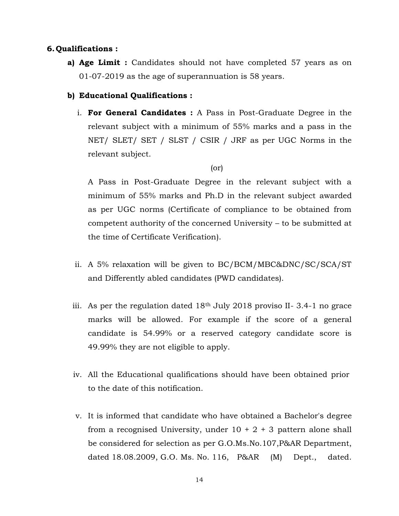### **6.Qualifications :**

**a) Age Limit :** Candidates should not have completed 57 years as on 01-07-2019 as the age of superannuation is 58 years.

### **b) Educational Qualifications :**

i. **For General Candidates :** A Pass in Post-Graduate Degree in the relevant subject with a minimum of 55% marks and a pass in the NET/ SLET/ SET / SLST / CSIR / JRF as per UGC Norms in the relevant subject.

### (or)

A Pass in Post-Graduate Degree in the relevant subject with a minimum of 55% marks and Ph.D in the relevant subject awarded as per UGC norms (Certificate of compliance to be obtained from competent authority of the concerned University – to be submitted at the time of Certificate Verification).

- ii. A 5% relaxation will be given to BC/BCM/MBC&DNC/SC/SCA/ST and Differently abled candidates (PWD candidates).
- iii. As per the regulation dated 18th July 2018 proviso II- 3.4-1 no grace marks will be allowed. For example if the score of a general candidate is 54.99% or a reserved category candidate score is 49.99% they are not eligible to apply.
- iv. All the Educational qualifications should have been obtained prior to the date of this notification.
- v. It is informed that candidate who have obtained a Bachelor's degree from a recognised University, under  $10 + 2 + 3$  pattern alone shall be considered for selection as per G.O.Ms.No.107,P&AR Department, dated 18.08.2009, G.O. Ms. No. 116, P&AR (M) Dept., dated.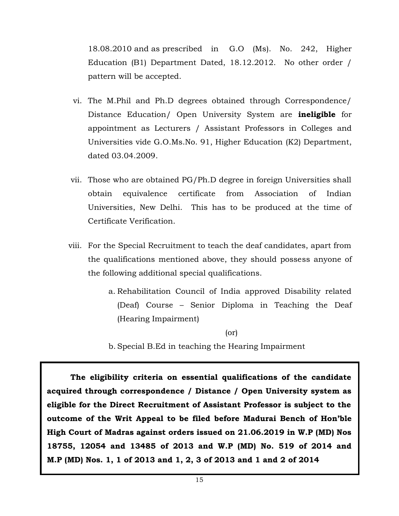18.08.2010 and as prescribed in G.O (Ms). No. 242, Higher Education (B1) Department Dated, 18.12.2012. No other order / pattern will be accepted.

- vi. The M.Phil and Ph.D degrees obtained through Correspondence/ Distance Education/ Open University System are **ineligible** for appointment as Lecturers / Assistant Professors in Colleges and Universities vide G.O.Ms.No. 91, Higher Education (K2) Department, dated 03.04.2009.
- vii. Those who are obtained PG/Ph.D degree in foreign Universities shall obtain equivalence certificate from Association of Indian Universities, New Delhi. This has to be produced at the time of Certificate Verification.
- viii. For the Special Recruitment to teach the deaf candidates, apart from the qualifications mentioned above, they should possess anyone of the following additional special qualifications.
	- a. Rehabilitation Council of India approved Disability related (Deaf) Course – Senior Diploma in Teaching the Deaf (Hearing Impairment)

(or)

b. Special B.Ed in teaching the Hearing Impairment

**The eligibility criteria on essential qualifications of the candidate acquired through correspondence / Distance / Open University system as eligible for the Direct Recruitment of Assistant Professor is subject to the outcome of the Writ Appeal to be filed before Madurai Bench of Hon'ble High Court of Madras against orders issued on 21.06.2019 in W.P (MD) Nos 18755, 12054 and 13485 of 2013 and W.P (MD) No. 519 of 2014 and M.P (MD) Nos. 1, 1 of 2013 and 1, 2, 3 of 2013 and 1 and 2 of 2014**

<sup>15</sup>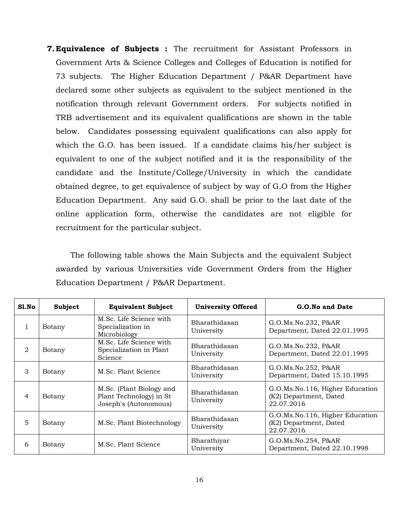**7.Equivalence of Subjects :** The recruitment for Assistant Professors in Government Arts & Science Colleges and Colleges of Education is notified for 73 subjects. The Higher Education Department / P&AR Department have declared some other subjects as equivalent to the subject mentioned in the notification through relevant Government orders. For subjects notified in TRB advertisement and its equivalent qualifications are shown in the table below. Candidates possessing equivalent qualifications can also apply for which the G.O. has been issued. If a candidate claims his/her subject is equivalent to one of the subject notified and it is the responsibility of the candidate and the Institute/College/University in which the candidate obtained degree, to get equivalence of subject by way of G.O from the Higher Education Department. Any said G.O. shall be prior to the last date of the online application form, otherwise the candidates are not eligible for recruitment for the particular subject.

The following table shows the Main Subjects and the equivalent Subject awarded by various Universities vide Government Orders from the Higher Education Department / P&AR Department.

| Sl.No          | Subject | <b>Equivalent Subject</b>                                                    | <b>University Offered</b>   | G.O.No and Date                                                         |
|----------------|---------|------------------------------------------------------------------------------|-----------------------------|-------------------------------------------------------------------------|
| 1              | Botany  | M.Sc. Life Science with<br>Specialization in<br>Microbiology                 | Bharathidasan<br>University | G.O.Ms.No.232, P&AR<br>Department, Dated 22.01.1995                     |
| $\overline{2}$ | Botany  | M.Sc. Life Science with<br>Specialization in Plant<br>Science                | Bharathidasan<br>University | G.O.Ms.No.232, P&AR<br>Department, Dated 22.01.1995                     |
| 3              | Botany  | M.Sc. Plant Science                                                          | Bharathidasan<br>University | G.O.Ms.No.252, P&AR<br>Department, Dated 15.10.1995                     |
| 4              | Botany  | M.Sc. (Plant Biology and<br>Plant Technology) in St<br>Joseph's (Autonomous) | Bharathidasan<br>University | G.O.Ms.No.116, Higher Education<br>(K2) Department, Dated<br>22.07.2016 |
| 5              | Botany  | M.Sc. Plant Biotechnology                                                    | Bharathidasan<br>University | G.O.Ms.No.116, Higher Education<br>(K2) Department, Dated<br>22.07.2016 |
| 6              | Botany  | M.Sc. Plant Science                                                          | Bharathiyar<br>University   | G.O.Ms.No.254, P&AR<br>Department, Dated 22.10.1998                     |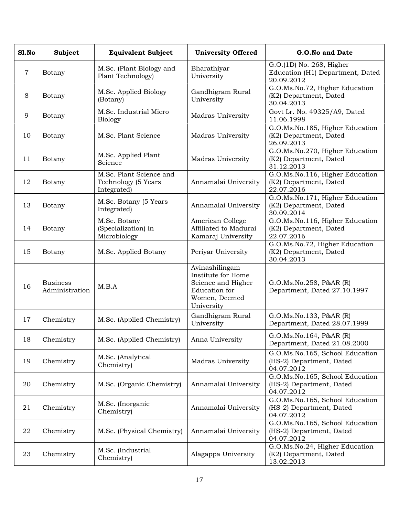| S1.No          | Subject                           | <b>Equivalent Subject</b>                                     | <b>University Offered</b>                                                                                         | G.O.No and Date                                                            |
|----------------|-----------------------------------|---------------------------------------------------------------|-------------------------------------------------------------------------------------------------------------------|----------------------------------------------------------------------------|
| $\overline{7}$ | Botany                            | M.Sc. (Plant Biology and<br>Plant Technology)                 | Bharathiyar<br>University                                                                                         | G.O.(1D) No. 268, Higher<br>Education (H1) Department, Dated<br>20.09.2012 |
| 8              | Botany                            | M.Sc. Applied Biology<br>(Botany)                             | Gandhigram Rural<br>University                                                                                    | G.O.Ms.No.72, Higher Education<br>(K2) Department, Dated<br>30.04.2013     |
| 9              | Botany                            | M.Sc. Industrial Micro<br><b>Biology</b>                      | Madras University                                                                                                 | Govt Lr. No. 49325/A9, Dated<br>11.06.1998                                 |
| 10             | Botany                            | M.Sc. Plant Science                                           | Madras University                                                                                                 | G.O.Ms.No.185, Higher Education<br>(K2) Department, Dated<br>26.09.2013    |
| 11             | Botany                            | M.Sc. Applied Plant<br>Science                                | Madras University                                                                                                 | G.O.Ms.No.270, Higher Education<br>(K2) Department, Dated<br>31.12.2013    |
| 12             | Botany                            | M.Sc. Plant Science and<br>Technology (5 Years<br>Integrated) | Annamalai University                                                                                              | G.O.Ms.No.116, Higher Education<br>(K2) Department, Dated<br>22.07.2016    |
| 13             | Botany                            | M.Sc. Botany (5 Years<br>Integrated)                          | Annamalai University                                                                                              | G.O.Ms.No.171, Higher Education<br>(K2) Department, Dated<br>30.09.2014    |
| 14             | Botany                            | M.Sc. Botany<br>(Specialization) in<br>Microbiology           | American College<br>Affiliated to Madurai<br>Kamaraj University                                                   | G.O.Ms.No.116, Higher Education<br>(K2) Department, Dated<br>22.07.2016    |
| 15             | Botany                            | M.Sc. Applied Botany                                          | Periyar University                                                                                                | G.O.Ms.No.72, Higher Education<br>(K2) Department, Dated<br>30.04.2013     |
| 16             | <b>Business</b><br>Administration | M.B.A                                                         | Avinashilingam<br>Institute for Home<br>Science and Higher<br><b>Education</b> for<br>Women, Deemed<br>University | G.O.Ms.No.258, P&AR (R)<br>Department, Dated 27.10.1997                    |
| 17             | Chemistry                         | M.Sc. (Applied Chemistry)                                     | Gandhigram Rural<br>University                                                                                    | G.O.Ms.No.133, P&AR (R)<br>Department, Dated 28.07.1999                    |
| 18             | Chemistry                         | M.Sc. (Applied Chemistry)                                     | Anna University                                                                                                   | G.O.Ms.No.164, P&AR (R)<br>Department, Dated 21.08.2000                    |
| 19             | Chemistry                         | M.Sc. (Analytical<br>Chemistry)                               | Madras University                                                                                                 | G.O.Ms.No.165, School Education<br>(HS-2) Department, Dated<br>04.07.2012  |
| 20             | Chemistry                         | M.Sc. (Organic Chemistry)                                     | Annamalai University                                                                                              | G.O.Ms.No.165, School Education<br>(HS-2) Department, Dated<br>04.07.2012  |
| 21             | Chemistry                         | M.Sc. (Inorganic<br>Chemistry)                                | Annamalai University                                                                                              | G.O.Ms.No.165, School Education<br>(HS-2) Department, Dated<br>04.07.2012  |
| 22             | Chemistry                         | M.Sc. (Physical Chemistry)                                    | Annamalai University                                                                                              | G.O.Ms.No.165, School Education<br>(HS-2) Department, Dated<br>04.07.2012  |
| 23             | Chemistry                         | M.Sc. (Industrial<br>Chemistry)                               | Alagappa University                                                                                               | G.O.Ms.No.24, Higher Education<br>(K2) Department, Dated<br>13.02.2013     |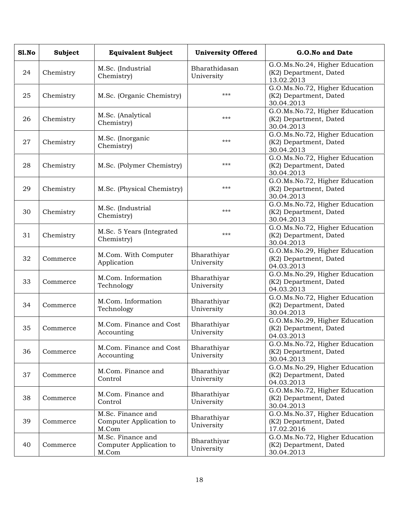| S1.No | Subject   | <b>Equivalent Subject</b>                             | <b>University Offered</b>   | G.O.No and Date                                                        |
|-------|-----------|-------------------------------------------------------|-----------------------------|------------------------------------------------------------------------|
| 24    | Chemistry | M.Sc. (Industrial<br>Chemistry)                       | Bharathidasan<br>University | G.O.Ms.No.24, Higher Education<br>(K2) Department, Dated<br>13.02.2013 |
| 25    | Chemistry | M.Sc. (Organic Chemistry)                             | ***                         | G.O.Ms.No.72, Higher Education<br>(K2) Department, Dated<br>30.04.2013 |
| 26    | Chemistry | M.Sc. (Analytical<br>Chemistry)                       | ***                         | G.O.Ms.No.72, Higher Education<br>(K2) Department, Dated<br>30.04.2013 |
| 27    | Chemistry | M.Sc. (Inorganic<br>Chemistry)                        | ***                         | G.O.Ms.No.72, Higher Education<br>(K2) Department, Dated<br>30.04.2013 |
| 28    | Chemistry | M.Sc. (Polymer Chemistry)                             | ***                         | G.O.Ms.No.72, Higher Education<br>(K2) Department, Dated<br>30.04.2013 |
| 29    | Chemistry | M.Sc. (Physical Chemistry)                            | ***                         | G.O.Ms.No.72, Higher Education<br>(K2) Department, Dated<br>30.04.2013 |
| 30    | Chemistry | M.Sc. (Industrial<br>Chemistry)                       | ***                         | G.O.Ms.No.72, Higher Education<br>(K2) Department, Dated<br>30.04.2013 |
| 31    | Chemistry | M.Sc. 5 Years (Integrated<br>Chemistry)               | ***                         | G.O.Ms.No.72, Higher Education<br>(K2) Department, Dated<br>30.04.2013 |
| 32    | Commerce  | M.Com. With Computer<br>Application                   | Bharathiyar<br>University   | G.O.Ms.No.29, Higher Education<br>(K2) Department, Dated<br>04.03.2013 |
| 33    | Commerce  | M.Com. Information<br>Technology                      | Bharathiyar<br>University   | G.O.Ms.No.29, Higher Education<br>(K2) Department, Dated<br>04.03.2013 |
| 34    | Commerce  | M.Com. Information<br>Technology                      | Bharathiyar<br>University   | G.O.Ms.No.72, Higher Education<br>(K2) Department, Dated<br>30.04.2013 |
| 35    | Commerce  | M.Com. Finance and Cost<br>Accounting                 | Bharathiyar<br>University   | G.O.Ms.No.29, Higher Education<br>(K2) Department, Dated<br>04.03.2013 |
| 36    | Commerce  | M.Com. Finance and Cost<br>Accounting                 | Bharathiyar<br>University   | G.O.Ms.No.72, Higher Education<br>(K2) Department, Dated<br>30.04.2013 |
| 37    | Commerce  | M.Com. Finance and<br>Control                         | Bharathiyar<br>University   | G.O.Ms.No.29, Higher Education<br>(K2) Department, Dated<br>04.03.2013 |
| 38    | Commerce  | M.Com. Finance and<br>Control                         | Bharathiyar<br>University   | G.O.Ms.No.72, Higher Education<br>(K2) Department, Dated<br>30.04.2013 |
| 39    | Commerce  | M.Sc. Finance and<br>Computer Application to<br>M.Com | Bharathiyar<br>University   | G.O.Ms.No.37, Higher Education<br>(K2) Department, Dated<br>17.02.2016 |
| 40    | Commerce  | M.Sc. Finance and<br>Computer Application to<br>M.Com | Bharathiyar<br>University   | G.O.Ms.No.72, Higher Education<br>(K2) Department, Dated<br>30.04.2013 |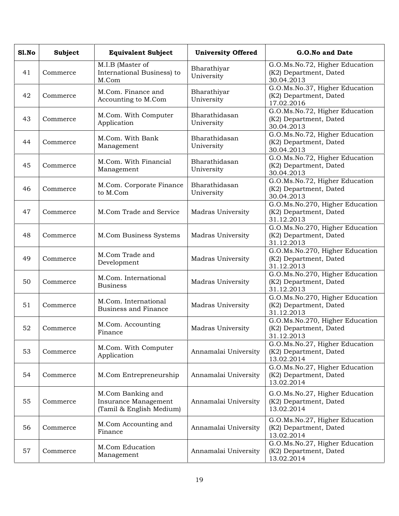| Sl.No | <b>Subject</b> | <b>Equivalent Subject</b>                                             | <b>University Offered</b>   | G.O.No and Date                                                         |
|-------|----------------|-----------------------------------------------------------------------|-----------------------------|-------------------------------------------------------------------------|
| 41    | Commerce       | M.I.B (Master of<br>International Business) to<br>M.Com               | Bharathiyar<br>University   | G.O.Ms.No.72, Higher Education<br>(K2) Department, Dated<br>30.04.2013  |
| 42    | Commerce       | M.Com. Finance and<br>Accounting to M.Com                             | Bharathiyar<br>University   | G.O.Ms.No.37, Higher Education<br>(K2) Department, Dated<br>17.02.2016  |
| 43    | Commerce       | M.Com. With Computer<br>Application                                   | Bharathidasan<br>University | G.O.Ms.No.72, Higher Education<br>(K2) Department, Dated<br>30.04.2013  |
| 44    | Commerce       | M.Com. With Bank<br>Management                                        | Bharathidasan<br>University | G.O.Ms.No.72, Higher Education<br>(K2) Department, Dated<br>30.04.2013  |
| 45    | Commerce       | M.Com. With Financial<br>Management                                   | Bharathidasan<br>University | G.O.Ms.No.72, Higher Education<br>(K2) Department, Dated<br>30.04.2013  |
| 46    | Commerce       | M.Com. Corporate Finance<br>to M.Com                                  | Bharathidasan<br>University | G.O.Ms.No.72, Higher Education<br>(K2) Department, Dated<br>30.04.2013  |
| 47    | Commerce       | M.Com Trade and Service                                               | Madras University           | G.O.Ms.No.270, Higher Education<br>(K2) Department, Dated<br>31.12.2013 |
| 48    | Commerce       | M.Com Business Systems                                                | Madras University           | G.O.Ms.No.270, Higher Education<br>(K2) Department, Dated<br>31.12.2013 |
| 49    | Commerce       | M.Com Trade and<br>Development                                        | Madras University           | G.O.Ms.No.270, Higher Education<br>(K2) Department, Dated<br>31.12.2013 |
| 50    | Commerce       | M.Com. International<br><b>Business</b>                               | Madras University           | G.O.Ms.No.270, Higher Education<br>(K2) Department, Dated<br>31.12.2013 |
| 51    | Commerce       | M.Com. International<br><b>Business and Finance</b>                   | Madras University           | G.O.Ms.No.270, Higher Education<br>(K2) Department, Dated<br>31.12.2013 |
| 52    | Commerce       | M.Com. Accounting<br>Finance                                          | Madras University           | G.O.Ms.No.270, Higher Education<br>(K2) Department, Dated<br>31.12.2013 |
| 53    | Commerce       | M.Com. With Computer<br>Application                                   | Annamalai University        | G.O.Ms.No.27, Higher Education<br>(K2) Department, Dated<br>13.02.2014  |
| 54    | Commerce       | M.Com Entrepreneurship                                                | Annamalai University        | G.O.Ms.No.27, Higher Education<br>(K2) Department, Dated<br>13.02.2014  |
| 55    | Commerce       | M.Com Banking and<br>Insurance Management<br>(Tamil & English Medium) | Annamalai University        | G.O.Ms.No.27, Higher Education<br>(K2) Department, Dated<br>13.02.2014  |
| 56    | Commerce       | M.Com Accounting and<br>Finance                                       | Annamalai University        | G.O.Ms.No.27, Higher Education<br>(K2) Department, Dated<br>13.02.2014  |
| 57    | Commerce       | M.Com Education<br>Management                                         | Annamalai University        | G.O.Ms.No.27, Higher Education<br>(K2) Department, Dated<br>13.02.2014  |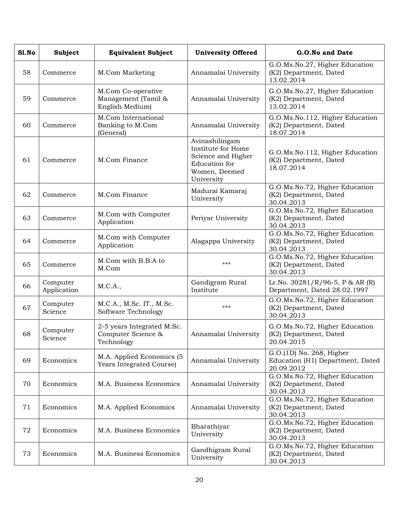| S1.No | <b>Subject</b>          | <b>Equivalent Subject</b>                                      | <b>University Offered</b>                                                                                  | G.O.No and Date                                                            |
|-------|-------------------------|----------------------------------------------------------------|------------------------------------------------------------------------------------------------------------|----------------------------------------------------------------------------|
| 58    | Commerce                | M.Com Marketing                                                | Annamalai University                                                                                       | G.O.Ms.No.27, Higher Education<br>(K2) Department, Dated<br>13.02.2014     |
| 59    | Commerce                | M.Com Co-operative<br>Management (Tamil &<br>English Medium)   | Annamalai University                                                                                       | G.O.Ms.No.27, Higher Education<br>(K2) Department, Dated<br>13.02.2014     |
| 60    | Commerce                | M.Com International<br>Banking to M.Com<br>(General)           | Annamalai University                                                                                       | G.O.Ms.No.112, Higher Education<br>(K2) Department, Dated<br>18.07.2014    |
| 61    | Commerce                | M.Com Finance                                                  | Avinashilingam<br>Institute for Home<br>Science and Higher<br>Education for<br>Women, Deemed<br>University | G.O.Ms.No.112, Higher Education<br>(K2) Department, Dated<br>18.07.2014    |
| 62    | Commerce                | M.Com Finance                                                  | Madurai Kamaraj<br>University                                                                              | G.O.Ms.No.72, Higher Education<br>(K2) Department, Dated<br>30.04.2013     |
| 63    | Commerce                | M.Com with Computer<br>Application                             | Periyar University                                                                                         | G.O.Ms.No.72, Higher Education<br>(K2) Department, Dated<br>30.04.2013     |
| 64    | Commerce                | M.Com with Computer<br>Application                             | Alagappa University                                                                                        | G.O.Ms.No.72, Higher Education<br>(K2) Department, Dated<br>30.04.2013     |
| 65    | Commerce                | M.Com with B.B.A to<br>M.Com                                   | $***$                                                                                                      | G.O.Ms.No.72, Higher Education<br>(K2) Department, Dated<br>30.04.2013     |
| 66    | Computer<br>Application | M.C.A.,                                                        | Gandigram Rural<br>Institute                                                                               | Lr.No. $30281/R/96-5$ , P & AR (R)<br>Department, Dated 28.02.1997         |
| 67    | Computer<br>Science     | M.C.A., M.Sc. IT., M.Sc.<br>Software Technology                | ***                                                                                                        | G.O.Ms.No.72, Higher Education<br>(K2) Department, Dated<br>30.04.2013     |
| 68    | Computer<br>Science     | 2-5 years Integrated M.Sc.<br>Computer Science &<br>Technology | Annamalai University                                                                                       | G.O.Ms.No.72, Higher Education<br>(K2) Department, Dated<br>20.04.2015     |
| 69    | Economics               | M.A. Applied Economics (5<br>Years Integrated Course)          | Annamalai University                                                                                       | G.O.(1D) No. 268, Higher<br>Education (H1) Department, Dated<br>20.09.2012 |
| 70    | Economics               | M.A. Business Economics                                        | Annamalai University                                                                                       | G.O.Ms.No.72, Higher Education<br>(K2) Department, Dated<br>30.04.2013     |
| 71    | Economics               | M.A. Applied Economics                                         | Annamalai University                                                                                       | G.O.Ms.No.72, Higher Education<br>(K2) Department, Dated<br>30.04.2013     |
| 72    | Economics               | M.A. Business Economics                                        | Bharathiyar<br>University                                                                                  | G.O.Ms.No.72, Higher Education<br>(K2) Department, Dated<br>30.04.2013     |
| 73    | Economics               | M.A. Business Economics                                        | Gandhigram Rural<br>University                                                                             | G.O.Ms.No.72, Higher Education<br>(K2) Department, Dated<br>30.04.2013     |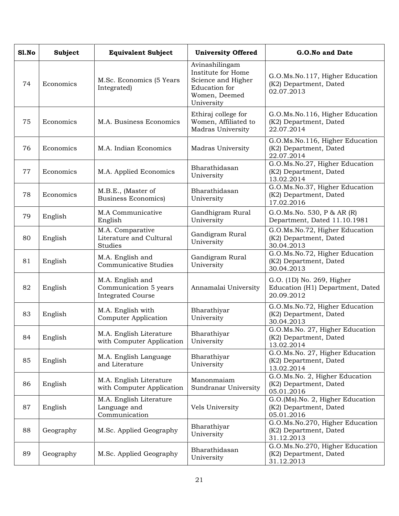| S1.No | <b>Subject</b> | <b>Equivalent Subject</b>                                             | <b>University Offered</b>                                                                                  | G.O.No and Date                                                             |
|-------|----------------|-----------------------------------------------------------------------|------------------------------------------------------------------------------------------------------------|-----------------------------------------------------------------------------|
| 74    | Economics      | M.Sc. Economics (5 Years<br>Integrated)                               | Avinashilingam<br>Institute for Home<br>Science and Higher<br>Education for<br>Women, Deemed<br>University | G.O.Ms.No.117, Higher Education<br>(K2) Department, Dated<br>02.07.2013     |
| 75    | Economics      | M.A. Business Economics                                               | Ethiraj college for<br>Women, Affiliated to<br>Madras University                                           | G.O.Ms.No.116, Higher Education<br>(K2) Department, Dated<br>22.07.2014     |
| 76    | Economics      | M.A. Indian Economics                                                 | <b>Madras University</b>                                                                                   | G.O.Ms.No.116, Higher Education<br>(K2) Department, Dated<br>22.07.2014     |
| 77    | Economics      | M.A. Applied Economics                                                | Bharathidasan<br>University                                                                                | G.O.Ms.No.27, Higher Education<br>(K2) Department, Dated<br>13.02.2014      |
| 78    | Economics      | M.B.E., (Master of<br><b>Business Economics)</b>                      | Bharathidasan<br>University                                                                                | G.O.Ms.No.37, Higher Education<br>(K2) Department, Dated<br>17.02.2016      |
| 79    | English        | M.A Communicative<br>English                                          | Gandhigram Rural<br>University                                                                             | G.O.Ms.No. 530, P & AR (R)<br>Department, Dated 11.10.1981                  |
| 80    | English        | M.A. Comparative<br>Literature and Cultural<br>Studies                | Gandigram Rural<br>University                                                                              | G.O.Ms.No.72, Higher Education<br>(K2) Department, Dated<br>30.04.2013      |
| 81    | English        | M.A. English and<br><b>Communicative Studies</b>                      | Gandigram Rural<br>University                                                                              | G.O.Ms.No.72, Higher Education<br>(K2) Department, Dated<br>30.04.2013      |
| 82    | English        | M.A. English and<br>Communication 5 years<br><b>Integrated Course</b> | Annamalai University                                                                                       | G.O. (1D) No. 269, Higher<br>Education (H1) Department, Dated<br>20.09.2012 |
| 83    | English        | M.A. English with<br><b>Computer Application</b>                      | Bharathiyar<br>University                                                                                  | G.O.Ms.No.72, Higher Education<br>(K2) Department, Dated<br>30.04.2013      |
| 84    | English        | M.A. English Literature<br>with Computer Application                  | Bharathiyar<br>University                                                                                  | G.O.Ms.No. 27, Higher Education<br>(K2) Department, Dated<br>13.02.2014     |
| 85    | English        | M.A. English Language<br>and Literature                               | Bharathiyar<br>University                                                                                  | G.O.Ms.No. 27, Higher Education<br>(K2) Department, Dated<br>13.02.2014     |
| 86    | English        | M.A. English Literature<br>with Computer Application                  | Manonmaiam<br>Sundranar University                                                                         | G.O.Ms.No. 2, Higher Education<br>(K2) Department, Dated<br>05.01.2016      |
| 87    | English        | M.A. English Literature<br>Language and<br>Communication              | Vels University                                                                                            | G.O.(Ms).No. 2, Higher Education<br>(K2) Department, Dated<br>05.01.2016    |
| 88    | Geography      | M.Sc. Applied Geography                                               | Bharathiyar<br>University                                                                                  | G.O.Ms.No.270, Higher Education<br>(K2) Department, Dated<br>31.12.2013     |
| 89    | Geography      | M.Sc. Applied Geography                                               | Bharathidasan<br>University                                                                                | G.O.Ms.No.270, Higher Education<br>(K2) Department, Dated<br>31.12.2013     |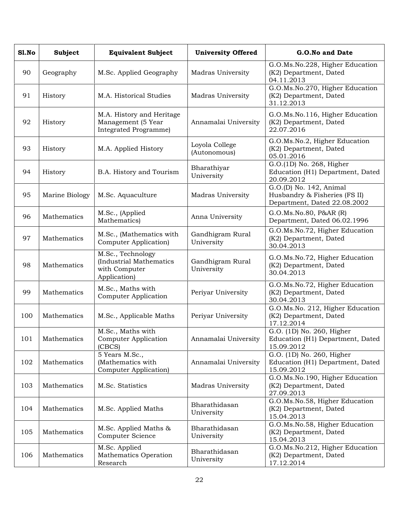| Sl.No | <b>Subject</b> | <b>Equivalent Subject</b>                                                     | <b>University Offered</b>      | G.O.No and Date                                                                          |
|-------|----------------|-------------------------------------------------------------------------------|--------------------------------|------------------------------------------------------------------------------------------|
| 90    | Geography      | M.Sc. Applied Geography                                                       | Madras University              | G.O.Ms.No.228, Higher Education<br>(K2) Department, Dated<br>04.11.2013                  |
| 91    | History        | M.A. Historical Studies                                                       | Madras University              | G.O.Ms.No.270, Higher Education<br>(K2) Department, Dated<br>31.12.2013                  |
| 92    | History        | M.A. History and Heritage<br>Management (5 Year<br>Integrated Programme)      | Annamalai University           | G.O.Ms.No.116, Higher Education<br>(K2) Department, Dated<br>22.07.2016                  |
| 93    | History        | M.A. Applied History                                                          | Loyola College<br>(Autonomous) | G.O.Ms.No.2, Higher Education<br>(K2) Department, Dated<br>05.01.2016                    |
| 94    | History        | B.A. History and Tourism                                                      | Bharathiyar<br>University      | G.O.(1D) No. 268, Higher<br>Education (H1) Department, Dated<br>20.09.2012               |
| 95    | Marine Biology | M.Sc. Aquaculture                                                             | Madras University              | G.O.(D) No. 142, Animal<br>Husbandry & Fisheries (FS II)<br>Department, Dated 22.08.2002 |
| 96    | Mathematics    | M.Sc., (Applied<br>Mathematics)                                               | Anna University                | G.O.Ms.No.80, P&AR (R)<br>Department, Dated 06.02.1996                                   |
| 97    | Mathematics    | M.Sc., (Mathematics with<br>Computer Application)                             | Gandhigram Rural<br>University | G.O.Ms.No.72, Higher Education<br>(K2) Department, Dated<br>30.04.2013                   |
| 98    | Mathematics    | M.Sc., Technology<br>(Industrial Mathematics<br>with Computer<br>Application) | Gandhigram Rural<br>University | G.O.Ms.No.72, Higher Education<br>(K2) Department, Dated<br>30.04.2013                   |
| 99    | Mathematics    | M.Sc., Maths with<br>Computer Application                                     | Periyar University             | G.O.Ms.No.72, Higher Education<br>(K2) Department, Dated<br>30.04.2013                   |
| 100   | Mathematics    | M.Sc., Applicable Maths                                                       | Periyar University             | G.O.Ms.No. 212, Higher Education<br>(K2) Department, Dated<br>17.12.2014                 |
| 101   | Mathematics    | M.Sc., Maths with<br>Computer Application<br>(CBCS)                           | Annamalai University           | G.O. (1D) No. 260, Higher<br>Education (H1) Department, Dated<br>15.09.2012              |
| 102   | Mathematics    | 5 Years M.Sc.,<br>(Mathematics with<br><b>Computer Application</b> )          | Annamalai University           | G.O. (1D) No. 260, Higher<br>Education (H1) Department, Dated<br>15.09.2012              |
| 103   | Mathematics    | M.Sc. Statistics                                                              | Madras University              | G.O.Ms.No.190, Higher Education<br>(K2) Department, Dated<br>27.09.2013                  |
| 104   | Mathematics    | M.Sc. Applied Maths                                                           | Bharathidasan<br>University    | G.O.Ms.No.58, Higher Education<br>(K2) Department, Dated<br>15.04.2013                   |
| 105   | Mathematics    | M.Sc. Applied Maths &<br>Computer Science                                     | Bharathidasan<br>University    | G.O.Ms.No.58, Higher Education<br>(K2) Department, Dated<br>15.04.2013                   |
| 106   | Mathematics    | M.Sc. Applied<br>Mathematics Operation<br>Research                            | Bharathidasan<br>University    | G.O.Ms.No.212, Higher Education<br>(K2) Department, Dated<br>17.12.2014                  |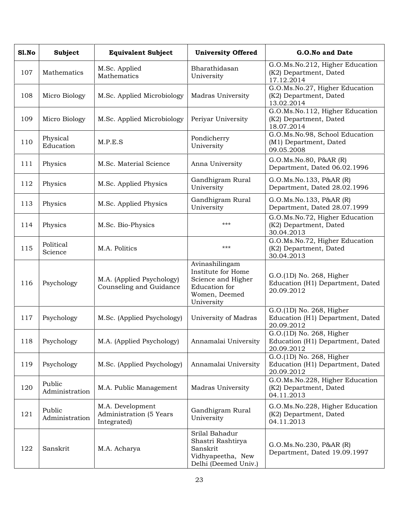| Sl.No | Subject                  | <b>Equivalent Subject</b>                                  | <b>University Offered</b>                                                                                  | G.O.No and Date                                                            |
|-------|--------------------------|------------------------------------------------------------|------------------------------------------------------------------------------------------------------------|----------------------------------------------------------------------------|
| 107   | Mathematics              | M.Sc. Applied<br>Mathematics                               | Bharathidasan<br>University                                                                                | G.O.Ms.No.212, Higher Education<br>(K2) Department, Dated<br>17.12.2014    |
| 108   | Micro Biology            | M.Sc. Applied Microbiology                                 | Madras University                                                                                          | G.O.Ms.No.27, Higher Education<br>(K2) Department, Dated<br>13.02.2014     |
| 109   | Micro Biology            | M.Sc. Applied Microbiology                                 | Periyar University                                                                                         | G.O.Ms.No.112, Higher Education<br>(K2) Department, Dated<br>18.07.2014    |
| 110   | Physical<br>Education    | M.P.E.S                                                    | Pondicherry<br>University                                                                                  | G.O.Ms.No.98, School Education<br>(M1) Department, Dated<br>09.05.2008     |
| 111   | Physics                  | M.Sc. Material Science                                     | Anna University                                                                                            | G.O.Ms.No.80, P&AR (R)<br>Department, Dated 06.02.1996                     |
| 112   | Physics                  | M.Sc. Applied Physics                                      | Gandhigram Rural<br>University                                                                             | G.O.Ms.No.133, P&AR (R)<br>Department, Dated 28.02.1996                    |
| 113   | Physics                  | M.Sc. Applied Physics                                      | Gandhigram Rural<br>University                                                                             | G.O.Ms.No.133, P&AR (R)<br>Department, Dated 28.07.1999                    |
| 114   | Physics                  | M.Sc. Bio-Physics                                          | ***                                                                                                        | G.O.Ms.No.72, Higher Education<br>(K2) Department, Dated<br>30.04.2013     |
| 115   | Political<br>Science     | M.A. Politics                                              | ***                                                                                                        | G.O.Ms.No.72, Higher Education<br>(K2) Department, Dated<br>30.04.2013     |
| 116   | Psychology               | M.A. (Applied Psychology)<br>Counseling and Guidance       | Avinashilingam<br>Institute for Home<br>Science and Higher<br>Education for<br>Women, Deemed<br>University | G.O.(1D) No. 268, Higher<br>Education (H1) Department, Dated<br>20.09.2012 |
| 117   | Psychology               | M.Sc. (Applied Psychology)                                 | University of Madras                                                                                       | G.O.(1D) No. 268, Higher<br>Education (H1) Department, Dated<br>20.09.2012 |
| 118   | Psychology               | M.A. (Applied Psychology)                                  | Annamalai University                                                                                       | G.O.(1D) No. 268, Higher<br>Education (H1) Department, Dated<br>20.09.2012 |
| 119   | Psychology               | M.Sc. (Applied Psychology)                                 | Annamalai University                                                                                       | G.O.(1D) No. 268, Higher<br>Education (H1) Department, Dated<br>20.09.2012 |
| 120   | Public<br>Administration | M.A. Public Management                                     | Madras University                                                                                          | G.O.Ms.No.228, Higher Education<br>(K2) Department, Dated<br>04.11.2013    |
| 121   | Public<br>Administration | M.A. Development<br>Administration (5 Years<br>Integrated) | Gandhigram Rural<br>University                                                                             | G.O.Ms.No.228, Higher Education<br>(K2) Department, Dated<br>04.11.2013    |
| 122   | Sanskrit                 | M.A. Acharya                                               | Srilal Bahadur<br>Shastri Rashtirya<br>Sanskrit<br>Vidhyapeetha, New<br>Delhi (Deemed Univ.)               | G.O.Ms.No.230, P&AR (R)<br>Department, Dated 19.09.1997                    |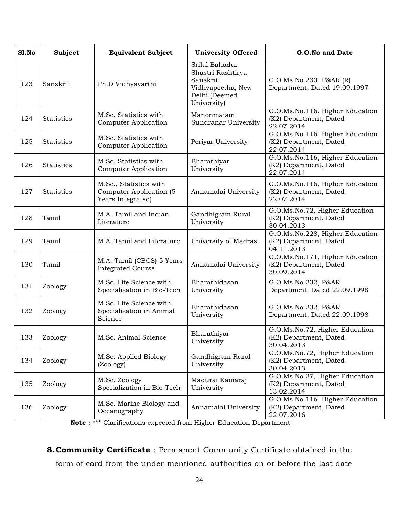| Sl.No | Subject           | <b>Equivalent Subject</b>                                              | <b>University Offered</b>                                                                            | G.O.No and Date                                                         |
|-------|-------------------|------------------------------------------------------------------------|------------------------------------------------------------------------------------------------------|-------------------------------------------------------------------------|
| 123   | Sanskrit          | Ph.D Vidhyavarthi                                                      | Srilal Bahadur<br>Shastri Rashtirya<br>Sanskrit<br>Vidhyapeetha, New<br>Delhi (Deemed<br>University) | G.O.Ms.No.230, P&AR (R)<br>Department, Dated 19.09.1997                 |
| 124   | <b>Statistics</b> | M.Sc. Statistics with<br><b>Computer Application</b>                   | Manonmaiam<br>Sundranar University                                                                   | G.O.Ms.No.116, Higher Education<br>(K2) Department, Dated<br>22.07.2014 |
| 125   | Statistics        | M.Sc. Statistics with<br><b>Computer Application</b>                   | Periyar University                                                                                   | G.O.Ms.No.116, Higher Education<br>(K2) Department, Dated<br>22.07.2014 |
| 126   | Statistics        | M.Sc. Statistics with<br><b>Computer Application</b>                   | Bharathiyar<br>University                                                                            | G.O.Ms.No.116, Higher Education<br>(K2) Department, Dated<br>22.07.2014 |
| 127   | <b>Statistics</b> | M.Sc., Statistics with<br>Computer Application (5<br>Years Integrated) | Annamalai University                                                                                 | G.O.Ms.No.116, Higher Education<br>(K2) Department, Dated<br>22.07.2014 |
| 128   | Tamil             | M.A. Tamil and Indian<br>Literature                                    | Gandhigram Rural<br>University                                                                       | G.O.Ms.No.72, Higher Education<br>(K2) Department, Dated<br>30.04.2013  |
| 129   | Tamil             | M.A. Tamil and Literature                                              | University of Madras                                                                                 | G.O.Ms.No.228, Higher Education<br>(K2) Department, Dated<br>04.11.2013 |
| 130   | Tamil             | M.A. Tamil (CBCS) 5 Years<br><b>Integrated Course</b>                  | Annamalai University                                                                                 | G.O.Ms.No.171, Higher Education<br>(K2) Department, Dated<br>30.09.2014 |
| 131   | Zoology           | M.Sc. Life Science with<br>Specialization in Bio-Tech                  | Bharathidasan<br>University                                                                          | G.O.Ms.No.232, P&AR<br>Department, Dated 22.09.1998                     |
| 132   | Zoology           | M.Sc. Life Science with<br>Specialization in Animal<br>Science         | Bharathidasan<br>University                                                                          | G.O.Ms.No.232, P&AR<br>Department, Dated 22.09.1998                     |
| 133   | Zoology           | M.Sc. Animal Science                                                   | Bharathiyar<br>University                                                                            | G.O.Ms.No.72, Higher Education<br>(K2) Department, Dated<br>30.04.2013  |
| 134   | Zoology           | M.Sc. Applied Biology<br>(Zoology)                                     | Gandhigram Rural<br>University                                                                       | G.O.Ms.No.72, Higher Education<br>(K2) Department, Dated<br>30.04.2013  |
| 135   | Zoology           | M.Sc. Zoology<br>Specialization in Bio-Tech                            | Madurai Kamaraj<br>University                                                                        | G.O.Ms.No.27, Higher Education<br>(K2) Department, Dated<br>13.02.2014  |
| 136   | Zoology           | M.Sc. Marine Biology and<br>Oceanography                               | Annamalai University                                                                                 | G.O.Ms.No.116, Higher Education<br>(K2) Department, Dated<br>22.07.2016 |

**Note :** \*\*\* Clarifications expected from Higher Education Department

**8.Community Certificate** : Permanent Community Certificate obtained in the form of card from the under-mentioned authorities on or before the last date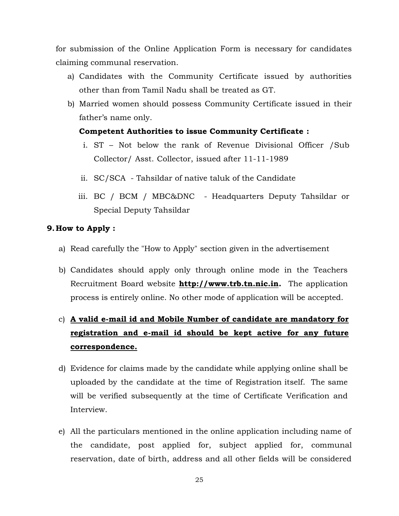for submission of the Online Application Form is necessary for candidates claiming communal reservation.

- a) Candidates with the Community Certificate issued by authorities other than from Tamil Nadu shall be treated as GT.
- b) Married women should possess Community Certificate issued in their father's name only.

### **Competent Authorities to issue Community Certificate :**

- i. ST Not below the rank of Revenue Divisional Officer /Sub Collector/ Asst. Collector, issued after 11-11-1989
- ii. SC/SCA Tahsildar of native taluk of the Candidate
- iii. BC / BCM / MBC&DNC Headquarters Deputy Tahsildar or Special Deputy Tahsildar

### **9.How to Apply :**

- a) Read carefully the "How to Apply" section given in the advertisement
- b) Candidates should apply only through online mode in the Teachers Recruitment Board website **http://www.trb.tn.nic.in.** The application process is entirely online. No other mode of application will be accepted.

# c) **A valid e-mail id and Mobile Number of candidate are mandatory for registration and e-mail id should be kept active for any future correspondence.**

- d) Evidence for claims made by the candidate while applying online shall be uploaded by the candidate at the time of Registration itself. The same will be verified subsequently at the time of Certificate Verification and Interview.
- e) All the particulars mentioned in the online application including name of the candidate, post applied for, subject applied for, communal reservation, date of birth, address and all other fields will be considered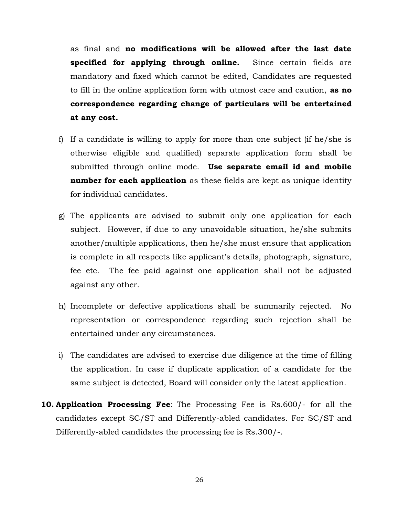as final and **no modifications will be allowed after the last date specified for applying through online.** Since certain fields are mandatory and fixed which cannot be edited, Candidates are requested to fill in the online application form with utmost care and caution, **as no correspondence regarding change of particulars will be entertained at any cost.**

- f) If a candidate is willing to apply for more than one subject (if he/she is otherwise eligible and qualified) separate application form shall be submitted through online mode. **Use separate email id and mobile number for each application** as these fields are kept as unique identity for individual candidates.
- g) The applicants are advised to submit only one application for each subject. However, if due to any unavoidable situation, he/she submits another/multiple applications, then he/she must ensure that application is complete in all respects like applicant's details, photograph, signature, fee etc. The fee paid against one application shall not be adjusted against any other.
- h) Incomplete or defective applications shall be summarily rejected. No representation or correspondence regarding such rejection shall be entertained under any circumstances.
- i) The candidates are advised to exercise due diligence at the time of filling the application. In case if duplicate application of a candidate for the same subject is detected, Board will consider only the latest application.
- **10. Application Processing Fee**: The Processing Fee is Rs.600/- for all the candidates except SC/ST and Differently-abled candidates. For SC/ST and Differently-abled candidates the processing fee is Rs.300/-.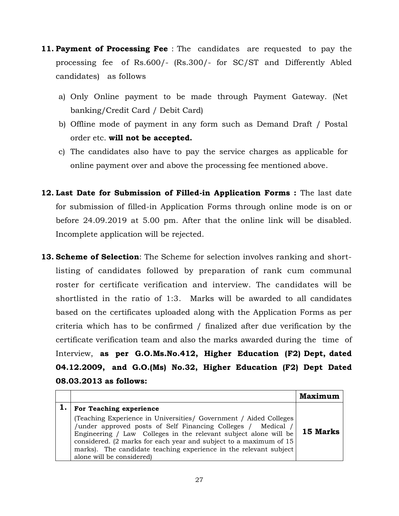- **11. Payment of Processing Fee** : The candidates are requested to pay the processing fee of Rs.600/- (Rs.300/- for SC/ST and Differently Abled candidates) as follows
	- a) Only Online payment to be made through Payment Gateway. (Net banking/Credit Card / Debit Card)
	- b) Offline mode of payment in any form such as Demand Draft / Postal order etc. **will not be accepted.**
	- c) The candidates also have to pay the service charges as applicable for online payment over and above the processing fee mentioned above.
- **12. Last Date for Submission of Filled-in Application Forms :** The last date for submission of filled-in Application Forms through online mode is on or before 24.09.2019 at 5.00 pm. After that the online link will be disabled. Incomplete application will be rejected.
- **13. Scheme of Selection**: The Scheme for selection involves ranking and shortlisting of candidates followed by preparation of rank cum communal roster for certificate verification and interview. The candidates will be shortlisted in the ratio of 1:3. Marks will be awarded to all candidates based on the certificates uploaded along with the Application Forms as per criteria which has to be confirmed / finalized after due verification by the certificate verification team and also the marks awarded during the time of Interview, **as per G.O.Ms.No.412, Higher Education (F2) Dept, dated 04.12.2009, and G.O.(Ms) No.32, Higher Education (F2) Dept Dated 08.03.2013 as follows:**

|                                                                                                                                                                                                                                                                                                                                                                               | <b>Maximum</b> |  |
|-------------------------------------------------------------------------------------------------------------------------------------------------------------------------------------------------------------------------------------------------------------------------------------------------------------------------------------------------------------------------------|----------------|--|
| For Teaching experience                                                                                                                                                                                                                                                                                                                                                       |                |  |
| (Teaching Experience in Universities / Government / Aided Colleges<br>/under approved posts of Self Financing Colleges / Medical /<br>Engineering / Law Colleges in the relevant subject alone will be<br>considered. (2 marks for each year and subject to a maximum of 15<br>marks). The candidate teaching experience in the relevant subject<br>alone will be considered) | 15 Marks       |  |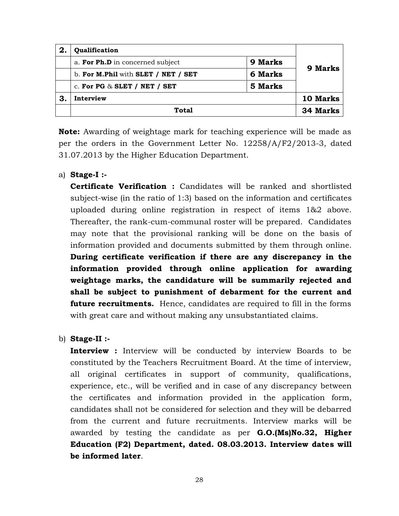| 2. | Qualification                       |                |                |
|----|-------------------------------------|----------------|----------------|
|    | a. For Ph.D in concerned subject    | 9 Marks        | <b>9 Marks</b> |
|    | b. For M.Phil with SLET / NET / SET | <b>6 Marks</b> |                |
|    | c. For PG $\&$ SLET / NET / SET     | 5 Marks        |                |
| З  | Interview                           |                | 10 Marks       |
|    | <b>Total</b>                        |                | 34 Marks       |

**Note:** Awarding of weightage mark for teaching experience will be made as per the orders in the Government Letter No. 12258/A/F2/2013-3, dated 31.07.2013 by the Higher Education Department.

a) **Stage-I :-**

**Certificate Verification :** Candidates will be ranked and shortlisted subject-wise (in the ratio of 1:3) based on the information and certificates uploaded during online registration in respect of items 1&2 above. Thereafter, the rank-cum-communal roster will be prepared. Candidates may note that the provisional ranking will be done on the basis of information provided and documents submitted by them through online. **During certificate verification if there are any discrepancy in the information provided through online application for awarding weightage marks, the candidature will be summarily rejected and shall be subject to punishment of debarment for the current and future recruitments.** Hence, candidates are required to fill in the forms with great care and without making any unsubstantiated claims.

b) **Stage-II :-**

**Interview :** Interview will be conducted by interview Boards to be constituted by the Teachers Recruitment Board. At the time of interview, all original certificates in support of community, qualifications, experience, etc., will be verified and in case of any discrepancy between the certificates and information provided in the application form, candidates shall not be considered for selection and they will be debarred from the current and future recruitments. Interview marks will be awarded by testing the candidate as per **G.O.(Ms)No.32, Higher Education (F2) Department, dated. 08.03.2013. Interview dates will be informed later**.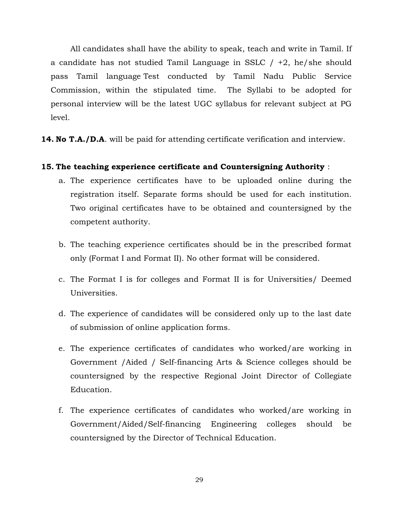All candidates shall have the ability to speak, teach and write in Tamil. If a candidate has not studied Tamil Language in SSLC  $/ +2$ , he/she should pass Tamil language Test conducted by Tamil Nadu Public Service Commission, within the stipulated time. The Syllabi to be adopted for personal interview will be the latest UGC syllabus for relevant subject at PG level.

**14. No T.A./D.A**. will be paid for attending certificate verification and interview.

### **15. The teaching experience certificate and Countersigning Authority** :

- a. The experience certificates have to be uploaded online during the registration itself. Separate forms should be used for each institution. Two original certificates have to be obtained and countersigned by the competent authority.
- b. The teaching experience certificates should be in the prescribed format only (Format I and Format II). No other format will be considered.
- c. The Format I is for colleges and Format II is for Universities/ Deemed Universities.
- d. The experience of candidates will be considered only up to the last date of submission of online application forms.
- e. The experience certificates of candidates who worked/are working in Government /Aided / Self-financing Arts & Science colleges should be countersigned by the respective Regional Joint Director of Collegiate Education.
- f. The experience certificates of candidates who worked/are working in Government/Aided/Self-financing Engineering colleges should be countersigned by the Director of Technical Education.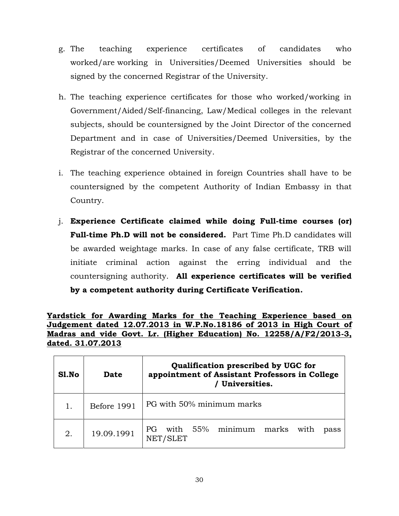- g. The teaching experience certificates of candidates who worked/are working in Universities/Deemed Universities should be signed by the concerned Registrar of the University.
- h. The teaching experience certificates for those who worked/working in Government/Aided/Self-financing, Law/Medical colleges in the relevant subjects, should be countersigned by the Joint Director of the concerned Department and in case of Universities/Deemed Universities, by the Registrar of the concerned University.
- i. The teaching experience obtained in foreign Countries shall have to be countersigned by the competent Authority of Indian Embassy in that Country.
- j. **Experience Certificate claimed while doing Full-time courses (or) Full-time Ph.D will not be considered.** Part Time Ph.D candidates will be awarded weightage marks. In case of any false certificate, TRB will initiate criminal action against the erring individual and the countersigning authority. **All experience certificates will be verified by a competent authority during Certificate Verification.**

**Yardstick for Awarding Marks for the Teaching Experience based on Judgement dated 12.07.2013 in W.P.No.18186 of 2013 in High Court of Madras and vide Govt. Lr. (Higher Education) No. 12258/A/F2/2013-3, dated. 31.07.2013**

| S1.No | <b>Date</b> | Qualification prescribed by UGC for<br>appointment of Assistant Professors in College<br>Universities. |
|-------|-------------|--------------------------------------------------------------------------------------------------------|
|       | Before 1991 | PG with 50% minimum marks                                                                              |
| 2.    | 19.09.1991  | 55%<br>minimum<br>with<br>marks<br>PG.<br>with<br>pass<br>NET/SLET                                     |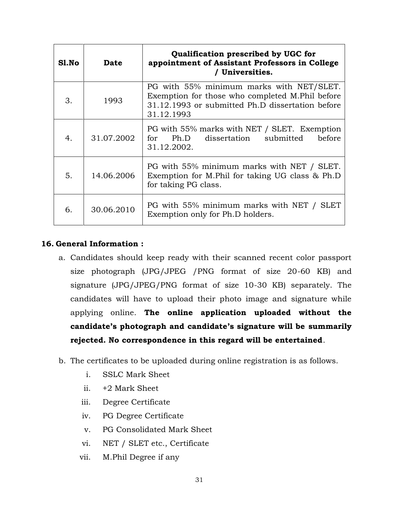| Sl.No | Date       | Qualification prescribed by UGC for<br>appointment of Assistant Professors in College<br>/ Universities.                                                      |
|-------|------------|---------------------------------------------------------------------------------------------------------------------------------------------------------------|
| 3.    | 1993       | PG with 55% minimum marks with NET/SLET.<br>Exemption for those who completed M.Phil before<br>31.12.1993 or submitted Ph.D dissertation before<br>31.12.1993 |
| 4.    | 31.07.2002 | PG with 55% marks with NET / SLET. Exemption<br>dissertation submitted<br>for Ph.D<br>before<br>31.12.2002.                                                   |
| 5.    | 14.06.2006 | PG with 55% minimum marks with NET / SLET.<br>Exemption for M.Phil for taking UG class & Ph.D<br>for taking PG class.                                         |
| 6.    | 30.06.2010 | PG with 55% minimum marks with NET / SLET<br>Exemption only for Ph.D holders.                                                                                 |

## **16. General Information :**

- a. Candidates should keep ready with their scanned recent color passport size photograph (JPG/JPEG /PNG format of size 20-60 KB) and signature (JPG/JPEG/PNG format of size 10-30 KB) separately. The candidates will have to upload their photo image and signature while applying online. **The online application uploaded without the candidate's photograph and candidate's signature will be summarily rejected. No correspondence in this regard will be entertained**.
- b. The certificates to be uploaded during online registration is as follows.
	- i. SSLC Mark Sheet
	- ii. +2 Mark Sheet
	- iii. Degree Certificate
	- iv. PG Degree Certificate
	- v. PG Consolidated Mark Sheet
	- vi. NET / SLET etc., Certificate
	- vii. M.Phil Degree if any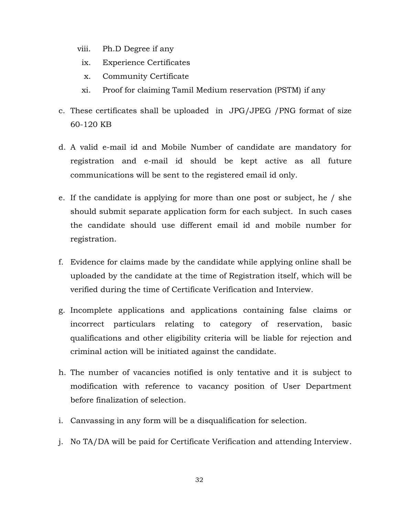- viii. Ph.D Degree if any
- ix. Experience Certificates
- x. Community Certificate
- xi. Proof for claiming Tamil Medium reservation (PSTM) if any
- c. These certificates shall be uploaded in JPG/JPEG /PNG format of size 60-120 KB
- d. A valid e-mail id and Mobile Number of candidate are mandatory for registration and e-mail id should be kept active as all future communications will be sent to the registered email id only.
- e. If the candidate is applying for more than one post or subject, he / she should submit separate application form for each subject. In such cases the candidate should use different email id and mobile number for registration.
- f. Evidence for claims made by the candidate while applying online shall be uploaded by the candidate at the time of Registration itself, which will be verified during the time of Certificate Verification and Interview.
- g. Incomplete applications and applications containing false claims or incorrect particulars relating to category of reservation, basic qualifications and other eligibility criteria will be liable for rejection and criminal action will be initiated against the candidate.
- h. The number of vacancies notified is only tentative and it is subject to modification with reference to vacancy position of User Department before finalization of selection.
- i. Canvassing in any form will be a disqualification for selection.
- j. No TA/DA will be paid for Certificate Verification and attending Interview.